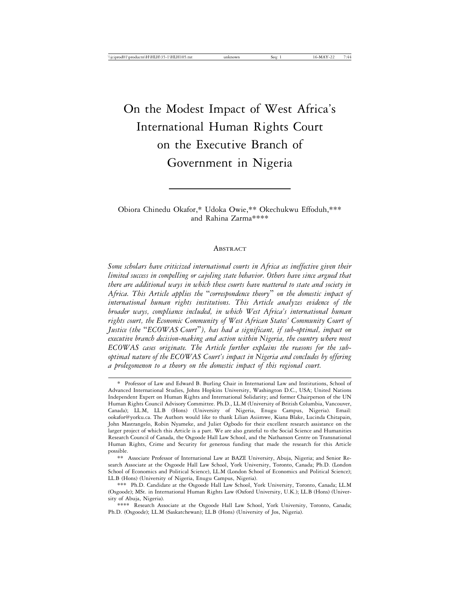# On the Modest Impact of West Africa's International Human Rights Court on the Executive Branch of Government in Nigeria

Obiora Chinedu Okafor,\* Udoka Owie,\*\* Okechukwu Effoduh,\*\*\* and Rahina Zarma\*\*\*\*

#### ABSTRACT

*Some scholars have criticized international courts in Africa as ineffective given their limited success in compelling or cajoling state behavior. Others have since argued that there are additional ways in which these courts have mattered to state and society in Africa. This Article applies the* "*correspondence theory*" *on the domestic impact of international human rights institutions. This Article analyzes evidence of the broader ways, compliance included, in which West Africa's international human rights court, the Economic Community of West African States' Community Court of Justice (the* "*ECOWAS Court*"*), has had a significant, if sub-optimal, impact on executive branch decision-making and action within Nigeria, the country where most ECOWAS cases originate. The Article further explains the reasons for the suboptimal nature of the ECOWAS Court's impact in Nigeria and concludes by offering a prolegomenon to a theory on the domestic impact of this regional court.*

<sup>\*</sup> Professor of Law and Edward B. Burling Chair in International Law and Institutions, School of Advanced International Studies, Johns Hopkins University, Washington D.C., USA; United Nations Independent Expert on Human Rights and International Solidarity; and former Chairperson of the UN Human Rights Council Advisory Committee. Ph.D., LL.M (University of British Columbia, Vancouver, Canada); LL.M, LL.B (Hons) (University of Nigeria, Enugu Campus, Nigeria). Email: ookafor@yorku.ca. The Authors would like to thank Lilian Asiimwe, Kiana Blake, Lucinda Chitapain, John Mastrangelo, Robin Nyameke, and Juliet Ogbodo for their excellent research assistance on the larger project of which this Article is a part. We are also grateful to the Social Science and Humanities Research Council of Canada, the Osgoode Hall Law School, and the Nathanson Centre on Transnational Human Rights, Crime and Security for generous funding that made the research for this Article possible.

<sup>\*\*</sup> Associate Professor of International Law at BAZE University, Abuja, Nigeria; and Senior Research Associate at the Osgoode Hall Law School, York University, Toronto, Canada; Ph.D. (London School of Economics and Political Science), LL.M (London School of Economics and Political Science); LL.B (Hons) (University of Nigeria, Enugu Campus, Nigeria).

<sup>\*\*\*</sup> Ph.D. Candidate at the Osgoode Hall Law School, York University, Toronto, Canada; LL.M (Osgoode); MSt. in International Human Rights Law (Oxford University, U.K.); LL.B (Hons) (University of Abuja, Nigeria).

<sup>\*\*\*\*</sup> Research Associate at the Osgoode Hall Law School, York University, Toronto, Canada; Ph.D. (Osgoode); LL.M (Saskatchewan); LL.B (Hons) (University of Jos, Nigeria).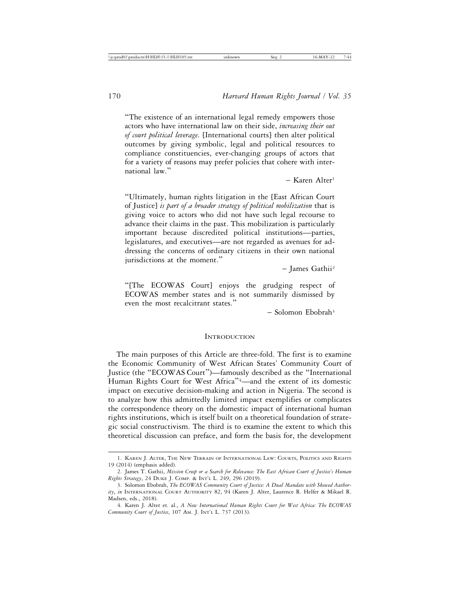"The existence of an international legal remedy empowers those actors who have international law on their side, *increasing their out of court political leverage*. [International courts] then alter political outcomes by giving symbolic, legal and political resources to compliance constituencies, ever-changing groups of actors that for a variety of reasons may prefer policies that cohere with international law."

– Karen Alter1

"Ultimately, human rights litigation in the [East African Court of Justice] *is part of a broader strategy of political mobilization* that is giving voice to actors who did not have such legal recourse to advance their claims in the past. This mobilization is particularly important because discredited political institutions—parties, legislatures, and executives—are not regarded as avenues for addressing the concerns of ordinary citizens in their own national jurisdictions at the moment."

– James Gathii2

"[The ECOWAS Court] enjoys the grudging respect of ECOWAS member states and is not summarily dismissed by even the most recalcitrant states."

 $-$  Solomon Ebobrah<sup>3</sup>

#### **INTRODUCTION**

The main purposes of this Article are three-fold. The first is to examine the Economic Community of West African States' Community Court of Justice (the "ECOWAS Court")—famously described as the "International Human Rights Court for West Africa"<sup>4</sup> —and the extent of its domestic impact on executive decision-making and action in Nigeria. The second is to analyze how this admittedly limited impact exemplifies or complicates the correspondence theory on the domestic impact of international human rights institutions, which is itself built on a theoretical foundation of strategic social constructivism. The third is to examine the extent to which this theoretical discussion can preface, and form the basis for, the development

<sup>1.</sup> KAREN J. ALTER, THE NEW TERRAIN OF INTERNATIONAL LAW: COURTS, POLITICS AND RIGHTS 19 (2014) (emphasis added).

<sup>2.</sup> James T. Gathii, *Mission Creep or a Search for Relevance: The East African Court of Justice's Human Rights Strategy*, 24 DUKE J. COMP. & INT'L L. 249, 296 (2019).

<sup>3.</sup> Solomon Ebobrah, *The ECOWAS Community Court of Justice: A Dual Mandate with Skewed Authority*, *in* INTERNATIONAL COURT AUTHORITY 82, 94 (Karen J. Alter, Laurence R. Helfer & Mikael R. Madsen, eds., 2018).

<sup>4.</sup> Karen J. Alter et. al., *A New International Human Rights Court for West Africa: The ECOWAS Community Court of Justice*, 107 AM. J. INT'L L. 737 (2013).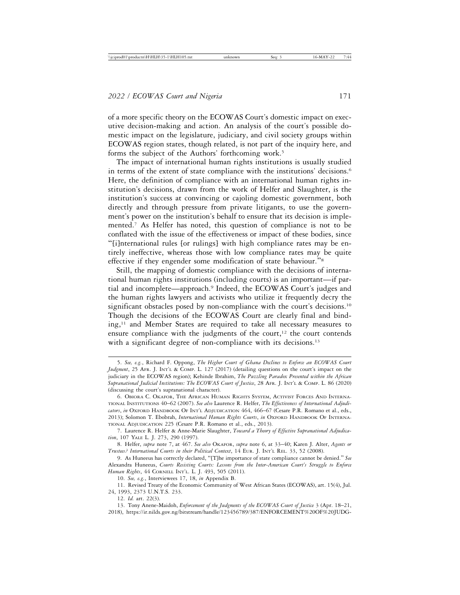of a more specific theory on the ECOWAS Court's domestic impact on executive decision-making and action. An analysis of the court's possible domestic impact on the legislature, judiciary, and civil society groups within ECOWAS region states, though related, is not part of the inquiry here, and forms the subject of the Authors' forthcoming work.<sup>5</sup>

The impact of international human rights institutions is usually studied in terms of the extent of state compliance with the institutions' decisions.<sup>6</sup> Here, the definition of compliance with an international human rights institution's decisions, drawn from the work of Helfer and Slaughter, is the institution's success at convincing or cajoling domestic government, both directly and through pressure from private litigants, to use the government's power on the institution's behalf to ensure that its decision is implemented.7 As Helfer has noted, this question of compliance is not to be conflated with the issue of the effectiveness or impact of these bodies, since "[i]nternational rules [or rulings] with high compliance rates may be entirely ineffective, whereas those with low compliance rates may be quite effective if they engender some modification of state behaviour."<sup>8</sup>

Still, the mapping of domestic compliance with the decisions of international human rights institutions (including courts) is an important—if partial and incomplete—approach.9 Indeed, the ECOWAS Court's judges and the human rights lawyers and activists who utilize it frequently decry the significant obstacles posed by non-compliance with the court's decisions.<sup>10</sup> Though the decisions of the ECOWAS Court are clearly final and binding,11 and Member States are required to take all necessary measures to ensure compliance with the judgments of the court, $12$  the court contends with a significant degree of non-compliance with its decisions.<sup>13</sup>

13. Tony Anene-Maidoh, *Enforcement of the Judgments of the ECOWAS Court of Justice* 3 (Apr. 18–21, 2018), https://ir.nilds.gov.ng/bitstream/handle/123456789/387/ENFORCEMENT%20OF%20JUDG-

<sup>5.</sup> *See, e.g.*, Richard F. Oppong, *The Higher Court of Ghana Declines to Enforce an ECOWAS Court Judgment*, 25 AFR. J. INT'L & COMP. L. 127 (2017) (detailing questions on the court's impact on the judiciary in the ECOWAS region); Kehinde Ibrahim, *The Puzzling Paradox Presented within the African Supranational Judicial Institutions: The ECOWAS Court of Justice*, 28 AFR. J. INT'L & COMP. L. 86 (2020) (discussing the court's supranational character).

<sup>6.</sup> OBIORA C. OKAFOR, THE AFRICAN HUMAN RIGHTS SYSTEM, ACTIVIST FORCES AND INTERNA-TIONAL INSTITUTIONS 40–62 (2007). *See also* Laurence R. Helfer, *The Effectiveness of International Adjudicators*, *in* OXFORD HANDBOOK OF INT'L ADJUDICATION 464, 466–67 (Cesare P.R. Romano et al., eds., 2013); Solomon T. Ebobrah, *International Human Rights Courts*, *in* OXFORD HANDBOOK OF INTERNA-TIONAL ADJUDICATION 225 (Cesare P.R. Romano et al., eds., 2013).

<sup>7.</sup> Laurence R. Helfer & Anne-Marie Slaughter, *Toward a Theory of Effective Supranational Adjudication*, 107 YALE L. J. 273, 290 (1997).

<sup>8.</sup> Helfer, *supra* note 7, at 467. *See also* OKAFOR, *supra* note 6, at 33–40; Karen J. Alter, *Agents or Trustees? International Courts in their Political Context*, 14 EUR. J. INT'L REL. 33, 52 (2008).

<sup>9.</sup> As Huneeus has correctly declared, "[T]he importance of state compliance cannot be denied." *See* Alexandra Huneeus, *Courts Resisting Courts: Lessons from the Inter-American Court's Struggle to Enforce Human Rights*, 44 CORNELL INT'L. L. J. 493, 505 (2011).

<sup>10.</sup> *See, e.g.*, Interviewees 17, 18, *in* Appendix B.

<sup>11.</sup> Revised Treaty of the Economic Community of West African States (ECOWAS), art. 15(4), Jul. 24, 1993, 2373 U.N.T.S. 233.

<sup>12.</sup> *Id.* art. 22(3).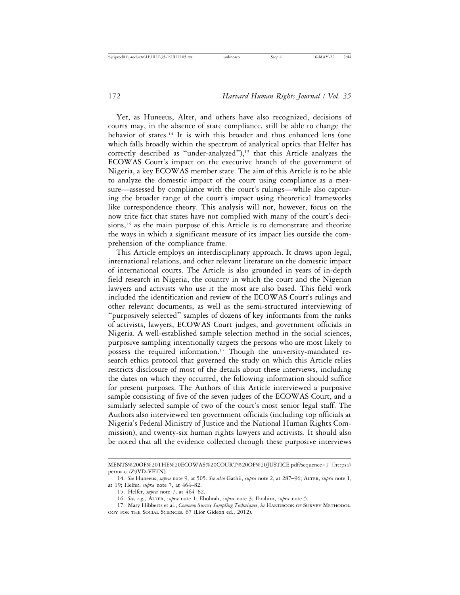Yet, as Huneeus, Alter, and others have also recognized, decisions of courts may, in the absence of state compliance, still be able to change the behavior of states.<sup>14</sup> It is with this broader and thus enhanced lens (one which falls broadly within the spectrum of analytical optics that Helfer has correctly described as "under-analyzed"),<sup>15</sup> that this Article analyzes the ECOWAS Court's impact on the executive branch of the government of Nigeria, a key ECOWAS member state. The aim of this Article is to be able to analyze the domestic impact of the court using compliance as a measure—assessed by compliance with the court's rulings—while also capturing the broader range of the court's impact using theoretical frameworks like correspondence theory. This analysis will not, however, focus on the now trite fact that states have not complied with many of the court's decisions,<sup>16</sup> as the main purpose of this Article is to demonstrate and theorize the ways in which a significant measure of its impact lies outside the comprehension of the compliance frame.

This Article employs an interdisciplinary approach. It draws upon legal, international relations, and other relevant literature on the domestic impact of international courts. The Article is also grounded in years of in-depth field research in Nigeria, the country in which the court and the Nigerian lawyers and activists who use it the most are also based. This field work included the identification and review of the ECOWAS Court's rulings and other relevant documents, as well as the semi-structured interviewing of "purposively selected" samples of dozens of key informants from the ranks of activists, lawyers, ECOWAS Court judges, and government officials in Nigeria. A well-established sample selection method in the social sciences, purposive sampling intentionally targets the persons who are most likely to possess the required information.17 Though the university-mandated research ethics protocol that governed the study on which this Article relies restricts disclosure of most of the details about these interviews, including the dates on which they occurred, the following information should suffice for present purposes. The Authors of this Article interviewed a purposive sample consisting of five of the seven judges of the ECOWAS Court, and a similarly selected sample of two of the court's most senior legal staff. The Authors also interviewed ten government officials (including top officials at Nigeria's Federal Ministry of Justice and the National Human Rights Commission), and twenty-six human rights lawyers and activists. It should also be noted that all the evidence collected through these purposive interviews

MENTS%20OF%20THE%20ECOWAS%20COURT%20OF%20JUSTICE.pdf?sequence=1 [https:// perma.cc/Z9VD-VETN].

<sup>14.</sup> *See* Huneeus, *supra* note 9, at 505. *See also* Gathii, *supra* note 2, at 287–96; ALTER, *supra* note 1, at 19; Helfer, *supra* note 7, at 464–82.

<sup>15.</sup> Helfer, *supra* note 7, at 464–82.

<sup>16.</sup> *See, e.g.*, ALTER, *supra* note 1; Ebobrah, *supra* note 3; Ibrahim, *supra* note 5.

<sup>17.</sup> Mary Hibberts et al., *Common Survey Sampling Techniques*, *in* HANDBOOK OF SURVEY METHODOL-OGY FOR THE SOCIAL SCIENCES. 67 (Lior Gideon ed., 2012).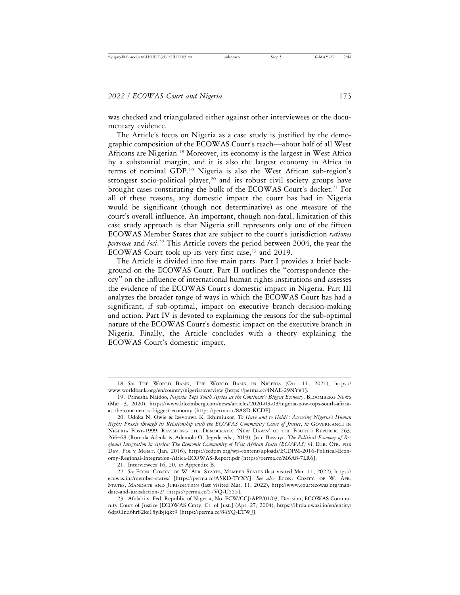was checked and triangulated either against other interviewees or the documentary evidence.

The Article's focus on Nigeria as a case study is justified by the demographic composition of the ECOWAS Court's reach—about half of all West Africans are Nigerian.18 Moreover, its economy is the largest in West Africa by a substantial margin, and it is also the largest economy in Africa in terms of nominal GDP.19 Nigeria is also the West African sub-region's strongest socio-political player,<sup>20</sup> and its robust civil society groups have brought cases constituting the bulk of the ECOWAS Court's docket.<sup>21</sup> For all of these reasons, any domestic impact the court has had in Nigeria would be significant (though not determinative) as one measure of the court's overall influence. An important, though non-fatal, limitation of this case study approach is that Nigeria still represents only one of the fifteen ECOWAS Member States that are subject to the court's jurisdiction *rationes personae* and *loci*. 22 This Article covers the period between 2004, the year the ECOWAS Court took up its very first case,<sup>23</sup> and 2019.

The Article is divided into five main parts. Part I provides a brief background on the ECOWAS Court. Part II outlines the "correspondence theory" on the influence of international human rights institutions and assesses the evidence of the ECOWAS Court's domestic impact in Nigeria. Part III analyzes the broader range of ways in which the ECOWAS Court has had a significant, if sub-optimal, impact on executive branch decision-making and action. Part IV is devoted to explaining the reasons for the sub-optimal nature of the ECOWAS Court's domestic impact on the executive branch in Nigeria. Finally, the Article concludes with a theory explaining the ECOWAS Court's domestic impact.

<sup>18.</sup> *See* THE WORLD BANK, THE WORLD BANK IN NIGERIA (Oct. 11, 2021), https:// www.worldbank.org/en/country/nigeria/overview [https://perma.cc/4NAE-29NY#1].

<sup>19.</sup> Prinesha Naidoo, *Nigeria Tops South Africa as the Continent's Biggest Economy*, BLOOMBERG NEWS (Mar. 3, 2020), https://www.bloomberg.com/news/articles/2020-03-03/nigeria-now-tops-south-africaas-the-continent-s-biggest-economy [https://perma.cc/8A8D-KCDP].

<sup>20.</sup> Udoka N. Owie & Izevbuwa K. Ikhimiukor, *To Have and to Hold?: Assessing Nigeria's Human Rights Praxis through its Relationship with the ECOWAS Community Court of Justice*, *in* GOVERNANCE IN NIGERIA POST-1999: REVISITING THE DEMOCRATIC 'NEW DAWN' OF THE FOURTH REPUBLIC 263, 266–68 (Romola Adeola & Ademola O. Jegede eds., 2019); Jean Bossuyt, *The Political Economy of Regional Integration in Africa: The Economic Community of West African States (ECOWAS)* vi, EUR. CTR. FOR DEV. POL'Y MGMT. (Jan. 2016), https://ecdpm.org/wp-content/uploads/ECDPM-2016-Political-Economy-Regional-Integration-Africa-ECOWAS-Report.pdf [https://perma.cc/M6A8-7LR6].

<sup>21.</sup> Interviewees 16, 20, *in* Appendix B.

<sup>22.</sup> *See* ECON. COMTY. OF W. AFR. STATES, MEMBER STATES (last visited Mar. 11, 2022), https:// ecowas.int/member-states/ [https://perma.cc/A5KD-TYXY]. See also ECON. COMTY. OF W. AFR. STATES, MANDATE AND JURISDICTION (last visited Mar. 11, 2022), http://www.courtecowas.org/mandate-and-jurisdiction-2/ [https://perma.cc/57VQ-U555].

<sup>23.</sup> Afolabi v. Fed. Republic of Nigeria, No. ECW/CCJ/APP/01/03, Decision, ECOWAS Community Court of Justice [ECOWAS Cmty. Ct. of Just.] (Apr. 27, 2004), https://ihrda.uwazi.io/en/entity/ 6dp0llnd6hr82kc18ylbjiqkt9 [https://perma.cc/84YQ-ETWJ].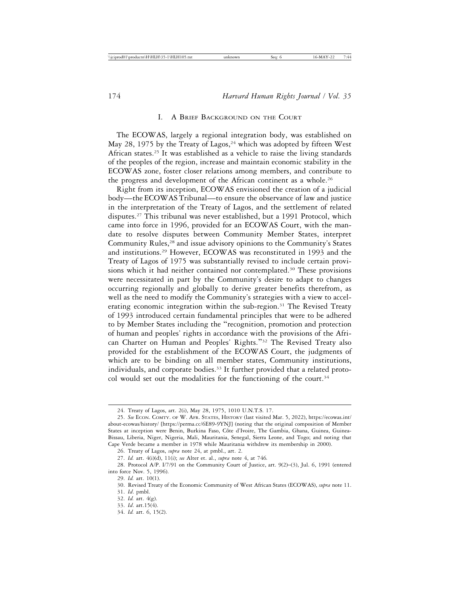#### I. A BRIEF BACKGROUND ON THE COURT

The ECOWAS, largely a regional integration body, was established on May 28, 1975 by the Treaty of Lagos,  $24$  which was adopted by fifteen West African states.25 It was established as a vehicle to raise the living standards of the peoples of the region, increase and maintain economic stability in the ECOWAS zone, foster closer relations among members, and contribute to the progress and development of the African continent as a whole.<sup>26</sup>

Right from its inception, ECOWAS envisioned the creation of a judicial body—the ECOWAS Tribunal—to ensure the observance of law and justice in the interpretation of the Treaty of Lagos, and the settlement of related disputes.<sup>27</sup> This tribunal was never established, but a 1991 Protocol, which came into force in 1996, provided for an ECOWAS Court, with the mandate to resolve disputes between Community Member States, interpret Community Rules,<sup>28</sup> and issue advisory opinions to the Community's States and institutions.29 However, ECOWAS was reconstituted in 1993 and the Treaty of Lagos of 1975 was substantially revised to include certain provisions which it had neither contained nor contemplated.<sup>30</sup> These provisions were necessitated in part by the Community's desire to adapt to changes occurring regionally and globally to derive greater benefits therefrom, as well as the need to modify the Community's strategies with a view to accelerating economic integration within the sub-region.<sup>31</sup> The Revised Treaty of 1993 introduced certain fundamental principles that were to be adhered to by Member States including the "recognition, promotion and protection of human and peoples' rights in accordance with the provisions of the African Charter on Human and Peoples' Rights."32 The Revised Treaty also provided for the establishment of the ECOWAS Court, the judgments of which are to be binding on all member states, Community institutions, individuals, and corporate bodies.<sup>33</sup> It further provided that a related protocol would set out the modalities for the functioning of the court.<sup>34</sup>

<sup>24.</sup> Treaty of Lagos, art. 2(i), May 28, 1975, 1010 U.N.T.S. 17.

<sup>25.</sup> *See* ECON. COMTY. OF W. AFR. STATES, HISTORY (last visited Mar. 5, 2022), https://ecowas.int/ about-ecowas/history/ [https://perma.cc/6E89-9YNJ] (noting that the original composition of Member States at inception were Benin, Burkina Faso, Côte d'Ivoire, The Gambia, Ghana, Guinea, Guinea-Bissau, Liberia, Niger, Nigeria, Mali, Mauritania, Senegal, Sierra Leone, and Togo; and noting that Cape Verde became a member in 1978 while Mauritania withdrew its membership in 2000).

<sup>26.</sup> Treaty of Lagos, *supra* note 24, at pmbl., art. 2.

<sup>27.</sup> *Id.* art. 4(i)(d), 11(i); *see* Alter et. al., *supra* note 4, at 746*.*

<sup>28.</sup> Protocol A/P. I/7/91 on the Community Court of Justice, art. 9(2)–(3), Jul. 6, 1991 (entered into force Nov. 5, 1996).

<sup>29.</sup> *Id.* art. 10(1).

<sup>30.</sup> Revised Treaty of the Economic Community of West African States (ECOWAS), *supra* note 11.

<sup>31.</sup> *Id*. pmbl.

<sup>32.</sup> *Id.* art. 4(g).

<sup>33.</sup> *Id*. art.15(4).

<sup>34.</sup> *Id.* art. 6, 15(2).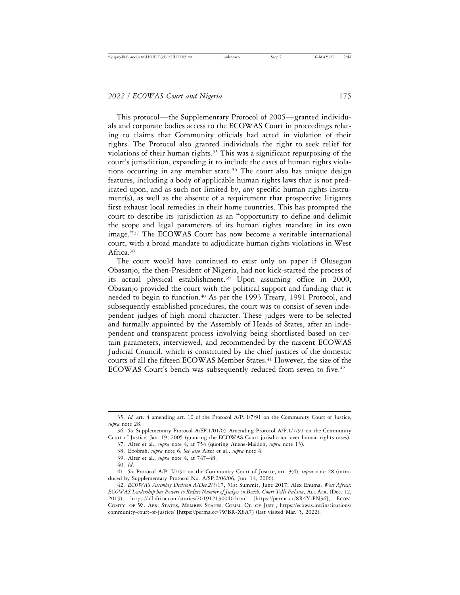This protocol—the Supplementary Protocol of 2005—granted individuals and corporate bodies access to the ECOWAS Court in proceedings relating to claims that Community officials had acted in violation of their rights. The Protocol also granted individuals the right to seek relief for violations of their human rights.35 This was a significant repurposing of the court's jurisdiction, expanding it to include the cases of human rights violations occurring in any member state.<sup>36</sup> The court also has unique design features, including a body of applicable human rights laws that is not predicated upon, and as such not limited by, any specific human rights instrument(s), as well as the absence of a requirement that prospective litigants first exhaust local remedies in their home countries. This has prompted the court to describe its jurisdiction as an "opportunity to define and delimit the scope and legal parameters of its human rights mandate in its own image."37 The ECOWAS Court has now become a veritable international court, with a broad mandate to adjudicate human rights violations in West Africa.38

The court would have continued to exist only on paper if Olusegun Obasanjo, the then-President of Nigeria, had not kick-started the process of its actual physical establishment.39 Upon assuming office in 2000, Obasanjo provided the court with the political support and funding that it needed to begin to function.<sup>40</sup> As per the 1993 Treaty, 1991 Protocol, and subsequently established procedures, the court was to consist of seven independent judges of high moral character. These judges were to be selected and formally appointed by the Assembly of Heads of States, after an independent and transparent process involving being shortlisted based on certain parameters, interviewed, and recommended by the nascent ECOWAS Judicial Council, which is constituted by the chief justices of the domestic courts of all the fifteen ECOWAS Member States.<sup>41</sup> However, the size of the ECOWAS Court's bench was subsequently reduced from seven to five.<sup>42</sup>

<sup>35.</sup> *Id.* art. 4 amending art. 10 of the Protocol A/P. I/7/91 on the Community Court of Justice, *supra* note 28.

<sup>36.</sup> *See* Supplementary Protocol A/SP.1/01/05 Amending Protocol A/P.1/7/91 on the Community Court of Justice, Jan. 19, 2005 (granting the ECOWAS Court jurisdiction over human rights cases).

<sup>37.</sup> Alter et al., *supra* note 4, at 754 (quoting Anene-Maidoh, *supra* note 13).

<sup>38.</sup> Ebobrah, *supra* note 6. *See also* Alter et al., *supra* note 4.

<sup>39.</sup> Alter et al., *supra* note 4, at 747–48.

<sup>40.</sup> *Id*.

<sup>41.</sup> *See* Protocol A/P. I/7/91 on the Community Court of Justice, art. 3(4), *supra* note 28 (introduced by Supplementary Protocol No. A/SP.2/06/06, Jun. 14, 2006).

<sup>42.</sup> *ECOWAS Assembly Decision A/Dec.2/5*/17, 51st Summit, June 2017; Alex Enuma, *West Africa: ECOWAS Leadership has Powers to Reduce Number of Judges on Bench, Court Tells Falana*, ALL AFR. (Dec. 12, 2019), https://allafrica.com/stories/201912130040.html [https://perma.cc/8R4Y-FN36]; ECON. COMTY. OF W. AFR. STATES, MEMBER STATES, COMM. CT. OF JUST., https://ecowas.int/institutions/ community-court-of-justice/ [https://perma.cc/3WBR-X8A7] (last visited Mar. 5, 2022).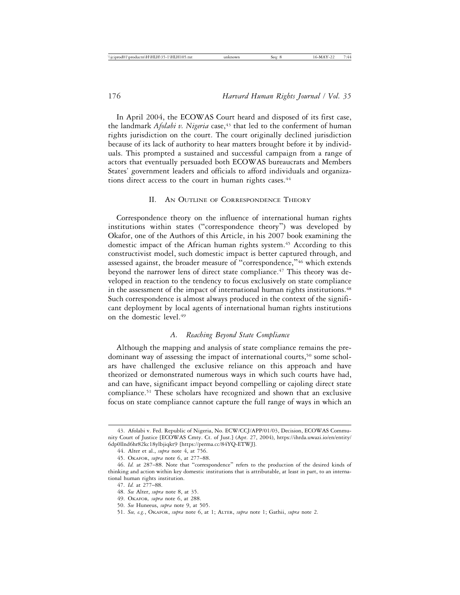In April 2004, the ECOWAS Court heard and disposed of its first case, the landmark *Afolabi v. Nigeria* case,<sup>43</sup> that led to the conferment of human rights jurisdiction on the court. The court originally declined jurisdiction because of its lack of authority to hear matters brought before it by individuals. This prompted a sustained and successful campaign from a range of actors that eventually persuaded both ECOWAS bureaucrats and Members States' government leaders and officials to afford individuals and organizations direct access to the court in human rights cases.<sup>44</sup>

#### II. AN OUTLINE OF CORRESPONDENCE THEORY

Correspondence theory on the influence of international human rights institutions within states ("correspondence theory") was developed by Okafor, one of the Authors of this Article, in his 2007 book examining the domestic impact of the African human rights system.<sup>45</sup> According to this constructivist model, such domestic impact is better captured through, and assessed against, the broader measure of "correspondence,"46 which extends beyond the narrower lens of direct state compliance.<sup>47</sup> This theory was developed in reaction to the tendency to focus exclusively on state compliance in the assessment of the impact of international human rights institutions.<sup>48</sup> Such correspondence is almost always produced in the context of the significant deployment by local agents of international human rights institutions on the domestic level.49

# *A. Reaching Beyond State Compliance*

Although the mapping and analysis of state compliance remains the predominant way of assessing the impact of international courts,<sup>50</sup> some scholars have challenged the exclusive reliance on this approach and have theorized or demonstrated numerous ways in which such courts have had, and can have, significant impact beyond compelling or cajoling direct state compliance.51 These scholars have recognized and shown that an exclusive focus on state compliance cannot capture the full range of ways in which an

<sup>43.</sup> Afolabi v. Fed. Republic of Nigeria, No. ECW/CCJ/APP/01/03, Decision, ECOWAS Community Court of Justice [ECOWAS Cmty. Ct. of Just.] (Apr. 27, 2004), https://ihrda.uwazi.io/en/entity/ 6dp0llnd6hr82kc18ylbjiqkt9 [https://perma.cc/84YQ-ETWJ].

<sup>44.</sup> Alter et al., *supra* note 4, at 756.

<sup>45.</sup> OKAFOR, *supra* note 6, at 277–88.

<sup>46.</sup> *Id.* at 287–88. Note that "correspondence" refers to the production of the desired kinds of thinking and action within key domestic institutions that is attributable, at least in part, to an international human rights institution.

<sup>47.</sup> *Id.* at 277–88.

<sup>48.</sup> *See* Alter, *supra* note 8, at 35.

<sup>49.</sup> OKAFOR*, supra* note 6, at 288.

<sup>50.</sup> *See* Huneeus, *supra* note 9, at 505.

<sup>51.</sup> *See, e.g.*, OKAFOR, *supra* note 6, at 1; ALTER, *supra* note 1; Gathii, *supra* note 2.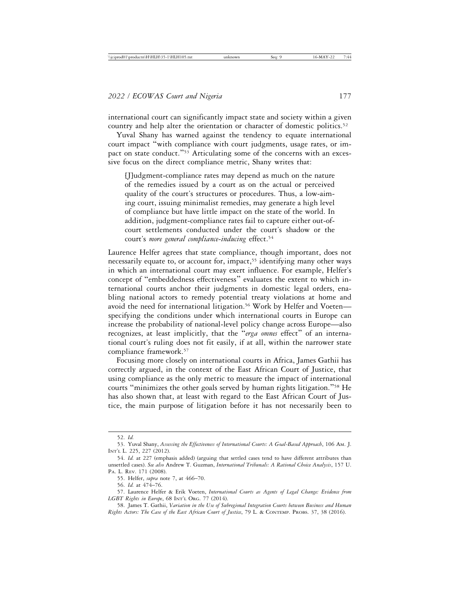international court can significantly impact state and society within a given country and help alter the orientation or character of domestic politics.<sup>52</sup>

Yuval Shany has warned against the tendency to equate international court impact "with compliance with court judgments, usage rates, or impact on state conduct."53 Articulating some of the concerns with an excessive focus on the direct compliance metric, Shany writes that:

[J]udgment-compliance rates may depend as much on the nature of the remedies issued by a court as on the actual or perceived quality of the court's structures or procedures. Thus, a low-aiming court, issuing minimalist remedies, may generate a high level of compliance but have little impact on the state of the world. In addition, judgment-compliance rates fail to capture either out-ofcourt settlements conducted under the court's shadow or the court's *more general compliance-inducing* effect.54

Laurence Helfer agrees that state compliance, though important, does not necessarily equate to, or account for, impact,<sup>55</sup> identifying many other ways in which an international court may exert influence. For example, Helfer's concept of "embeddedness effectiveness" evaluates the extent to which international courts anchor their judgments in domestic legal orders, enabling national actors to remedy potential treaty violations at home and avoid the need for international litigation.<sup>56</sup> Work by Helfer and Voetenspecifying the conditions under which international courts in Europe can increase the probability of national-level policy change across Europe—also recognizes, at least implicitly, that the "*erga omnes* effect" of an international court's ruling does not fit easily, if at all, within the narrower state compliance framework.57

Focusing more closely on international courts in Africa, James Gathii has correctly argued, in the context of the East African Court of Justice, that using compliance as the only metric to measure the impact of international courts "minimizes the other goals served by human rights litigation."58 He has also shown that, at least with regard to the East African Court of Justice, the main purpose of litigation before it has not necessarily been to

<sup>52.</sup> *Id.*

<sup>53.</sup> Yuval Shany, *Assessing the Effectiveness of International Courts: A Goal-Based Approach*, 106 AM. J. INT'L L. 225, 227 (2012).

<sup>54.</sup> *Id.* at 227 (emphasis added) (arguing that settled cases tend to have different attributes than unsettled cases). *See also* Andrew T. Guzman, *International Tribunals: A Rational Choice Analysis*, 157 U. PA. L. REV. 171 (2008).

<sup>55.</sup> Helfer, *supra* note 7, at 466–70.

<sup>56.</sup> *Id.* at 474–76.

<sup>57.</sup> Laurence Helfer & Erik Voeten, *International Courts as Agents of Legal Change: Evidence from LGBT Rights in Europe*, 68 INT'L ORG. 77 (2014).

<sup>58.</sup> James T. Gathii, *Variation in the Use of Subregional Integration Courts between Business and Human Rights Actors: The Case of the East African Court of Justice*, 79 L. & CONTEMP. PROBS. 37, 38 (2016).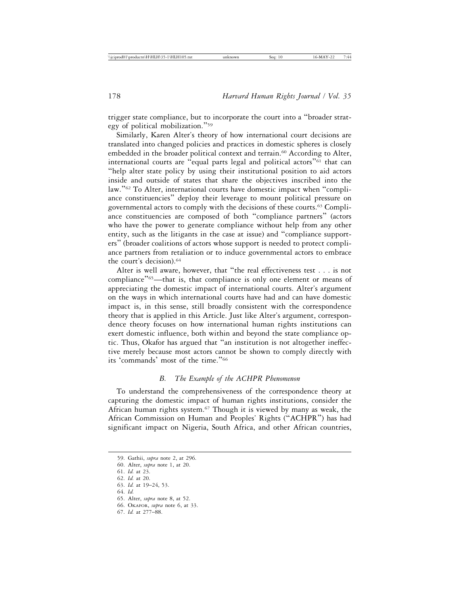trigger state compliance, but to incorporate the court into a "broader strategy of political mobilization."<sup>59</sup>

Similarly, Karen Alter's theory of how international court decisions are translated into changed policies and practices in domestic spheres is closely embedded in the broader political context and terrain.<sup>60</sup> According to Alter, international courts are "equal parts legal and political actors"61 that can "help alter state policy by using their institutional position to aid actors inside and outside of states that share the objectives inscribed into the law."62 To Alter, international courts have domestic impact when "compliance constituencies" deploy their leverage to mount political pressure on governmental actors to comply with the decisions of these courts.<sup>63</sup> Compliance constituencies are composed of both "compliance partners" (actors who have the power to generate compliance without help from any other entity, such as the litigants in the case at issue) and "compliance supporters" (broader coalitions of actors whose support is needed to protect compliance partners from retaliation or to induce governmental actors to embrace the court's decision).64

Alter is well aware, however, that "the real effectiveness test . . . is not compliance"<sup>65</sup>—that is, that compliance is only one element or means of appreciating the domestic impact of international courts. Alter's argument on the ways in which international courts have had and can have domestic impact is, in this sense, still broadly consistent with the correspondence theory that is applied in this Article. Just like Alter's argument, correspondence theory focuses on how international human rights institutions can exert domestic influence, both within and beyond the state compliance optic. Thus, Okafor has argued that "an institution is not altogether ineffective merely because most actors cannot be shown to comply directly with its 'commands' most of the time."<sup>66</sup>

#### *B. The Example of the ACHPR Phenomenon*

To understand the comprehensiveness of the correspondence theory at capturing the domestic impact of human rights institutions, consider the African human rights system.<sup>67</sup> Though it is viewed by many as weak, the African Commission on Human and Peoples' Rights ("ACHPR") has had significant impact on Nigeria, South Africa, and other African countries,

67. *Id.* at 277–88.

<sup>59.</sup> Gathii, *supra* note 2, at 296.

<sup>60.</sup> Alter, *supra* note 1, at 20.

<sup>61.</sup> *Id.* at 23.

<sup>62.</sup> *Id.* at 20.

<sup>63.</sup> *Id.* at 19–24, 53. 64. *Id.*

<sup>65.</sup> Alter, *supra* note 8, at 52.

<sup>66.</sup> OKAFOR, *supra* note 6, at 33.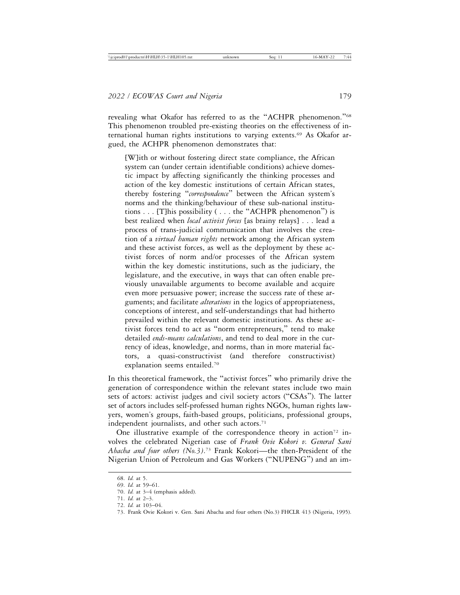revealing what Okafor has referred to as the "ACHPR phenomenon."<sup>68</sup> This phenomenon troubled pre-existing theories on the effectiveness of international human rights institutions to varying extents.69 As Okafor argued, the ACHPR phenomenon demonstrates that:

[W]ith or without fostering direct state compliance, the African system can (under certain identifiable conditions) achieve domestic impact by affecting significantly the thinking processes and action of the key domestic institutions of certain African states, thereby fostering "*correspondence*" between the African system's norms and the thinking/behaviour of these sub-national institutions . . . [T]his possibility ( . . . the "ACHPR phenomenon") is best realized when *local activist forces* [as brainy relays] . . . lead a process of trans-judicial communication that involves the creation of a *virtual human rights* network among the African system and these activist forces, as well as the deployment by these activist forces of norm and/or processes of the African system within the key domestic institutions, such as the judiciary, the legislature, and the executive, in ways that can often enable previously unavailable arguments to become available and acquire even more persuasive power; increase the success rate of these arguments; and facilitate *alterations* in the logics of appropriateness, conceptions of interest, and self-understandings that had hitherto prevailed within the relevant domestic institutions. As these activist forces tend to act as "norm entrepreneurs," tend to make detailed *ends-means calculations*, and tend to deal more in the currency of ideas, knowledge, and norms, than in more material factors, a quasi-constructivist (and therefore constructivist) explanation seems entailed.70

In this theoretical framework, the "activist forces" who primarily drive the generation of correspondence within the relevant states include two main sets of actors: activist judges and civil society actors ("CSAs"). The latter set of actors includes self-professed human rights NGOs, human rights lawyers, women's groups, faith-based groups, politicians, professional groups, independent journalists, and other such actors.<sup>71</sup>

One illustrative example of the correspondence theory in action<sup>72</sup> involves the celebrated Nigerian case of *Frank Ovie Kokori v. General Sani Abacha and four others (No.3)*. 73 Frank Kokori—the then-President of the Nigerian Union of Petroleum and Gas Workers ("NUPENG") and an im-

<sup>68.</sup> *Id.* at 5.

<sup>69.</sup> *Id.* at 59–61.

<sup>70.</sup> *Id.* at 3–4 (emphasis added).

<sup>71.</sup> *Id.* at 2–3.

<sup>72.</sup> *Id.* at 103–04.

<sup>73.</sup> Frank Ovie Kokori v. Gen. Sani Abacha and four others (No.3) FHCLR 413 (Nigeria, 1995).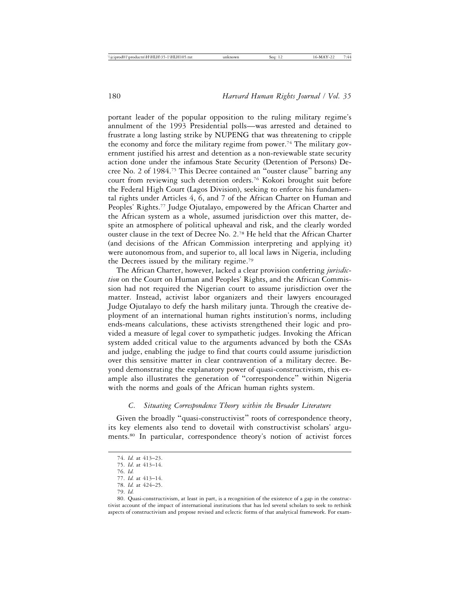portant leader of the popular opposition to the ruling military regime's annulment of the 1993 Presidential polls—was arrested and detained to frustrate a long lasting strike by NUPENG that was threatening to cripple the economy and force the military regime from power.<sup>74</sup> The military government justified his arrest and detention as a non-reviewable state security action done under the infamous State Security (Detention of Persons) Decree No. 2 of 1984.75 This Decree contained an "ouster clause" barring any court from reviewing such detention orders.76 Kokori brought suit before the Federal High Court (Lagos Division), seeking to enforce his fundamental rights under Articles 4, 6, and 7 of the African Charter on Human and Peoples' Rights.<sup>77</sup> Judge Ojutalayo, empowered by the African Charter and the African system as a whole, assumed jurisdiction over this matter, despite an atmosphere of political upheaval and risk, and the clearly worded ouster clause in the text of Decree No. 2.78 He held that the African Charter (and decisions of the African Commission interpreting and applying it) were autonomous from, and superior to, all local laws in Nigeria, including the Decrees issued by the military regime.79

The African Charter, however, lacked a clear provision conferring *jurisdiction* on the Court on Human and Peoples' Rights, and the African Commission had not required the Nigerian court to assume jurisdiction over the matter. Instead, activist labor organizers and their lawyers encouraged Judge Ojutalayo to defy the harsh military junta. Through the creative deployment of an international human rights institution's norms, including ends-means calculations, these activists strengthened their logic and provided a measure of legal cover to sympathetic judges. Invoking the African system added critical value to the arguments advanced by both the CSAs and judge, enabling the judge to find that courts could assume jurisdiction over this sensitive matter in clear contravention of a military decree. Beyond demonstrating the explanatory power of quasi-constructivism, this example also illustrates the generation of "correspondence" within Nigeria with the norms and goals of the African human rights system.

#### *C. Situating Correspondence Theory within the Broader Literature*

Given the broadly "quasi-constructivist" roots of correspondence theory, its key elements also tend to dovetail with constructivist scholars' arguments.80 In particular, correspondence theory's notion of activist forces

79. *Id.*

<sup>74.</sup> *Id.* at 413–23.

<sup>75.</sup> *Id*. at 413–14.

<sup>76.</sup> *Id.*

<sup>77.</sup> *Id.* at 413–14.

<sup>78.</sup> *Id.* at 424–25.

<sup>80.</sup> Quasi-constructivism, at least in part, is a recognition of the existence of a gap in the constructivist account of the impact of international institutions that has led several scholars to seek to rethink aspects of constructivism and propose revised and eclectic forms of that analytical framework. For exam-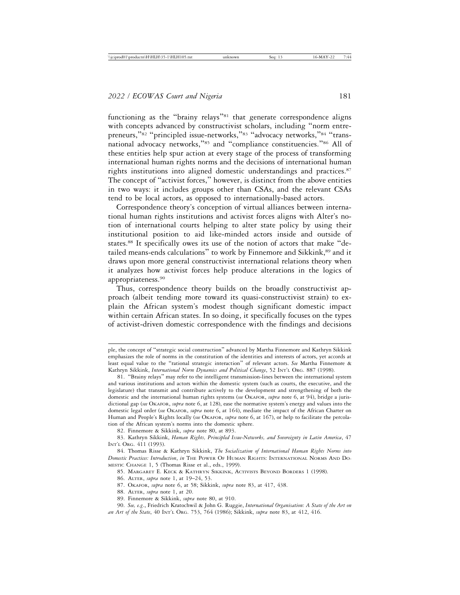functioning as the "brainy relays"<sup>81</sup> that generate correspondence aligns with concepts advanced by constructivist scholars, including "norm entrepreneurs,"<sup>82</sup> "principled issue-networks,"<sup>83</sup> "advocacy networks,"<sup>84</sup> "transnational advocacy networks,"85 and "compliance constituencies."86 All of these entities help spur action at every stage of the process of transforming international human rights norms and the decisions of international human rights institutions into aligned domestic understandings and practices.<sup>87</sup> The concept of "activist forces," however, is distinct from the above entities in two ways: it includes groups other than CSAs, and the relevant CSAs tend to be local actors, as opposed to internationally-based actors.

Correspondence theory's conception of virtual alliances between international human rights institutions and activist forces aligns with Alter's notion of international courts helping to alter state policy by using their institutional position to aid like-minded actors inside and outside of states.88 It specifically owes its use of the notion of actors that make "detailed means-ends calculations" to work by Finnemore and Sikkink,<sup>89</sup> and it draws upon more general constructivist international relations theory when it analyzes how activist forces help produce alterations in the logics of appropriateness.90

Thus, correspondence theory builds on the broadly constructivist approach (albeit tending more toward its quasi-constructivist strain) to explain the African system's modest though significant domestic impact within certain African states. In so doing, it specifically focuses on the types of activist-driven domestic correspondence with the findings and decisions

ple, the concept of "strategic social construction" advanced by Martha Finnemore and Kathryn Sikkink emphasizes the role of norms in the constitution of the identities and interests of actors, yet accords at least equal value to the "rational strategic interaction" of relevant actors. *See* Martha Finnemore & Kathryn Sikkink, *International Norm Dynamics and Political Change*, 52 INT'L ORG. 887 (1998).

<sup>81.</sup> "Brainy relays" may refer to the intelligent transmission-lines between the international system and various institutions and actors within the domestic system (such as courts, the executive, and the legislature) that transmit and contribute actively to the development and strengthening of both the domestic and the international human rights systems (*see* OKAFOR, *supra* note 6, at 94), bridge a jurisdictional gap (*see* OKAFOR, *supra* note 6, at 128), ease the normative system's energy and values into the domestic legal order (*see* OKAFOR, *supra* note 6, at 164), mediate the impact of the African Charter on Human and People's Rights locally (*see* OKAFOR, *supra* note 6, at 167), or help to facilitate the percolation of the African system's norms into the domestic sphere.

<sup>82.</sup> Finnemore & Sikkink, *supra* note 80, at 893.

<sup>83.</sup> Kathryn Sikkink, *Human Rights, Principled Issue-Networks, and Sovereignty in Latin America*, 47 INT'L ORG. 411 (1993).

<sup>84.</sup> Thomas Risse & Kathryn Sikkink, *The Socialization of International Human Rights Norms into Domestic Practices: Introduction*, *in* THE POWER OF HUMAN RIGHTS: INTERNATIONAL NORMS AND DO-MESTIC CHANGE 1, 5 (Thomas Risse et al., eds., 1999).

<sup>85.</sup> MARGARET E. KECK & KATHRYN SIKKINK, ACTIVISTS BEYOND BORDERS 1 (1998).

<sup>86.</sup> ALTER, *supra* note 1, at 19–24, 53.

<sup>87.</sup> OKAFOR, *supra* note 6, at 58; Sikkink, *supra* note 83, at 417, 438.

<sup>88.</sup> ALTER, *supra* note 1, at 20.

<sup>89.</sup> Finnemore & Sikkink, *supra* note 80, at 910.

<sup>90.</sup> *See, e.g*., Friedrich Kratochwil & John G. Ruggie, *International Organisation: A State of the Art on an Art of the State*, 40 INT'L ORG. 753, 764 (1986); Sikkink, *supra* note 83, at 412, 416.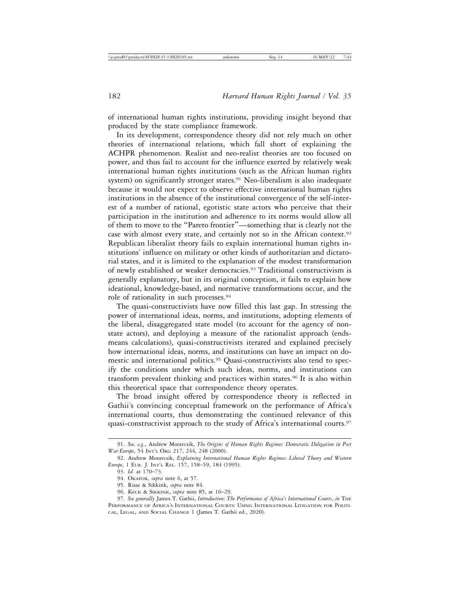of international human rights institutions, providing insight beyond that produced by the state compliance framework.

In its development, correspondence theory did not rely much on other theories of international relations, which fall short of explaining the ACHPR phenomenon. Realist and neo-realist theories are too focused on power, and thus fail to account for the influence exerted by relatively weak international human rights institutions (such as the African human rights system) on significantly stronger states.<sup>91</sup> Neo-liberalism is also inadequate because it would not expect to observe effective international human rights institutions in the absence of the institutional convergence of the self-interest of a number of rational, egotistic state actors who perceive that their participation in the institution and adherence to its norms would allow all of them to move to the "Pareto frontier"—something that is clearly not the case with almost every state, and certainly not so in the African context.92 Republican liberalist theory fails to explain international human rights institutions' influence on military or other kinds of authoritarian and dictatorial states, and it is limited to the explanation of the modest transformation of newly established or weaker democracies.93 Traditional constructivism is generally explanatory, but in its original conception, it fails to explain how ideational, knowledge-based, and normative transformations occur, and the role of rationality in such processes.94

The quasi-constructivists have now filled this last gap. In stressing the power of international ideas, norms, and institutions, adopting elements of the liberal, disaggregated state model (to account for the agency of nonstate actors), and deploying a measure of the rationalist approach (endsmeans calculations), quasi-constructivists iterated and explained precisely how international ideas, norms, and institutions can have an impact on domestic and international politics.95 Quasi-constructivists also tend to specify the conditions under which such ideas, norms, and institutions can transform prevalent thinking and practices within states.96 It is also within this theoretical space that correspondence theory operates.

The broad insight offered by correspondence theory is reflected in Gathii's convincing conceptual framework on the performance of Africa's international courts, thus demonstrating the continued relevance of this quasi-constructivist approach to the study of Africa's international courts.<sup>97</sup>

<sup>91.</sup> *See, e.g*., Andrew Moravcsik, *The Origins of Human Rights Regimes: Democratic Delegation in Post War Europe*, 54 INT'L ORG 217, 244, 248 (2000).

<sup>92.</sup> Andrew Moravcsik, *Explaining International Human Rights Regimes: Liberal Theory and Western Europe*, 1 EUR. J. INT'L REL. 157, 158–59, 184 (1995).

<sup>93.</sup> *Id.* at 170–73.

<sup>94.</sup> OKAFOR, *supra* note 6, at 57.

<sup>95.</sup> Risse & Sikkink, *supra* note 84.

<sup>96.</sup> KECK & SIKKINK, *supra* note 85, at 16–29.

<sup>97.</sup> *See generally* James T. Gathii, *Introduction: The Performance of Africa's International Courts*, *in* THE PERFORMANCE OF AFRICA'S INTERNATIONAL COURTS: USING INTERNATIONAL LITIGATION FOR POLITI-CAL, LEGAL, AND SOCIAL CHANGE 1 (James T. Gathii ed., 2020).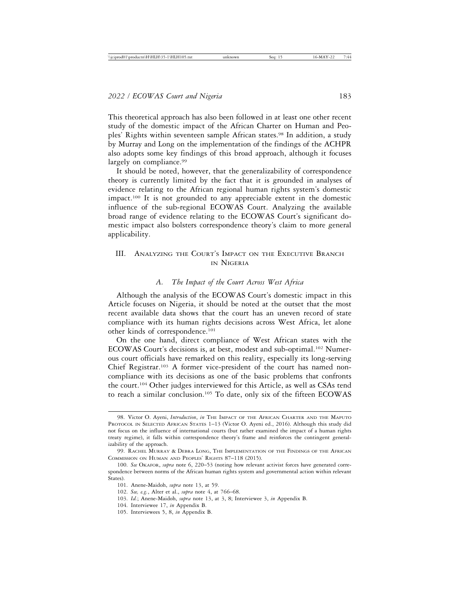This theoretical approach has also been followed in at least one other recent study of the domestic impact of the African Charter on Human and Peoples' Rights within seventeen sample African states.<sup>98</sup> In addition, a study by Murray and Long on the implementation of the findings of the ACHPR also adopts some key findings of this broad approach, although it focuses largely on compliance.<sup>99</sup>

It should be noted, however, that the generalizability of correspondence theory is currently limited by the fact that it is grounded in analyses of evidence relating to the African regional human rights system's domestic impact.100 It is not grounded to any appreciable extent in the domestic influence of the sub-regional ECOWAS Court. Analyzing the available broad range of evidence relating to the ECOWAS Court's significant domestic impact also bolsters correspondence theory's claim to more general applicability.

# III. ANALYZING THE COURT'S IMPACT ON THE EXECUTIVE BRANCH IN NIGERIA

#### *A. The Impact of the Court Across West Africa*

Although the analysis of the ECOWAS Court's domestic impact in this Article focuses on Nigeria, it should be noted at the outset that the most recent available data shows that the court has an uneven record of state compliance with its human rights decisions across West Africa, let alone other kinds of correspondence.101

On the one hand, direct compliance of West African states with the ECOWAS Court's decisions is, at best, modest and sub-optimal.102 Numerous court officials have remarked on this reality, especially its long-serving Chief Registrar.103 A former vice-president of the court has named noncompliance with its decisions as one of the basic problems that confronts the court.104 Other judges interviewed for this Article, as well as CSAs tend to reach a similar conclusion.105 To date, only six of the fifteen ECOWAS

<sup>98.</sup> Victor O. Ayeni, *Introduction*, *in* THE IMPACT OF THE AFRICAN CHARTER AND THE MAPUTO PROTOCOL IN SELECTED AFRICAN STATES 1–13 (Victor O. Ayeni ed., 2016). Although this study did not focus on the influence of international courts (but rather examined the impact of a human rights treaty regime), it falls within correspondence theory's frame and reinforces the contingent generalizability of the approach.

<sup>99.</sup> RACHEL MURRAY & DEBRA LONG, THE IMPLEMENTATION OF THE FINDINGS OF THE AFRICAN COMMISSION ON HUMAN AND PEOPLES' RIGHTS 87–118 (2015).

<sup>100.</sup> *See* OKAFOR, *supra* note 6, 220–53 (noting how relevant activist forces have generated correspondence between norms of the African human rights system and governmental action within relevant States).

<sup>101.</sup> Anene-Maidoh, *supra* note 13, at 59.

<sup>102.</sup> *See, e.g.*, Alter et al., *supra* note 4, at 766–68.

<sup>103.</sup> *Id.*; Anene-Maidoh, *supra* note 13, at 3, 8; Interviewee 3, *in* Appendix B.

<sup>104.</sup> Interviewee 17, *in* Appendix B.

<sup>105.</sup> Interviewees 5, 8, *in* Appendix B.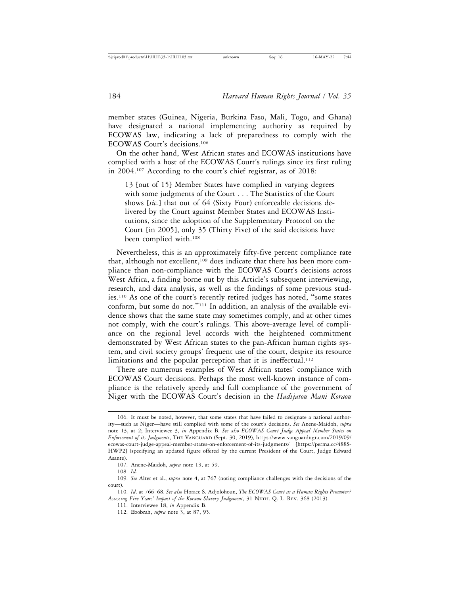member states (Guinea, Nigeria, Burkina Faso, Mali, Togo, and Ghana) have designated a national implementing authority as required by ECOWAS law, indicating a lack of preparedness to comply with the ECOWAS Court's decisions.106

On the other hand, West African states and ECOWAS institutions have complied with a host of the ECOWAS Court's rulings since its first ruling in 2004.107 According to the court's chief registrar, as of 2018:

13 [out of 15] Member States have complied in varying degrees with some judgments of the Court . . . The Statistics of the Court shows [*sic.*] that out of 64 (Sixty Four) enforceable decisions delivered by the Court against Member States and ECOWAS Institutions, since the adoption of the Supplementary Protocol on the Court [in 2005], only 35 (Thirty Five) of the said decisions have been complied with.108

Nevertheless, this is an approximately fifty-five percent compliance rate that, although not excellent,<sup>109</sup> does indicate that there has been more compliance than non-compliance with the ECOWAS Court's decisions across West Africa, a finding borne out by this Article's subsequent interviewing, research, and data analysis, as well as the findings of some previous studies.110 As one of the court's recently retired judges has noted, "some states conform, but some do not."111 In addition, an analysis of the available evidence shows that the same state may sometimes comply, and at other times not comply, with the court's rulings. This above-average level of compliance on the regional level accords with the heightened commitment demonstrated by West African states to the pan-African human rights system, and civil society groups' frequent use of the court, despite its resource limitations and the popular perception that it is ineffectual.<sup>112</sup>

There are numerous examples of West African states' compliance with ECOWAS Court decisions. Perhaps the most well-known instance of compliance is the relatively speedy and full compliance of the government of Niger with the ECOWAS Court's decision in the *Hadijatou Mani Koraou*

<sup>106.</sup> It must be noted, however, that some states that have failed to designate a national authority—such as Niger—have still complied with some of the court's decisions. *See* Anene-Maidoh, *supra* note 13, at 2; Interviewee 3, *in* Appendix B. *See also ECOWAS Court Judge Appeal Member States on Enforcement of its Judgments*, THE VANGUARD (Sept. 30, 2019), https://www.vanguardngr.com/2019/09/ ecowas-court-judge-appeal-member-states-on-enforcement-of-its-judgments/ [https://perma.cc/488S-HWP2] (specifying an updated figure offered by the current President of the Court, Judge Edward Asante).

<sup>107.</sup> Anene-Maidoh, *supra* note 13, at 59.

<sup>108.</sup> *Id.*

<sup>109.</sup> *See* Alter et al., *supra* note 4, at 767 (noting compliance challenges with the decisions of the court).

<sup>110.</sup> *Id*. at 766–68. *See also* Horace S. Adjolohoun, *The ECOWAS Court as a Human Rights Promoter? Assessing Five Years' Impact of the Koraou Slavery Judgement*, 31 NETH. Q. L. REV. 368 (2013).

<sup>111.</sup> Interviewee 18, *in* Appendix B.

<sup>112.</sup> Ebobrah, *supra* note 3, at 87, 95.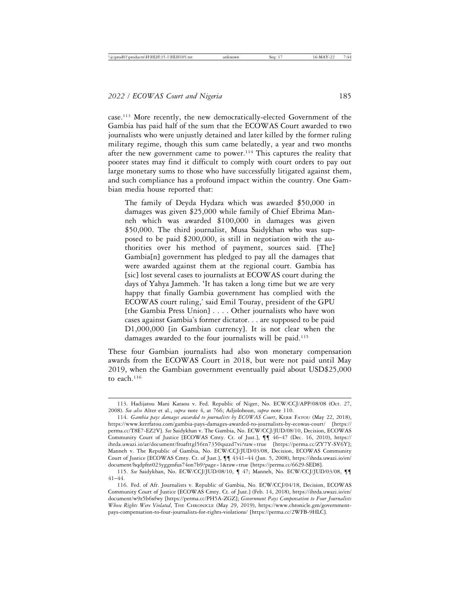case.113 More recently, the new democratically-elected Government of the Gambia has paid half of the sum that the ECOWAS Court awarded to two journalists who were unjustly detained and later killed by the former ruling military regime, though this sum came belatedly, a year and two months after the new government came to power.<sup>114</sup> This captures the reality that poorer states may find it difficult to comply with court orders to pay out large monetary sums to those who have successfully litigated against them, and such compliance has a profound impact within the country. One Gambian media house reported that:

The family of Deyda Hydara which was awarded \$50,000 in damages was given \$25,000 while family of Chief Ebrima Manneh which was awarded \$100,000 in damages was given \$50,000. The third journalist, Musa Saidykhan who was supposed to be paid \$200,000, is still in negotiation with the authorities over his method of payment, sources said. [The] Gambia[n] government has pledged to pay all the damages that were awarded against them at the regional court. Gambia has [sic] lost several cases to journalists at ECOWAS court during the days of Yahya Jammeh. 'It has taken a long time but we are very happy that finally Gambia government has complied with the ECOWAS court ruling,' said Emil Touray, president of the GPU [the Gambia Press Union] . . . . Other journalists who have won cases against Gambia's former dictator. . . are supposed to be paid D1,000,000 [in Gambian currency]. It is not clear when the damages awarded to the four journalists will be paid.<sup>115</sup>

These four Gambian journalists had also won monetary compensation awards from the ECOWAS Court in 2018, but were not paid until May 2019, when the Gambian government eventually paid about USD\$25,000 to each.116

<sup>113.</sup> Hadijatou Mani Karaou v. Fed. Republic of Niger, No. ECW/CCJ/APP/08/08 (Oct. 27, 2008). *See also* Alter et al., *supra* note 4, at 766; Adjolohoun, *supra* note 110.

<sup>114.</sup> *Gambia pays damages awarded to journalists by ECOWAS Court*, KERR FATOU (May 22, 2018), https://www.kerrfatou.com/gambia-pays-damages-awarded-to-journalists-by-ecowas-court/ [https:// perma.cc/T8E7-EZ2V]. *See* Saidykhan v. The Gambia, No. ECW/CCJ/JUD/08/10, Decision, ECOWAS Community Court of Justice [ECOWAS Cmty. Ct. of Just.], ¶¶ 46–47 (Dec. 16, 2010), https:// ihrda.uwazi.io/ar/document/froafttgl56tn7350qszzd7vi?raw=true [https://perma.cc/ZY7Y-SV6Y]; Manneh v. The Republic of Gambia, No. ECW/CCJ/JUD/03/08, Decision, ECOWAS Community Court of Justice [ECOWAS Cmty. Ct. of Just.], ¶¶ 4341–44 (Jun. 5, 2008), https://ihrda.uwazi.io/en/ document/hqdpfnt023yggnsfus74on7b9?page=1&raw=true [https://perma.cc/6629-SED8].

<sup>115.</sup> *See* Saidykhan, No. ECW/CCJ/JUD/08/10, ¶ 47; Manneh, No. ECW/CCJ/JUD/03/08, ¶¶ 41–44.

<sup>116.</sup> Fed. of Afr. Journalists v. Republic of Gambia, No. ECW/CCJ/04/18, Decision, ECOWAS Community Court of Justice [ECOWAS Cmty. Ct. of Just.] (Feb. 14, 2018), https://ihrda.uwazi.io/en/ document/w9z5b6xfwy [https://perma.cc/PH5A-ZGZ]; *Government Pays Compensation to Four Journalists Whose Rights Were Violated*, THE CHRONICLE (May 29, 2019), https://www.chronicle.gm/governmentpays-compensation-to-four-journalists-for-rights-violations/ [https://perma.cc/2WFB-9HLC].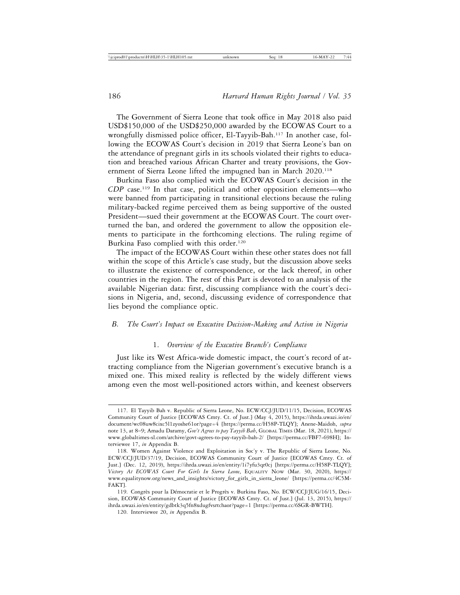The Government of Sierra Leone that took office in May 2018 also paid USD\$150,000 of the USD\$250,000 awarded by the ECOWAS Court to a wrongfully dismissed police officer, El-Tayyib-Bah.117 In another case, following the ECOWAS Court's decision in 2019 that Sierra Leone's ban on the attendance of pregnant girls in its schools violated their rights to education and breached various African Charter and treaty provisions, the Government of Sierra Leone lifted the impugned ban in March 2020.<sup>118</sup>

Burkina Faso also complied with the ECOWAS Court's decision in the *CDP* case.<sup>119</sup> In that case, political and other opposition elements—who were banned from participating in transitional elections because the ruling military-backed regime perceived them as being supportive of the ousted President—sued their government at the ECOWAS Court. The court overturned the ban, and ordered the government to allow the opposition elements to participate in the forthcoming elections. The ruling regime of Burkina Faso complied with this order.<sup>120</sup>

The impact of the ECOWAS Court within these other states does not fall within the scope of this Article's case study, but the discussion above seeks to illustrate the existence of correspondence, or the lack thereof, in other countries in the region. The rest of this Part is devoted to an analysis of the available Nigerian data: first, discussing compliance with the court's decisions in Nigeria, and, second, discussing evidence of correspondence that lies beyond the compliance optic.

#### *B. The Court's Impact on Executive Decision-Making and Action in Nigeria*

# 1. *Overview of the Executive Branch's Compliance*

Just like its West Africa-wide domestic impact, the court's record of attracting compliance from the Nigerian government's executive branch is a mixed one. This mixed reality is reflected by the widely different views among even the most well-positioned actors within, and keenest observers

<sup>117.</sup> El Tayyib Bah v. Republic of Sierra Leone, No. ECW/CCJ/JUD/11/15, Decision, ECOWAS Community Court of Justice [ECOWAS Cmty. Ct. of Just.] (May 4, 2015), https://ihrda.uwazi.io/en/ document/wc08uw8cixc5l1zyoshe61or?page=4 [https://perma.cc/H58P-TLQY]; Anene-Maidoh, *supra* note 13, at 8–9; Amadu Daramy, *Gov't Agrees to pay Tayyib Bah*, GLOBAL TIMES (Mar. 18, 2021), https:// www.globaltimes-sl.com/archive/govt-agrees-to-pay-tayyib-bah-2/ [https://perma.cc/FBF7-698H]; Interviewee 17, *in* Appendix B.

<sup>118.</sup> Women Against Violence and Exploitation in Soc'y v. The Republic of Sierra Leone, No. ECW/CCJ/JUD/37/19, Decision, ECOWAS Community Court of Justice [ECOWAS Cmty. Ct. of Just.] (Dec. 12, 2019), https://ihrda.uwazi.io/en/entity/1i7yfu3qr0cj [https://perma.cc/H58P-TLQY]; *Victory At ECOWAS Court For Girls In Sierra Leone*, EQUALITY NOW (Mar. 30, 2020), https:// www.equalitynow.org/news\_and\_insights/victory\_for\_girls\_in\_sierra\_leone/ [https://perma.cc/4C5M-FAKT].

<sup>119.</sup> Congrès pour la Démocratie et le Progrès v. Burkina Faso, No. ECW/CCJ/JUG/16/15, Decision, ECOWAS Community Court of Justice [ECOWAS Cmty. Ct. of Just.] (Jul. 13, 2015), https:// ihrda.uwazi.io/en/entity/gdbtk3q5fn8xdugfvsrtchaor?page=1 [https://perma.cc/6SGR-BWTH].

<sup>120.</sup> Interviewee 20, *in* Appendix B.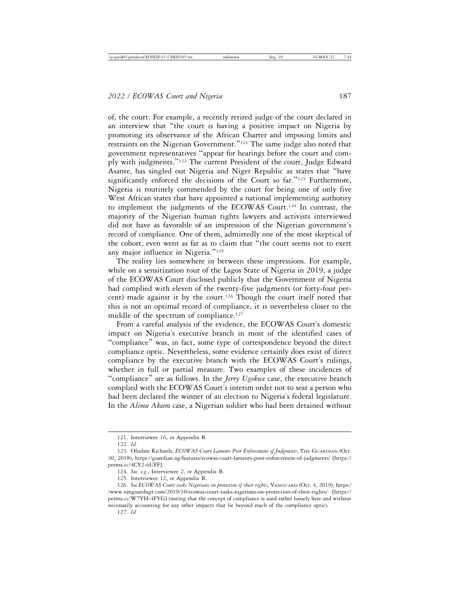of, the court. For example, a recently retired judge of the court declared in an interview that "the court is having a positive impact on Nigeria by promoting its observance of the African Charter and imposing limits and restraints on the Nigerian Government."121 The same judge also noted that government representatives "appear for hearings before the court and comply with judgments."122 The current President of the court, Judge Edward Asante, has singled out Nigeria and Niger Republic as states that "have significantly enforced the decisions of the Court so far."<sup>123</sup> Furthermore, Nigeria is routinely commended by the court for being one of only five West African states that have appointed a national implementing authority to implement the judgments of the ECOWAS Court.124 In contrast, the majority of the Nigerian human rights lawyers and activists interviewed did not have as favorable of an impression of the Nigerian government's record of compliance. One of them, admittedly one of the most skeptical of the cohort, even went as far as to claim that "the court seems not to exert any major influence in Nigeria."<sup>125</sup>

The reality lies somewhere in between these impressions. For example, while on a sensitization tour of the Lagos State of Nigeria in 2019, a judge of the ECOWAS Court disclosed publicly that the Government of Nigeria had complied with eleven of the twenty-five judgments (or forty-four percent) made against it by the court.126 Though the court itself noted that this is not an optimal record of compliance, it is nevertheless closer to the middle of the spectrum of compliance.<sup>127</sup>

From a careful analysis of the evidence, the ECOWAS Court's domestic impact on Nigeria's executive branch in most of the identified cases of "compliance" was, in fact, some type of correspondence beyond the direct compliance optic. Nevertheless, some evidence certainly does exist of direct compliance by the executive branch with the ECOWAS Court's rulings, whether in full or partial measure. Two examples of these incidences of "compliance" are as follows. In the *Jerry Ugokwe* case, the executive branch complied with the ECOWAS Court's interim order not to seat a person who had been declared the winner of an election to Nigeria's federal legislature. In the *Alimu Akeem* case, a Nigerian soldier who had been detained without

<sup>121.</sup> Interviewee 16, *in* Appendix B.

<sup>122.</sup> *Id.*

<sup>123.</sup> Oludare Richards, *ECOWAS Court Laments Poor Enforcement of Judgments*, THE GUARDIAN (Oct. 30, 2018), https://guardian.ng/features/ecowas-court-laments-poor-enforcement-of-judgments/ [https:// perma.cc/4CY2-6UFF].

<sup>124.</sup> *See, e.g.*, Interviewee 2, *in* Appendix B.

<sup>125.</sup> Interviewee 12, *in* Appendix B.

<sup>126.</sup> *See ECOWAS Court tasks Nigerians on protection of their rights*, VANGUARD (Oct. 4, 2019), https:/ /www.vanguardngr.com/2019/10/ecowas-court-tasks-nigerians-on-protection-of-their-rights/ [https:// perma.cc/W7YH-4FYG] (noting that the concept of compliance is used rather loosely here and without necessarily accounting for any other impacts that lie beyond reach of the compliance optic).

<sup>127.</sup> *Id.*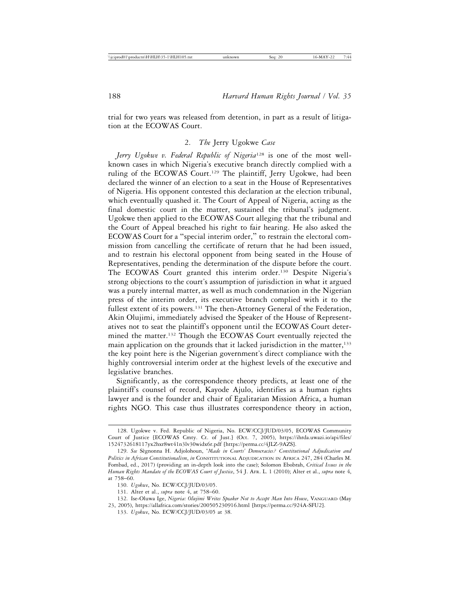trial for two years was released from detention, in part as a result of litigation at the ECOWAS Court.

#### 2. *The* Jerry Ugokwe *Case*

*Jerry Ugokwe v. Federal Republic of Nigeria*128 is one of the most wellknown cases in which Nigeria's executive branch directly complied with a ruling of the ECOWAS Court.<sup>129</sup> The plaintiff, Jerry Ugokwe, had been declared the winner of an election to a seat in the House of Representatives of Nigeria. His opponent contested this declaration at the election tribunal, which eventually quashed it. The Court of Appeal of Nigeria, acting as the final domestic court in the matter, sustained the tribunal's judgment. Ugokwe then applied to the ECOWAS Court alleging that the tribunal and the Court of Appeal breached his right to fair hearing. He also asked the ECOWAS Court for a "special interim order," to restrain the electoral commission from cancelling the certificate of return that he had been issued, and to restrain his electoral opponent from being seated in the House of Representatives, pending the determination of the dispute before the court. The ECOWAS Court granted this interim order.130 Despite Nigeria's strong objections to the court's assumption of jurisdiction in what it argued was a purely internal matter, as well as much condemnation in the Nigerian press of the interim order, its executive branch complied with it to the fullest extent of its powers.<sup>131</sup> The then-Attorney General of the Federation, Akin Olujimi, immediately advised the Speaker of the House of Representatives not to seat the plaintiff's opponent until the ECOWAS Court determined the matter.132 Though the ECOWAS Court eventually rejected the main application on the grounds that it lacked jurisdiction in the matter, $133$ the key point here is the Nigerian government's direct compliance with the highly controversial interim order at the highest levels of the executive and legislative branches.

Significantly, as the correspondence theory predicts, at least one of the plaintiff's counsel of record, Kayode Ajulo, identifies as a human rights lawyer and is the founder and chair of Egalitarian Mission Africa, a human rights NGO. This case thus illustrates correspondence theory in action,

<sup>128.</sup> Ugokwe v. Fed. Republic of Nigeria, No. ECW/CCJ/JUD/03/05, ECOWAS Community Court of Justice [ECOWAS Cmty. Ct. of Just.] (Oct. 7, 2005), https://ihrda.uwazi.io/api/files/ 1524732618117yx2hxr8wt41n3lv30widx6r.pdf [https://perma.cc/4JLZ-9AZS].

<sup>129.</sup> See Sègnonna H. Adjolohoun, '*Made in Courts' Democracies? Constitutional Adjudication and Politics in African Constitutionalism*, *in* CONSTITUTIONAL ADJUDICATION IN AFRICA 247, 284 (Charles M. Fombad, ed., 2017) (providing an in-depth look into the case); Solomon Ebobrah, *Critical Issues in the Human Rights Mandate of the ECOWAS Court of Justice*, 54 J. AFR. L. 1 (2010); Alter et al., *supra* note 4, at 758–60.

<sup>130.</sup> *Ugokwe*, No. ECW/CCJ/JUD/03/05.

<sup>131.</sup> Alter et al., *supra* note 4, at 758–60.

<sup>132.</sup> Ise-Oluwa Ige, *Nigeria: Olujimi Writes Speaker Not to Accept Man Into House*, VANGUARD (May 23, 2005), https://allafrica.com/stories/200505230916.html [https://perma.cc/924A-SFU2].

<sup>133.</sup> *Ugokwe*, No. ECW/CCJ/JUD/03/05 at 38.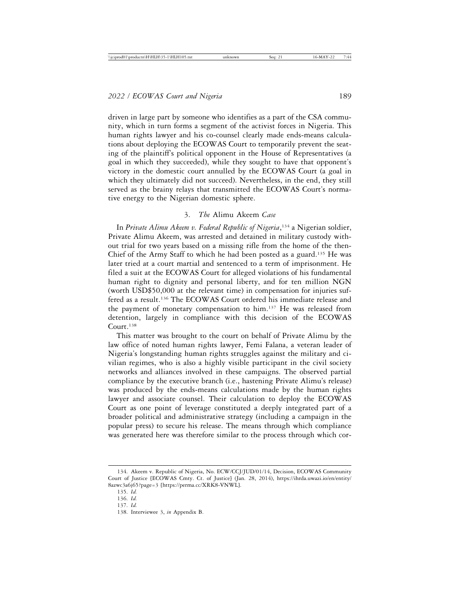driven in large part by someone who identifies as a part of the CSA community, which in turn forms a segment of the activist forces in Nigeria. This human rights lawyer and his co-counsel clearly made ends-means calculations about deploying the ECOWAS Court to temporarily prevent the seating of the plaintiff's political opponent in the House of Representatives (a goal in which they succeeded), while they sought to have that opponent's victory in the domestic court annulled by the ECOWAS Court (a goal in which they ultimately did not succeed). Nevertheless, in the end, they still served as the brainy relays that transmitted the ECOWAS Court's normative energy to the Nigerian domestic sphere.

#### 3. *The* Alimu Akeem *Case*

In *Private Alimu Akeem v. Federal Republic of Nigeria*, 134 a Nigerian soldier, Private Alimu Akeem, was arrested and detained in military custody without trial for two years based on a missing rifle from the home of the then-Chief of the Army Staff to which he had been posted as a guard.<sup>135</sup> He was later tried at a court martial and sentenced to a term of imprisonment. He filed a suit at the ECOWAS Court for alleged violations of his fundamental human right to dignity and personal liberty, and for ten million NGN (worth USD\$50,000 at the relevant time) in compensation for injuries suffered as a result.136 The ECOWAS Court ordered his immediate release and the payment of monetary compensation to him.<sup>137</sup> He was released from detention, largely in compliance with this decision of the ECOWAS Court.138

This matter was brought to the court on behalf of Private Alimu by the law office of noted human rights lawyer, Femi Falana, a veteran leader of Nigeria's longstanding human rights struggles against the military and civilian regimes, who is also a highly visible participant in the civil society networks and alliances involved in these campaigns. The observed partial compliance by the executive branch (i.e., hastening Private Alimu's release) was produced by the ends-means calculations made by the human rights lawyer and associate counsel. Their calculation to deploy the ECOWAS Court as one point of leverage constituted a deeply integrated part of a broader political and administrative strategy (including a campaign in the popular press) to secure his release. The means through which compliance was generated here was therefore similar to the process through which cor-

<sup>134.</sup> Akeem v. Republic of Nigeria, No. ECW/CCJ/JUD/01/14, Decision, ECOWAS Community Court of Justice [ECOWAS Cmty. Ct. of Justice] (Jan. 28, 2014), https://ihrda.uwazi.io/en/entity/ 8azwc3a6j65?page=3 [https://perma.cc/XRK8-VNWL].

<sup>135.</sup> *Id.*

<sup>136.</sup> *Id.*

<sup>137.</sup> *Id.*

<sup>138.</sup> Interviewee 3, *in* Appendix B.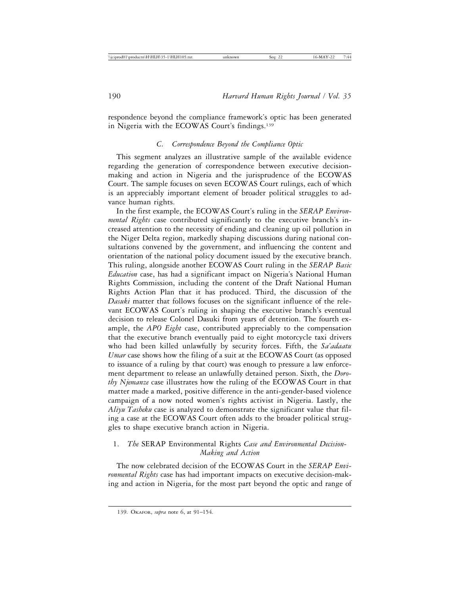respondence beyond the compliance framework's optic has been generated in Nigeria with the ECOWAS Court's findings.139

# *C. Correspondence Beyond the Compliance Optic*

This segment analyzes an illustrative sample of the available evidence regarding the generation of correspondence between executive decisionmaking and action in Nigeria and the jurisprudence of the ECOWAS Court. The sample focuses on seven ECOWAS Court rulings, each of which is an appreciably important element of broader political struggles to advance human rights.

In the first example, the ECOWAS Court's ruling in the *SERAP Environmental Rights* case contributed significantly to the executive branch's increased attention to the necessity of ending and cleaning up oil pollution in the Niger Delta region, markedly shaping discussions during national consultations convened by the government, and influencing the content and orientation of the national policy document issued by the executive branch. This ruling, alongside another ECOWAS Court ruling in the *SERAP Basic Education* case, has had a significant impact on Nigeria's National Human Rights Commission, including the content of the Draft National Human Rights Action Plan that it has produced. Third, the discussion of the *Dasuki* matter that follows focuses on the significant influence of the relevant ECOWAS Court's ruling in shaping the executive branch's eventual decision to release Colonel Dasuki from years of detention. The fourth example, the *APO Eight* case, contributed appreciably to the compensation that the executive branch eventually paid to eight motorcycle taxi drivers who had been killed unlawfully by security forces. Fifth, the *Sa'adaatu Umar* case shows how the filing of a suit at the ECOWAS Court (as opposed to issuance of a ruling by that court) was enough to pressure a law enforcement department to release an unlawfully detained person. Sixth, the *Dorothy Njemanze* case illustrates how the ruling of the ECOWAS Court in that matter made a marked, positive difference in the anti-gender-based violence campaign of a now noted women's rights activist in Nigeria. Lastly, the *Aliyu Tasheku* case is analyzed to demonstrate the significant value that filing a case at the ECOWAS Court often adds to the broader political struggles to shape executive branch action in Nigeria.

# 1. *The* SERAP Environmental Rights *Case and Environmental Decision-Making and Action*

The now celebrated decision of the ECOWAS Court in the *SERAP Environmental Rights* case has had important impacts on executive decision-making and action in Nigeria, for the most part beyond the optic and range of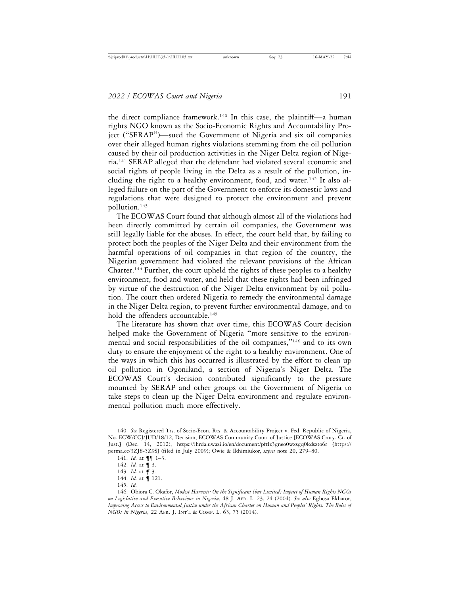the direct compliance framework.140 In this case, the plaintiff—a human rights NGO known as the Socio-Economic Rights and Accountability Project ("SERAP")—sued the Government of Nigeria and six oil companies over their alleged human rights violations stemming from the oil pollution caused by their oil production activities in the Niger Delta region of Nigeria.141 SERAP alleged that the defendant had violated several economic and social rights of people living in the Delta as a result of the pollution, including the right to a healthy environment, food, and water.<sup>142</sup> It also alleged failure on the part of the Government to enforce its domestic laws and regulations that were designed to protect the environment and prevent pollution.143

The ECOWAS Court found that although almost all of the violations had been directly committed by certain oil companies, the Government was still legally liable for the abuses. In effect, the court held that, by failing to protect both the peoples of the Niger Delta and their environment from the harmful operations of oil companies in that region of the country, the Nigerian government had violated the relevant provisions of the African Charter.144 Further, the court upheld the rights of these peoples to a healthy environment, food and water, and held that these rights had been infringed by virtue of the destruction of the Niger Delta environment by oil pollution. The court then ordered Nigeria to remedy the environmental damage in the Niger Delta region, to prevent further environmental damage, and to hold the offenders accountable.<sup>145</sup>

The literature has shown that over time, this ECOWAS Court decision helped make the Government of Nigeria "more sensitive to the environmental and social responsibilities of the oil companies,"146 and to its own duty to ensure the enjoyment of the right to a healthy environment. One of the ways in which this has occurred is illustrated by the effort to clean up oil pollution in Ogoniland, a section of Nigeria's Niger Delta. The ECOWAS Court's decision contributed significantly to the pressure mounted by SERAP and other groups on the Government of Nigeria to take steps to clean up the Niger Delta environment and regulate environmental pollution much more effectively.

<sup>140.</sup> *See* Registered Trs. of Socio-Econ. Rts. & Accountability Project v. Fed. Republic of Nigeria, No. ECW/CCJ/JUD/18/12, Decision, ECOWAS Community Court of Justice [ECOWAS Cmty. Ct. of Just.] (Dec. 14, 2012), https://ihrda.uwazi.io/en/document/pftlz3gneo0wxsgq0kdszto6r [https:// perma.cc/3ZJ8-5Z9S] (filed in July 2009); Owie & Ikhimiukor, *supra* note 20, 279–80.

<sup>141.</sup> *Id.* at ¶¶ 1–3.

<sup>142.</sup> *Id.* at ¶ 3.

<sup>143.</sup> *Id.* at *¶* 3.

<sup>144.</sup> *Id.* at ¶ 121.

<sup>145.</sup> *Id.*

<sup>146.</sup> Obiora C. Okafor, *Modest Harvests: On the Significant (but Limited) Impact of Human Rights NGOs on Legislative and Executive Behaviour in Nigeria*, 48 J. AFR. L. 23, 24 (2004). *See also* Eghosa Ekhator, *Improving Access to Environmental Justice under the African Charter on Human and Peoples' Rights: The Roles of NGOs in Nigeria*, 22 AFR. J. INT'L & COMP. L. 63, 75 (2014).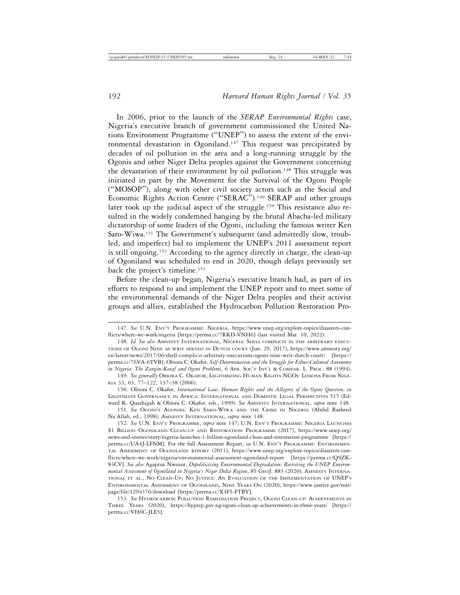In 2006, prior to the launch of the *SERAP Environmental Rights* case, Nigeria's executive branch of government commissioned the United Nations Environment Programme ("UNEP") to assess the extent of the environmental devastation in Ogoniland.<sup>147</sup> This request was precipitated by decades of oil pollution in the area and a long-running struggle by the Ogonis and other Niger Delta peoples against the Government concerning the devastation of their environment by oil pollution.<sup>148</sup> This struggle was initiated in part by the Movement for the Survival of the Ogoni People ("MOSOP"), along with other civil society actors such as the Social and Economic Rights Action Centre ("SERAC").<sup>149</sup> SERAP and other groups later took up the judicial aspect of the struggle.150 This resistance also resulted in the widely condemned hanging by the brutal Abacha-led military dictatorship of some leaders of the Ogoni, including the famous writer Ken Saro-Wiwa.151 The Government's subsequent (and admittedly slow, troubled, and imperfect) bid to implement the UNEP's 2011 assessment report is still ongoing.152 According to the agency directly in charge, the clean-up of Ogoniland was scheduled to end in 2020, though delays previously set back the project's timeline.153

Before the clean-up began, Nigeria's executive branch had, as part of its efforts to respond to and implement the UNEP report and to meet some of the environmental demands of the Niger Delta peoples and their activist groups and allies, established the Hydrocarbon Pollution Restoration Pro-

<sup>147.</sup> *See* U.N. ENV'T PROGRAMME: NIGERIA, https://www.unep.org/explore-topics/disasters-conflicts/where-we-work/nigeria [https://perma.cc/7RKD-VNH6] (last visited Mar. 10, 2022).

<sup>148.</sup> *Id. See also* AMNESTY INTERNATIONAL, NIGERIA: SHELL COMPLICIT IN THE ARBITRARY EXECU-TIONS OF OGONI NINE AS WRIT SERVED IN DUTCH COURT (Jun. 29, 2017), https://www.amnesty.org/ en/latest/news/2017/06/shell-complicit-arbitrary-executions-ogoni-nine-writ-dutch-court/ [https:// perma.cc/76VA-6TVB]; Obiora C. Okafor, *Self-Determination and the Struggle for Ethno-Cultural Autonomy in Nigeria: The Zangon-Kataf and Ogoni Problems*, 6 AFR. Soc'y INT'L & COMPAR. L. PROC. 88 (1994).

<sup>149.</sup> *See generally* OBIORA C. OKAFOR, LEGITIMIZING HUMAN RIGHTS NGOS: LESSONS FROM NIGE-RIA 33, 63, 77–122, 137–38 (2006).

<sup>150.</sup> Obiora C. Okafor, *International Law, Human Rights and the Allegory of the Ogoni Question, in* LEGITIMATE GOVERNANCE IN AFRICA: INTERNATIONAL AND DOMESTIC LEGAL PERSPECTIVES 515 (Edward K. Quashigah & Obiora C. Okafor, eds., 1999). *See* AMNESTY INTERNATIONAL, *supra* note 148.

<sup>151.</sup> *See* OGONI'S AGONIES: KEN SARO-WIWA AND THE CRISIS IN NIGERIA (Abdul Rasheed Na'Allah, ed., 1998); AMNESTY INTERNATIONAL, *supra* note 148.

<sup>152.</sup> *See* U.N. ENV'T PROGRAMME, *supra* note 147; U.N. ENV'T PROGRAMME: NIGERIA LAUNCHES \$1 BILLION OGONILAND CLEAN-UP AND RESTORATION PROGRAMME (2017), https://www.unep.org/ news-and-stories/story/nigeria-launches-1-billion-ogoniland-clean-and-restoration-programme [https:// perma.cc/UA4J-LFNM]. For the full Assessment Report, *see* U.N. ENV'T PROGRAMME: ENVIRONMEN-TAL ASSESSMENT OF OGONILAND REPORT (2011), https://www.unep.org/explore-topics/disasters-conflicts/where-we-work/nigeria/environmental-assessment-ogoniland-report [https://perma.cc/Q9ZK-83CV]. *See also* Agaptus Nwozor, *Depoliticizing Environmental Degradation: Revisiting the UNEP Environmental Assessment of Ogoniland in Nigeria's Niger Delta Region*, 85 GEOJ. 883 (2020); AMNESTY INTERNA-TIONAL ET AL., NO CLEAN-UP, NO JUSTICE: AN EVALUATION OF THE IMPLEMENTATION OF UNEP'S ENVIRONMENTAL ASSESSMENT OF OGONILAND, NINE YEARS ON (2020), https://www.justice.gov/eoir/ page/file/1294376/download [https://perma.cc/X4F5-FTBY].

<sup>153.</sup> *See* HYDROCARBON POLLUTION REMEDIATION PROJECT, OGONI CLEAN-UP: ACHIEVEMENTS IN THREE YEARS (2020), https://hyprep.gov.ng/ogoni-clean-up-achievements-in-three-years/ [https:// perma.cc/VH6C-JLE5].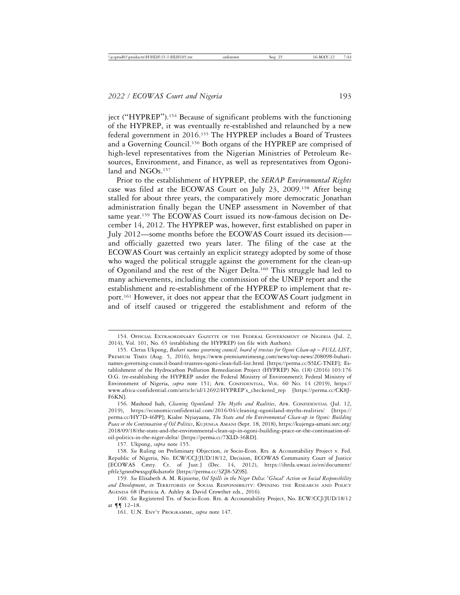ject ("HYPREP").154 Because of significant problems with the functioning of the HYPREP, it was eventually re-established and relaunched by a new federal government in 2016.155 The HYPREP includes a Board of Trustees and a Governing Council.156 Both organs of the HYPREP are comprised of high-level representatives from the Nigerian Ministries of Petroleum Resources, Environment, and Finance, as well as representatives from Ogoniland and NGOs.<sup>157</sup>

Prior to the establishment of HYPREP, the *SERAP Environmental Rights* case was filed at the ECOWAS Court on July 23, 2009.158 After being stalled for about three years, the comparatively more democratic Jonathan administration finally began the UNEP assessment in November of that same year.159 The ECOWAS Court issued its now-famous decision on December 14, 2012. The HYPREP was, however, first established on paper in July 2012—some months before the ECOWAS Court issued its decision and officially gazetted two years later. The filing of the case at the ECOWAS Court was certainly an explicit strategy adopted by some of those who waged the political struggle against the government for the clean-up of Ogoniland and the rest of the Niger Delta.160 This struggle had led to many achievements, including the commission of the UNEP report and the establishment and re-establishment of the HYPREP to implement that report.161 However, it does not appear that the ECOWAS Court judgment in and of itself caused or triggered the establishment and reform of the

157. Ukpong, *supra* note 155.

<sup>154.</sup> OFFICIAL EXTRAORDINARY GAZETTE OF THE FEDERAL GOVERNMENT OF NIGERIA (Jul. 2, 2014), Vol. 101, No. 65 (establishing the HYPREP) (on file with Authors).

<sup>155.</sup> Cletus Ukpong, *Buhari names governing council, board of trustees for Ogoni Clean-up* – *FULL LIST*, PREMIUM TIMES (Aug. 5, 2016), https://www.premiumtimesng.com/news/top-news/208098-buharinames-governing-council-board-trustees-ogoni-clean-full-list.html [https://perma.cc/S5LC-TNEF]; Establishment of the Hydrocarbon Pollution Remediation Project (HYPREP) No. (18) (2016) 103:176 O.G. (re-establishing the HYPREP under the Federal Ministry of Environment); Federal Ministry of Environment of Nigeria, *supra* note 151; AFR. CONFIDENTIAL, VOL. 60 NO. 14 (2019), https:// www.africa-confidential.com/article/id/12692/HYPREP's\_checkered\_rep [https://perma.cc/CK8J-F6KN].

<sup>156.</sup> Mashood Isah, *Cleaning Ogoniland: The Myths and Realities*, AFR. CONFIDENTIAL (Jul. 12, 2019), https://economicconfidential.com/2016/04/cleaning-ogoniland-myths-realities/ [https:// perma.cc/HY7D-46PP]; Kialee Nyiayaana, *The State and the Environmental Clean-up in Ogoni: Building Peace or the Continuation of Oil Politics*, KUJENGA AMANI (Sept. 18, 2018), https://kujenga-amani.ssrc.org/ 2018/09/18/the-state-and-the-environmental-clean-up-in-ogoni-building-peace-or-the-continuation-ofoil-politics-in-the-niger-delta/ [https://perma.cc/7XLD-36RD].

<sup>158.</sup> *See* Ruling on Preliminary Objection, *in* Socio-Econ. Rts. & Accountability Project v. Fed. Republic of Nigeria, No. ECW/CCJ/JUD/18/12, Decision, ECOWAS Community Court of Justice [ECOWAS Cmty. Ct. of Just.] (Dec. 14, 2012), https://ihrda.uwazi.io/en/document/ pftlz3gneo0wxsgq0kdszto6r [https://perma.cc/3ZJ8-5Z9S].

<sup>159.</sup> *See* Elisabeth A. M. Rijnierse, *Oil Spills in the Niger Delta:* '*Glocal' Action on Social Responsibility and Development*, *in* TERRITORIES OF SOCIAL RESPONSIBILITY: OPENING THE RESEARCH AND POLICY AGENDA 68 (Patricia A. Ashley & David Crowther eds., 2016).

<sup>160.</sup> *See* Registered Trs. of Socio-Econ. Rts. & Accountability Project, No. ECW/CCJ/JUD/18/12 at ¶¶ 12–18.

<sup>161.</sup> U.N. ENV'T PROGRAMME, *supra* note 147.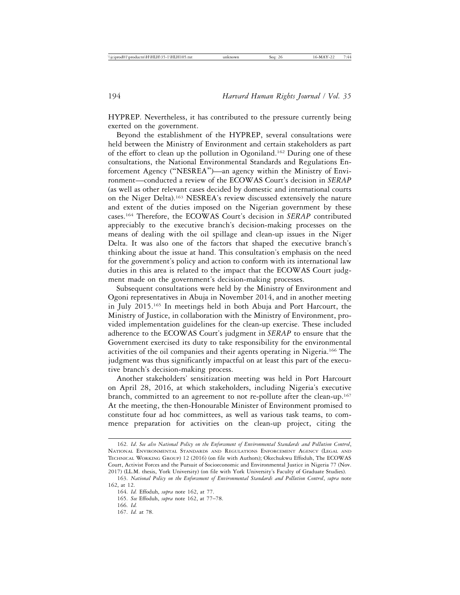HYPREP. Nevertheless, it has contributed to the pressure currently being exerted on the government.

Beyond the establishment of the HYPREP, several consultations were held between the Ministry of Environment and certain stakeholders as part of the effort to clean up the pollution in Ogoniland.162 During one of these consultations, the National Environmental Standards and Regulations Enforcement Agency ("NESREA")—an agency within the Ministry of Environment—conducted a review of the ECOWAS Court's decision in *SERAP* (as well as other relevant cases decided by domestic and international courts on the Niger Delta).163 NESREA's review discussed extensively the nature and extent of the duties imposed on the Nigerian government by these cases.164 Therefore, the ECOWAS Court's decision in *SERAP* contributed appreciably to the executive branch's decision-making processes on the means of dealing with the oil spillage and clean-up issues in the Niger Delta. It was also one of the factors that shaped the executive branch's thinking about the issue at hand. This consultation's emphasis on the need for the government's policy and action to conform with its international law duties in this area is related to the impact that the ECOWAS Court judgment made on the government's decision-making processes.

Subsequent consultations were held by the Ministry of Environment and Ogoni representatives in Abuja in November 2014, and in another meeting in July 2015.165 In meetings held in both Abuja and Port Harcourt, the Ministry of Justice, in collaboration with the Ministry of Environment, provided implementation guidelines for the clean-up exercise. These included adherence to the ECOWAS Court's judgment in *SERAP* to ensure that the Government exercised its duty to take responsibility for the environmental activities of the oil companies and their agents operating in Nigeria.166 The judgment was thus significantly impactful on at least this part of the executive branch's decision-making process.

Another stakeholders' sensitization meeting was held in Port Harcourt on April 28, 2016, at which stakeholders, including Nigeria's executive branch, committed to an agreement to not re-pollute after the clean-up.<sup>167</sup> At the meeting, the then-Honourable Minister of Environment promised to constitute four ad hoc committees, as well as various task teams, to commence preparation for activities on the clean-up project, citing the

167. *Id.* at 78.

<sup>162.</sup> *Id*. *See also National Policy on the Enforcement of Environmental Standards and Pollution Control*, NATIONAL ENVIRONMENTAL STANDARDS AND REGULATIONS ENFORCEMENT AGENCY (LEGAL AND TECHNICAL WORKING GROUP) 12 (2016) (on file with Authors); Okechukwu Effoduh, The ECOWAS Court, Activist Forces and the Pursuit of Socioeconomic and Environmental Justice in Nigeria 77 (Nov. 2017) (LL.M. thesis, York University) (on file with York University's Faculty of Graduate Studies).

<sup>163.</sup> *National Policy on the Enforcement of Environmental Standards and Pollution Control*, *supra* note 162, at 12.

<sup>164.</sup> *Id.* Effoduh, *supra* note 162, at 77.

<sup>165.</sup> *See* Effoduh, *supra* note 162, at 77–78.

<sup>166.</sup> *Id.*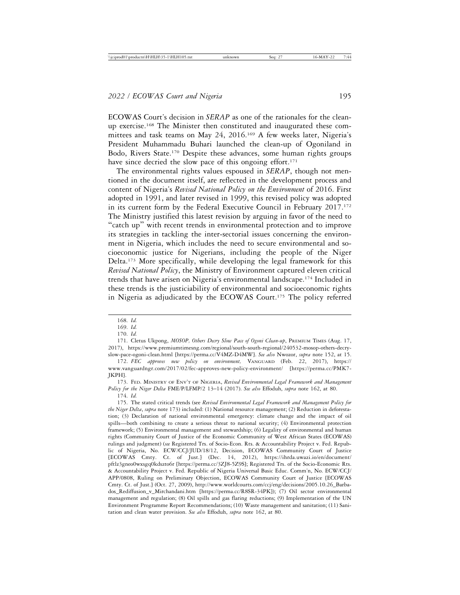ECOWAS Court's decision in *SERAP* as one of the rationales for the cleanup exercise.168 The Minister then constituted and inaugurated these committees and task teams on May 24, 2016.169 A few weeks later, Nigeria's President Muhammadu Buhari launched the clean-up of Ogoniland in Bodo, Rivers State.170 Despite these advances, some human rights groups have since decried the slow pace of this ongoing effort.<sup>171</sup>

The environmental rights values espoused in *SERAP*, though not mentioned in the document itself, are reflected in the development process and content of Nigeria's *Revised National Policy on the Environment* of 2016. First adopted in 1991, and later revised in 1999, this revised policy was adopted in its current form by the Federal Executive Council in February 2017.<sup>172</sup> The Ministry justified this latest revision by arguing in favor of the need to "catch up" with recent trends in environmental protection and to improve its strategies in tackling the inter-sectorial issues concerning the environment in Nigeria, which includes the need to secure environmental and socioeconomic justice for Nigerians, including the people of the Niger Delta.<sup>173</sup> More specifically, while developing the legal framework for this *Revised National Policy*, the Ministry of Environment captured eleven critical trends that have arisen on Nigeria's environmental landscape.174 Included in these trends is the justiciability of environmental and socioeconomic rights in Nigeria as adjudicated by the ECOWAS Court.175 The policy referred

173. FED. MINISTRY OF ENV'T OF NIGERIA, *Revised Environmental Legal Framework and Management Policy for the Niger Delta* FME/P/LFMP/2 13–14 (2017). *See also* Effoduh, *supra* note 162, at 80. 174. *Id.*

<sup>168.</sup> *Id.*

<sup>169.</sup> *Id.*

<sup>170.</sup> *Id.*

<sup>171.</sup> Cletus Ukpong, *MOSOP, Others Decry Slow Pace of Ogoni Clean-up*, PREMIUM TIMES (Aug. 17, 2017), https://www.premiumtimesng.com/regional/south-south-regional/240532-mosop-others-decryslow-pace-ogoni-clean.html [https://perma.cc/V4MZ-D4MW]. *See also* Nwozor, *supra* note 152, at 15.

<sup>172.</sup> *FEC approves new policy on environment,* VANGUARD (Feb. 22, 2017), https:// www.vanguardngr.com/2017/02/fec-approves-new-policy-environment/ [https://perma.cc/PMK7- JKPH].

<sup>175.</sup> The stated critical trends (see *Revised Environmental Legal Framework and Management Policy for the Niger Delta*, *supra* note 173) included: (1) National resource management; (2) Reduction in deforestation; (3) Declaration of national environmental emergency: climate change and the impact of oil spills—both combining to create a serious threat to national security; (4) Environmental protection framework; (5) Environmental management and stewardship; (6) Legality of environmental and human rights (Community Court of Justice of the Economic Community of West African States (ECOWAS) rulings and judgment) (*see* Registered Trs. of Socio-Econ. Rts. & Accountability Project v. Fed. Republic of Nigeria, No. ECW/CCJ/JUD/18/12, Decision, ECOWAS Community Court of Justice [ECOWAS Cmty. Ct. of Just.] (Dec. 14, 2012), https://ihrda.uwazi.io/en/document/ pftlz3gneo0wxsgq0kdszto6r [https://perma.cc/3ZJ8-5Z9S]; Registered Trs. of the Socio-Economic Rts. & Accountability Project v. Fed. Republic of Nigeria Universal Basic Educ. Comm'n, No. ECW/CCJ/ APP/0808, Ruling on Preliminary Objection, ECOWAS Community Court of Justice [ECOWAS Cmty. Ct. of Just.] (Oct. 27, 2009), http://www.worldcourts.com/ccj/eng/decisions/2005.10.26\_Barbados\_Rediffusion\_v\_Mirchandani.htm [https://perma.cc/R8SR-34PK]); (7) Oil sector environmental management and regulation; (8) Oil spills and gas flaring reductions; (9) Implementation of the UN Environment Programme Report Recommendations; (10) Waste management and sanitation; (11) Sanitation and clean water provision. *See also* Effoduh, *supra* note 162, at 80.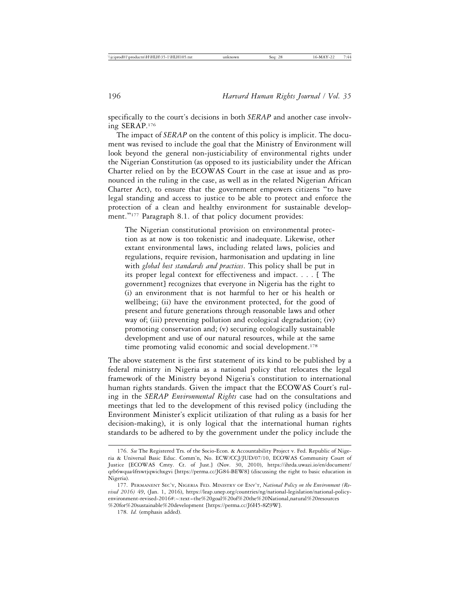specifically to the court's decisions in both *SERAP* and another case involving SERAP.176

The impact of *SERAP* on the content of this policy is implicit. The document was revised to include the goal that the Ministry of Environment will look beyond the general non-justiciability of environmental rights under the Nigerian Constitution (as opposed to its justiciability under the African Charter relied on by the ECOWAS Court in the case at issue and as pronounced in the ruling in the case, as well as in the related Nigerian African Charter Act), to ensure that the government empowers citizens "to have legal standing and access to justice to be able to protect and enforce the protection of a clean and healthy environment for sustainable development."<sup>177</sup> Paragraph 8.1. of that policy document provides:

The Nigerian constitutional provision on environmental protection as at now is too tokenistic and inadequate. Likewise, other extant environmental laws, including related laws, policies and regulations, require revision, harmonisation and updating in line with *global best standards and practices*. This policy shall be put in its proper legal context for effectiveness and impact. . . . [ The government] recognizes that everyone in Nigeria has the right to (i) an environment that is not harmful to her or his health or wellbeing; (ii) have the environment protected, for the good of present and future generations through reasonable laws and other way of; (iii) preventing pollution and ecological degradation; (iv) promoting conservation and; (v) securing ecologically sustainable development and use of our natural resources, while at the same time promoting valid economic and social development.<sup>178</sup>

The above statement is the first statement of its kind to be published by a federal ministry in Nigeria as a national policy that relocates the legal framework of the Ministry beyond Nigeria's constitution to international human rights standards. Given the impact that the ECOWAS Court's ruling in the *SERAP Environmental Rights* case had on the consultations and meetings that led to the development of this revised policy (including the Environment Minister's explicit utilization of that ruling as a basis for her decision-making), it is only logical that the international human rights standards to be adhered to by the government under the policy include the

<sup>176.</sup> *See* The Registered Trs. of the Socio-Econ. & Accountability Project v. Fed. Republic of Nigeria & Universal Basic Educ. Comm'n, No. ECW/CCJ/JUD/07/10, ECOWAS Community Court of Justice [ECOWAS Cmty. Ct. of Just.] (Nov. 30, 2010), https://ihrda.uwazi.io/en/document/ qrb6wqua4frswtjqwichxgvi [https://perma.cc/JG84-BEW8] (discussing the right to basic education in Nigeria).

<sup>177.</sup> PERMANENT SEC'Y, NIGERIA FED. MINISTRY OF ENV'T, *National Policy on the Environment (Revised 2016)* 49, (Jan. 1, 2016), https://leap.unep.org/countries/ng/national-legislation/national-policyenvironment-revised-2016#:~:text=the%20goal%20of%20the%20National,natural%20resources %20for%20sustainable%20development [https://perma.cc/J6H5-8Z9W].

<sup>178.</sup> *Id.* (emphasis added).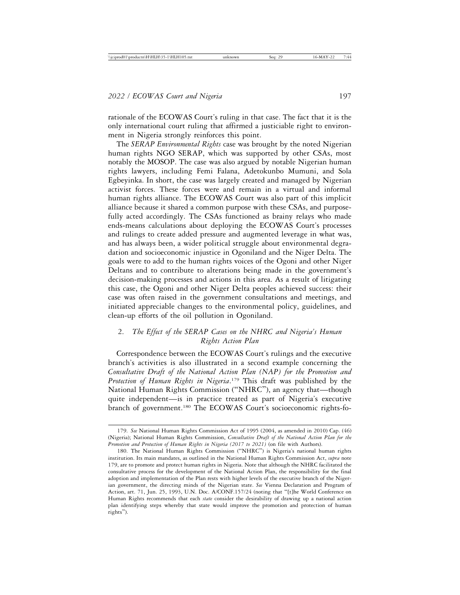rationale of the ECOWAS Court's ruling in that case. The fact that it is the only international court ruling that affirmed a justiciable right to environment in Nigeria strongly reinforces this point.

The *SERAP Environmental Rights* case was brought by the noted Nigerian human rights NGO SERAP, which was supported by other CSAs, most notably the MOSOP. The case was also argued by notable Nigerian human rights lawyers, including Femi Falana, Adetokunbo Mumuni, and Sola Egbeyinka. In short, the case was largely created and managed by Nigerian activist forces. These forces were and remain in a virtual and informal human rights alliance. The ECOWAS Court was also part of this implicit alliance because it shared a common purpose with these CSAs, and purposefully acted accordingly. The CSAs functioned as brainy relays who made ends-means calculations about deploying the ECOWAS Court's processes and rulings to create added pressure and augmented leverage in what was, and has always been, a wider political struggle about environmental degradation and socioeconomic injustice in Ogoniland and the Niger Delta. The goals were to add to the human rights voices of the Ogoni and other Niger Deltans and to contribute to alterations being made in the government's decision-making processes and actions in this area. As a result of litigating this case, the Ogoni and other Niger Delta peoples achieved success: their case was often raised in the government consultations and meetings, and initiated appreciable changes to the environmental policy, guidelines, and clean-up efforts of the oil pollution in Ogoniland.

# 2. *The Effect of the SERAP Cases on the NHRC and Nigeria's Human Rights Action Plan*

Correspondence between the ECOWAS Court's rulings and the executive branch's activities is also illustrated in a second example concerning the *Consultative Draft of the National Action Plan (NAP) for the Promotion and Protection of Human Rights in Nigeria*. 179 This draft was published by the National Human Rights Commission ("NHRC"), an agency that—though quite independent—is in practice treated as part of Nigeria's executive branch of government.<sup>180</sup> The ECOWAS Court's socioeconomic rights-fo-

<sup>179.</sup> *See* National Human Rights Commission Act of 1995 (2004, as amended in 2010) Cap. (46) (Nigeria); National Human Rights Commission, *Consultative Draft of the National Action Plan for the Promotion and Protection of Human Rights in Nigeria (2017 to 2021)* (on file with Authors).

<sup>180.</sup> The National Human Rights Commission ("NHRC") is Nigeria's national human rights institution. Its main mandates, as outlined in the National Human Rights Commission Act, *supra* note 179, are to promote and protect human rights in Nigeria. Note that although the NHRC facilitated the consultative process for the development of the National Action Plan, the responsibility for the final adoption and implementation of the Plan rests with higher levels of the executive branch of the Nigerian government, the directing minds of the Nigerian state. *See* Vienna Declaration and Program of Action, art. 71, Jun. 25, 1993, U.N. Doc. A/CONF.157/24 (noting that "[t]he World Conference on Human Rights recommends that each *state* consider the desirability of drawing up a national action plan identifying steps whereby that state would improve the promotion and protection of human rights").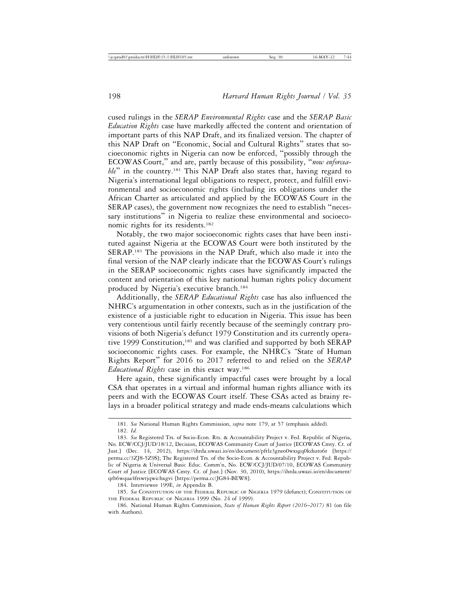cused rulings in the *SERAP Environmental Rights* case and the *SERAP Basic Education Rights* case have markedly affected the content and orientation of important parts of this NAP Draft, and its finalized version. The chapter of this NAP Draft on "Economic, Social and Cultural Rights" states that socioeconomic rights in Nigeria can now be enforced, "possibly through the ECOWAS Court," and are, partly because of this possibility, "*now enforcea*ble" in the country.<sup>181</sup> This NAP Draft also states that, having regard to Nigeria's international legal obligations to respect, protect, and fulfill environmental and socioeconomic rights (including its obligations under the African Charter as articulated and applied by the ECOWAS Court in the SERAP cases), the government now recognizes the need to establish "necessary institutions" in Nigeria to realize these environmental and socioeconomic rights for its residents.<sup>182</sup>

Notably, the two major socioeconomic rights cases that have been instituted against Nigeria at the ECOWAS Court were both instituted by the SERAP.183 The provisions in the NAP Draft, which also made it into the final version of the NAP clearly indicate that the ECOWAS Court's rulings in the SERAP socioeconomic rights cases have significantly impacted the content and orientation of this key national human rights policy document produced by Nigeria's executive branch.184

Additionally, the *SERAP Educational Rights* case has also influenced the NHRC's argumentation in other contexts, such as in the justification of the existence of a justiciable right to education in Nigeria. This issue has been very contentious until fairly recently because of the seemingly contrary provisions of both Nigeria's defunct 1979 Constitution and its currently operative 1999 Constitution,<sup>185</sup> and was clarified and supported by both SERAP socioeconomic rights cases. For example, the NHRC's "State of Human Rights Report" for 2016 to 2017 referred to and relied on the *SERAP Educational Rights* case in this exact way.186

Here again, these significantly impactful cases were brought by a local CSA that operates in a virtual and informal human rights alliance with its peers and with the ECOWAS Court itself. These CSAs acted as brainy relays in a broader political strategy and made ends-means calculations which

<sup>181.</sup> *See* National Human Rights Commission, *supra* note 179, at 57 (emphasis added).

<sup>182.</sup> *Id.*

<sup>183.</sup> *See* Registered Trs. of Socio-Econ. Rts. & Accountability Project v. Fed. Republic of Nigeria, No. ECW/CCJ/JUD/18/12, Decision, ECOWAS Community Court of Justice [ECOWAS Cmty. Ct. of Just.] (Dec. 14, 2012), https://ihrda.uwazi.io/en/document/pftlz3gneo0wxsgq0kdszto6r [https:// perma.cc/3ZJ8-5Z9S]; The Registered Trs. of the Socio-Econ. & Accountability Project v. Fed. Republic of Nigeria & Universal Basic Educ. Comm'n, No. ECW/CCJ/JUD/07/10, ECOWAS Community Court of Justice [ECOWAS Cmty. Ct. of Just.] (Nov. 30, 2010), https://ihrda.uwazi.io/en/document/ qrb6wqua4frswtjqwichxgvi [https://perma.cc/JG84-BEW8].

<sup>184.</sup> Interviewee 199E, *in* Appendix B.

<sup>185.</sup> *See* CONSTITUTION OF THE FEDERAL REPUBLIC OF NIGERIA 1979 (defunct); CONSTITUTION OF THE FEDERAL REPUBLIC OF NIGERIA 1999 (No. 24 of 1999).

<sup>186.</sup> National Human Rights Commission, *State of Human Rights Report (2016*–*2017)* 81 (on file with Authors).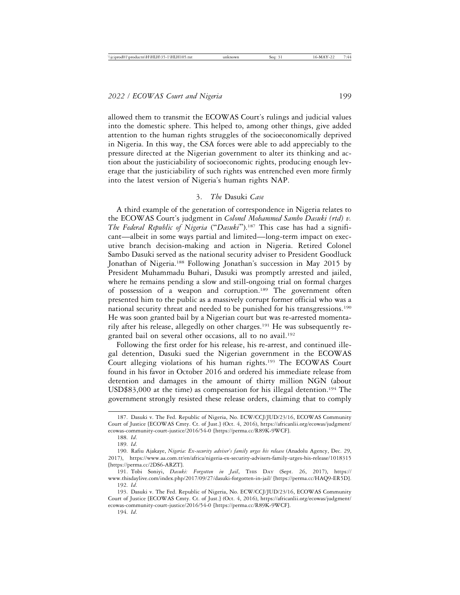allowed them to transmit the ECOWAS Court's rulings and judicial values into the domestic sphere. This helped to, among other things, give added attention to the human rights struggles of the socioeconomically deprived in Nigeria. In this way, the CSA forces were able to add appreciably to the pressure directed at the Nigerian government to alter its thinking and action about the justiciability of socioeconomic rights, producing enough leverage that the justiciability of such rights was entrenched even more firmly into the latest version of Nigeria's human rights NAP.

#### 3. *The* Dasuki *Case*

A third example of the generation of correspondence in Nigeria relates to the ECOWAS Court's judgment in *Colonel Mohammed Sambo Dasuki (rtd) v. The Federal Republic of Nigeria* ("*Dasuki*").187 This case has had a significant—albeit in some ways partial and limited—long-term impact on executive branch decision-making and action in Nigeria. Retired Colonel Sambo Dasuki served as the national security adviser to President Goodluck Jonathan of Nigeria.<sup>188</sup> Following Jonathan's succession in May 2015 by President Muhammadu Buhari, Dasuki was promptly arrested and jailed, where he remains pending a slow and still-ongoing trial on formal charges of possession of a weapon and corruption.189 The government often presented him to the public as a massively corrupt former official who was a national security threat and needed to be punished for his transgressions.190 He was soon granted bail by a Nigerian court but was re-arrested momentarily after his release, allegedly on other charges.191 He was subsequently regranted bail on several other occasions, all to no avail.<sup>192</sup>

Following the first order for his release, his re-arrest, and continued illegal detention, Dasuki sued the Nigerian government in the ECOWAS Court alleging violations of his human rights.193 The ECOWAS Court found in his favor in October 2016 and ordered his immediate release from detention and damages in the amount of thirty million NGN (about USD\$83,000 at the time) as compensation for his illegal detention.194 The government strongly resisted these release orders, claiming that to comply

<sup>187.</sup> Dasuki v. The Fed. Republic of Nigeria, No. ECW/CCJ/JUD/23/16, ECOWAS Community Court of Justice [ECOWAS Cmty. Ct. of Just.] (Oct. 4, 2016), https://africanlii.org/ecowas/judgment/ ecowas-community-court-justice/2016/54-0 [https://perma.cc/R89K-9WCF].

<sup>188.</sup> *Id*.

<sup>189.</sup> *Id*.

<sup>190.</sup> Rafiu Ajakaye, *Nigeria: Ex-security adviser's family urges his release* (Anadolu Agency, Dec. 29, 2017), https://www.aa.com.tr/en/africa/nigeria-ex-security-advisers-family-urges-his-release/1018315 [https://perma.cc/2DS6-ARZT].

<sup>191.</sup> Tobi Soniyi, *Dasuki: Forgotten in Jail*, THIS DAY (Sept. 26, 2017), https:// www.thisdaylive.com/index.php/2017/09/27/dasuki-forgotten-in-jail/ [https://perma.cc/HAQ9-ER5D]. 192. *Id*.

<sup>193.</sup> Dasuki v. The Fed. Republic of Nigeria, No. ECW/CCJ/JUD/23/16, ECOWAS Community Court of Justice [ECOWAS Cmty. Ct. of Just.] (Oct. 4, 2016), https://africanlii.org/ecowas/judgment/ ecowas-community-court-justice/2016/54-0 [https://perma.cc/R89K-9WCF].

<sup>194.</sup> *Id*.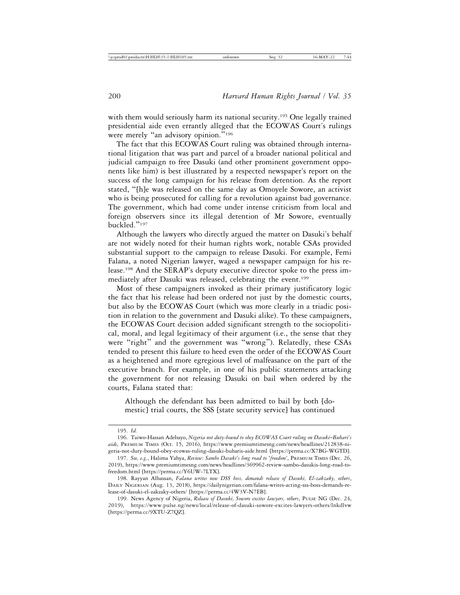with them would seriously harm its national security.<sup>195</sup> One legally trained presidential aide even errantly alleged that the ECOWAS Court's rulings were merely "an advisory opinion."<sup>196</sup>

The fact that this ECOWAS Court ruling was obtained through international litigation that was part and parcel of a broader national political and judicial campaign to free Dasuki (and other prominent government opponents like him) is best illustrated by a respected newspaper's report on the success of the long campaign for his release from detention. As the report stated, "[h]e was released on the same day as Omoyele Sowore, an activist who is being prosecuted for calling for a revolution against bad governance. The government, which had come under intense criticism from local and foreign observers since its illegal detention of Mr Sowore, eventually buckled."<sup>197</sup>

Although the lawyers who directly argued the matter on Dasuki's behalf are not widely noted for their human rights work, notable CSAs provided substantial support to the campaign to release Dasuki. For example, Femi Falana, a noted Nigerian lawyer, waged a newspaper campaign for his release.198 And the SERAP's deputy executive director spoke to the press immediately after Dasuki was released, celebrating the event.199

Most of these campaigners invoked as their primary justificatory logic the fact that his release had been ordered not just by the domestic courts, but also by the ECOWAS Court (which was more clearly in a triadic position in relation to the government and Dasuki alike). To these campaigners, the ECOWAS Court decision added significant strength to the sociopolitical, moral, and legal legitimacy of their argument (i.e., the sense that they were "right" and the government was "wrong"). Relatedly, these CSAs tended to present this failure to heed even the order of the ECOWAS Court as a heightened and more egregious level of malfeasance on the part of the executive branch. For example, in one of his public statements attacking the government for not releasing Dasuki on bail when ordered by the courts, Falana stated that:

Although the defendant has been admitted to bail by both [domestic] trial courts, the SSS [state security service] has continued

<sup>195.</sup> *Id.*

<sup>196.</sup> Taiwo-Hassan Adebayo, *Nigeria not duty-bound to obey ECOWAS Court ruling on Dasuki*–*Buhari's aide*, PREMIUM TIMES (Oct. 15, 2016), https://www.premiumtimesng.com/news/headlines/212838-nigeria-not-duty-bound-obey-ecowas-ruling-dasuki-buharis-aide.html [https://perma.cc/X7BG-WGTD].

<sup>197.</sup> *See, e.g.*, Halima Yahya, *Review: Sambo Dasuki's long road to* '*freedom'*, PREMIUM TIMES (Dec. 26, 2019), https://www.premiumtimesng.com/news/headlines/369962-review-sambo-dasukis-long-road-tofreedom.html [https://perma.cc/Y6UW-7LTX].

<sup>198.</sup> Rayyan Alhassan, *Falana writes new DSS boss, demands release of Dasuki, El-zakzaky, others*, DAILY NIGERIAN (Aug. 13, 2018), https://dailynigerian.com/falana-writes-acting-sss-boss-demands-release-of-dasuki-el-zakzaky-others/ [https://perma.cc/4W3V-N7EB].

<sup>199.</sup> News Agency of Nigeria, *Release of Dasuki, Sowore excites lawyers, others*, PULSE NG (Dec. 24, 2019), https://www.pulse.ng/news/local/release-of-dasuki-sowore-excites-lawyers-others/lnkdlvw [https://perma.cc/9XTU-Z7QZ].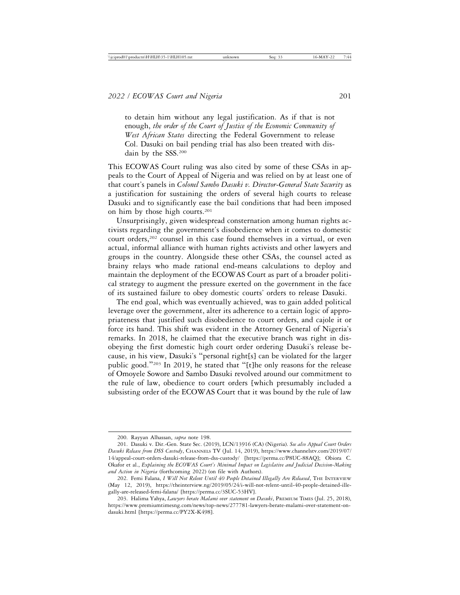to detain him without any legal justification. As if that is not enough, *the order of the Court of Justice of the Economic Community of West African States* directing the Federal Government to release Col. Dasuki on bail pending trial has also been treated with disdain by the SSS.200

This ECOWAS Court ruling was also cited by some of these CSAs in appeals to the Court of Appeal of Nigeria and was relied on by at least one of that court's panels in *Colonel Sambo Dasuki v. Director-General State Security* as a justification for sustaining the orders of several high courts to release Dasuki and to significantly ease the bail conditions that had been imposed on him by those high courts.201

Unsurprisingly, given widespread consternation among human rights activists regarding the government's disobedience when it comes to domestic court orders,<sup>202</sup> counsel in this case found themselves in a virtual, or even actual, informal alliance with human rights activists and other lawyers and groups in the country. Alongside these other CSAs, the counsel acted as brainy relays who made rational end-means calculations to deploy and maintain the deployment of the ECOWAS Court as part of a broader political strategy to augment the pressure exerted on the government in the face of its sustained failure to obey domestic courts' orders to release Dasuki.

The end goal, which was eventually achieved, was to gain added political leverage over the government, alter its adherence to a certain logic of appropriateness that justified such disobedience to court orders, and cajole it or force its hand. This shift was evident in the Attorney General of Nigeria's remarks. In 2018, he claimed that the executive branch was right in disobeying the first domestic high court order ordering Dasuki's release because, in his view, Dasuki's "personal right[s] can be violated for the larger public good."203 In 2019, he stated that "[t]he only reasons for the release of Omoyele Sowore and Sambo Dasuki revolved around our commitment to the rule of law, obedience to court orders [which presumably included a subsisting order of the ECOWAS Court that it was bound by the rule of law

<sup>200.</sup> Rayyan Alhassan, *supra* note 198.

<sup>201.</sup> Dasuki v. Dir.-Gen. State Sec. (2019), LCN/13916 (CA) (Nigeria). *See also Appeal Court Orders Dasuki Release from DSS Custody*, CHANNELS TV (Jul. 14, 2019), https://www.channelstv.com/2019/07/ 14/appeal-court-orders-dasuki-release-from-dss-custody/ [https://perma.cc/P8UC-88AQ]; Obiora C. Okafor et al., *Explaining the ECOWAS Court's Minimal Impact on Legislative and Judicial Decision-Making and Action in Nigeria* (forthcoming 2022) (on file with Authors).

<sup>202.</sup> Femi Falana, *I Will Not Relent Until 40 People Detained Illegally Are Released*, THE INTERVIEW (May 12, 2019), https://theinterview.ng/2019/05/24/i-will-not-relent-until-40-people-detained-illegally-are-released-femi-falana/ [https://perma.cc/3SUC-53HV].

<sup>203.</sup> Halima Yahya, *Lawyers berate Malami over statement on Dasuki*, PREMIUM TIMES (Jul. 25, 2018), https://www.premiumtimesng.com/news/top-news/277781-lawyers-berate-malami-over-statement-ondasuki.html [https://perma.cc/PY2X-K498].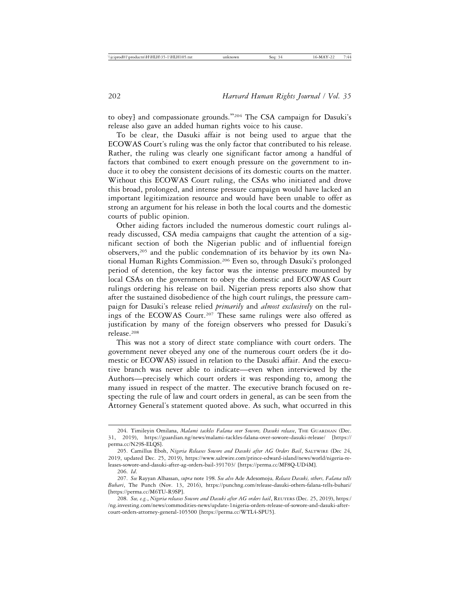to obey] and compassionate grounds."204 The CSA campaign for Dasuki's release also gave an added human rights voice to his cause.

To be clear, the Dasuki affair is not being used to argue that the ECOWAS Court's ruling was the only factor that contributed to his release. Rather, the ruling was clearly one significant factor among a handful of factors that combined to exert enough pressure on the government to induce it to obey the consistent decisions of its domestic courts on the matter. Without this ECOWAS Court ruling, the CSAs who initiated and drove this broad, prolonged, and intense pressure campaign would have lacked an important legitimization resource and would have been unable to offer as strong an argument for his release in both the local courts and the domestic courts of public opinion.

Other aiding factors included the numerous domestic court rulings already discussed, CSA media campaigns that caught the attention of a significant section of both the Nigerian public and of influential foreign observers,205 and the public condemnation of its behavior by its own National Human Rights Commission.206 Even so, through Dasuki's prolonged period of detention, the key factor was the intense pressure mounted by local CSAs on the government to obey the domestic and ECOWAS Court rulings ordering his release on bail. Nigerian press reports also show that after the sustained disobedience of the high court rulings, the pressure campaign for Dasuki's release relied *primarily* and *almost exclusively* on the rulings of the ECOWAS Court.<sup>207</sup> These same rulings were also offered as justification by many of the foreign observers who pressed for Dasuki's release.208

This was not a story of direct state compliance with court orders. The government never obeyed any one of the numerous court orders (be it domestic or ECOWAS) issued in relation to the Dasuki affair. And the executive branch was never able to indicate—even when interviewed by the Authors—precisely which court orders it was responding to, among the many issued in respect of the matter. The executive branch focused on respecting the rule of law and court orders in general, as can be seen from the Attorney General's statement quoted above. As such, what occurred in this

<sup>204.</sup> Timileyin Omilana, *Malami tackles Falana over Sowore, Dasuki release*, THE GUARDIAN (Dec. 31, 2019), https://guardian.ng/news/malami-tackles-falana-over-sowore-dasuki-release/ [https:// perma.cc/N29S-ELQS].

<sup>205.</sup> Camillus Eboh, *Nigeria Releases Sowore and Dasuki after AG Orders Bail*, SALTWIRE (Dec 24, 2019, updated Dec. 25, 2019), https://www.saltwire.com/prince-edward-island/news/world/nigeria-releases-sowore-and-dasuki-after-ag-orders-bail-391703/ [https://perma.cc/MF8Q-UD4M].

<sup>206.</sup> *Id*.

<sup>207.</sup> *See* Rayyan Alhassan, *supra* note 198. *See also* Ade Adesomoju*, Release Dasuki, others, Falana tells Buhari*, The Punch (Nov. 13, 2016), https://punchng.com/release-dasuki-others-falana-tells-buhari/ [https://perma.cc/M6TU-R9SP].

<sup>208.</sup> *See, e.g.*, *Nigeria releases Sowore and Dasuki after AG orders bail*, REUTERS (Dec. 25, 2019), https:/ /ng.investing.com/news/commodities-news/update-1nigeria-orders-release-of-sowore-and-dasuki-aftercourt-orders-attorney-general-105500 [https://perma.cc/WTL4-SPU5].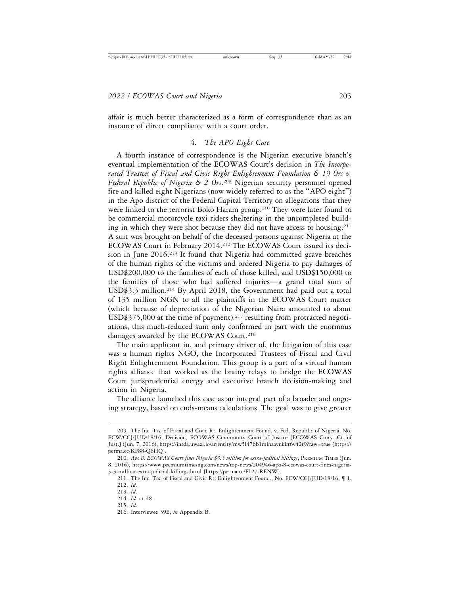affair is much better characterized as a form of correspondence than as an instance of direct compliance with a court order.

#### 4. *The APO Eight Case*

A fourth instance of correspondence is the Nigerian executive branch's eventual implementation of the ECOWAS Court's decision in *The Incorporated Trustees of Fiscal and Civic Right Enlightenment Foundation & 19 Ors v. Federal Republic of Nigeria & 2 Ors*. 209 Nigerian security personnel opened fire and killed eight Nigerians (now widely referred to as the "APO eight") in the Apo district of the Federal Capital Territory on allegations that they were linked to the terrorist Boko Haram group.<sup>210</sup> They were later found to be commercial motorcycle taxi riders sheltering in the uncompleted building in which they were shot because they did not have access to housing.<sup>211</sup> A suit was brought on behalf of the deceased persons against Nigeria at the ECOWAS Court in February 2014.212 The ECOWAS Court issued its decision in June 2016.213 It found that Nigeria had committed grave breaches of the human rights of the victims and ordered Nigeria to pay damages of USD\$200,000 to the families of each of those killed, and USD\$150,000 to the families of those who had suffered injuries—a grand total sum of USD\$3.3 million.214 By April 2018, the Government had paid out a total of 135 million NGN to all the plaintiffs in the ECOWAS Court matter (which because of depreciation of the Nigerian Naira amounted to about  $\text{USD$375,000}$  at the time of payment).<sup>215</sup> resulting from protracted negotiations, this much-reduced sum only conformed in part with the enormous damages awarded by the ECOWAS Court.<sup>216</sup>

The main applicant in, and primary driver of, the litigation of this case was a human rights NGO, the Incorporated Trustees of Fiscal and Civil Right Enlightenment Foundation. This group is a part of a virtual human rights alliance that worked as the brainy relays to bridge the ECOWAS Court jurisprudential energy and executive branch decision-making and action in Nigeria.

The alliance launched this case as an integral part of a broader and ongoing strategy, based on ends-means calculations. The goal was to give greater

<sup>209.</sup> The Inc. Trs. of Fiscal and Civic Rt. Enlightenment Found. v. Fed. Republic of Nigeria, No. ECW/CCJ/JUD/18/16, Decision, ECOWAS Community Court of Justice [ECOWAS Cmty. Ct. of Just.] (Jun. 7, 2016), https://ihrda.uwazi.io/ar/entity/mw5l47bb1mlnaaynkkt6v42t9?raw=true [https:// perma.cc/KF88-Q6HQ].

<sup>210.</sup> *Apo 8: ECOWAS Court fines Nigeria \$3.3 million for extra-judicial killings*, PREMIUM TIMES (Jun. 8, 2016), https://www.premiumtimesng.com/news/top-news/204946-apo-8-ecowas-court-fines-nigeria-3-3-million-extra-judicial-killings.html [https://perma.cc/FL27-RENW].

<sup>211.</sup> The Inc. Trs. of Fiscal and Civic Rt. Enlightenment Found., No. ECW/CCJ/JUD/18/16, ¶ 1. 212. *Id*.

<sup>213.</sup> *Id*.

<sup>214.</sup> *Id.* at 48.

<sup>215.</sup> *Id*.

<sup>216.</sup> Interviewee 39E, *in* Appendix B.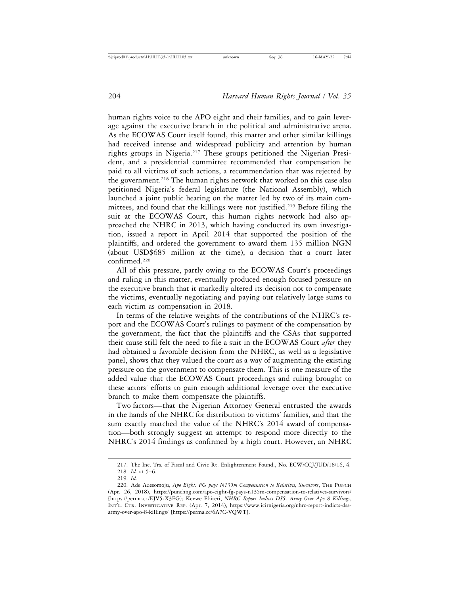human rights voice to the APO eight and their families, and to gain leverage against the executive branch in the political and administrative arena. As the ECOWAS Court itself found, this matter and other similar killings had received intense and widespread publicity and attention by human rights groups in Nigeria.217 These groups petitioned the Nigerian President, and a presidential committee recommended that compensation be paid to all victims of such actions, a recommendation that was rejected by the government.<sup>218</sup> The human rights network that worked on this case also petitioned Nigeria's federal legislature (the National Assembly), which launched a joint public hearing on the matter led by two of its main committees, and found that the killings were not justified.<sup>219</sup> Before filing the suit at the ECOWAS Court, this human rights network had also approached the NHRC in 2013, which having conducted its own investigation, issued a report in April 2014 that supported the position of the plaintiffs, and ordered the government to award them 135 million NGN (about USD\$685 million at the time), a decision that a court later confirmed.220

All of this pressure, partly owing to the ECOWAS Court's proceedings and ruling in this matter, eventually produced enough focused pressure on the executive branch that it markedly altered its decision not to compensate the victims, eventually negotiating and paying out relatively large sums to each victim as compensation in 2018.

In terms of the relative weights of the contributions of the NHRC's report and the ECOWAS Court's rulings to payment of the compensation by the government, the fact that the plaintiffs and the CSAs that supported their cause still felt the need to file a suit in the ECOWAS Court *after* they had obtained a favorable decision from the NHRC, as well as a legislative panel, shows that they valued the court as a way of augmenting the existing pressure on the government to compensate them. This is one measure of the added value that the ECOWAS Court proceedings and ruling brought to these actors' efforts to gain enough additional leverage over the executive branch to make them compensate the plaintiffs.

Two factors—that the Nigerian Attorney General entrusted the awards in the hands of the NHRC for distribution to victims' families, and that the sum exactly matched the value of the NHRC's 2014 award of compensation—both strongly suggest an attempt to respond more directly to the NHRC's 2014 findings as confirmed by a high court. However, an NHRC

<sup>217.</sup> The Inc. Trs. of Fiscal and Civic Rt. Enlightenment Found., No. ECW/CCJ/JUD/18/16, 4.

<sup>218.</sup> *Id*. at 5–6.

<sup>219.</sup> *Id.*

<sup>220.</sup> Ade Adesomoju, *Apo Eight: FG pays N135m Compensation to Relatives, Survivors*, THE PUNCH (Apr. 26, 2018), https://punchng.com/apo-eight-fg-pays-n135m-compensation-to-relatives-survivors/ [https://perma.cc/EJV5-X3EG]; Kevwe Ebireri, *NHRC Report Indicts DSS, Army Over Apo 8 Killings*, INT'L. CTR. INVESTIGATIVE REP. (Apr. 7, 2014), https://www.icirnigeria.org/nhrc-report-indicts-dssarmy-over-apo-8-killings/ [https://perma.cc/6A7C-VQWT].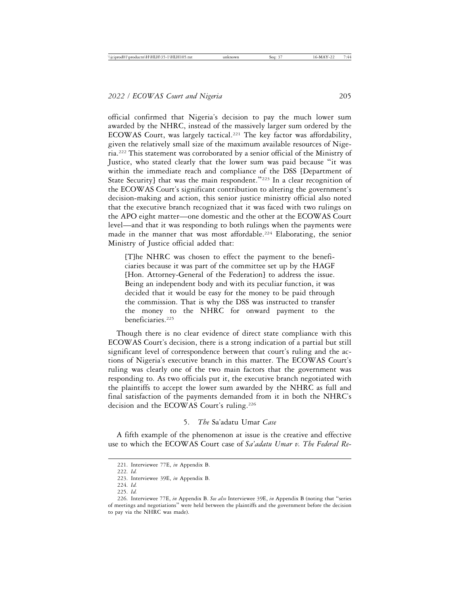official confirmed that Nigeria's decision to pay the much lower sum awarded by the NHRC, instead of the massively larger sum ordered by the ECOWAS Court, was largely tactical.<sup>221</sup> The key factor was affordability, given the relatively small size of the maximum available resources of Nigeria.222 This statement was corroborated by a senior official of the Ministry of Justice, who stated clearly that the lower sum was paid because "it was within the immediate reach and compliance of the DSS [Department of State Security] that was the main respondent."<sup>223</sup> In a clear recognition of the ECOWAS Court's significant contribution to altering the government's decision-making and action, this senior justice ministry official also noted that the executive branch recognized that it was faced with two rulings on the APO eight matter—one domestic and the other at the ECOWAS Court level—and that it was responding to both rulings when the payments were made in the manner that was most affordable.<sup>224</sup> Elaborating, the senior Ministry of Justice official added that:

[T]he NHRC was chosen to effect the payment to the beneficiaries because it was part of the committee set up by the HAGF [Hon. Attorney-General of the Federation] to address the issue. Being an independent body and with its peculiar function, it was decided that it would be easy for the money to be paid through the commission. That is why the DSS was instructed to transfer the money to the NHRC for onward payment to the beneficiaries.225

Though there is no clear evidence of direct state compliance with this ECOWAS Court's decision, there is a strong indication of a partial but still significant level of correspondence between that court's ruling and the actions of Nigeria's executive branch in this matter. The ECOWAS Court's ruling was clearly one of the two main factors that the government was responding to. As two officials put it, the executive branch negotiated with the plaintiffs to accept the lower sum awarded by the NHRC as full and final satisfaction of the payments demanded from it in both the NHRC's decision and the ECOWAS Court's ruling.<sup>226</sup>

5. *The* Sa'adatu Umar *Case*

A fifth example of the phenomenon at issue is the creative and effective use to which the ECOWAS Court case of *Sa'adatu Umar v. The Federal Re-*

<sup>221.</sup> Interviewee 77E, *in* Appendix B.

<sup>222.</sup> *Id.*

<sup>223.</sup> Interviewee 39E, *in* Appendix B.

<sup>224.</sup> *Id.*

<sup>225.</sup> *Id.*

<sup>226.</sup> Interviewee 77E, *in* Appendix B. *See also* Interviewee 39E, *in* Appendix B (noting that "series of meetings and negotiations" were held between the plaintiffs and the government before the decision to pay via the NHRC was made).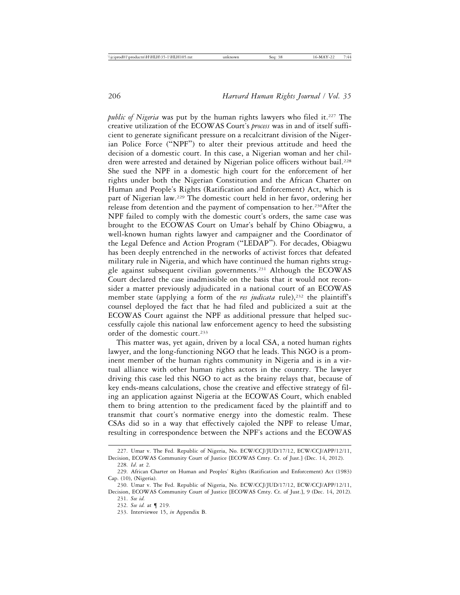*public of Nigeria* was put by the human rights lawyers who filed it.<sup>227</sup> The creative utilization of the ECOWAS Court's *process* was in and of itself sufficient to generate significant pressure on a recalcitrant division of the Nigerian Police Force ("NPF") to alter their previous attitude and heed the decision of a domestic court. In this case, a Nigerian woman and her children were arrested and detained by Nigerian police officers without bail.<sup>228</sup> She sued the NPF in a domestic high court for the enforcement of her rights under both the Nigerian Constitution and the African Charter on Human and People's Rights (Ratification and Enforcement) Act, which is part of Nigerian law.229 The domestic court held in her favor, ordering her release from detention and the payment of compensation to her.<sup>230</sup>After the NPF failed to comply with the domestic court's orders, the same case was brought to the ECOWAS Court on Umar's behalf by Chino Obiagwu, a well-known human rights lawyer and campaigner and the Coordinator of the Legal Defence and Action Program ("LEDAP"). For decades, Obiagwu has been deeply entrenched in the networks of activist forces that defeated military rule in Nigeria, and which have continued the human rights struggle against subsequent civilian governments.231 Although the ECOWAS Court declared the case inadmissible on the basis that it would not reconsider a matter previously adjudicated in a national court of an ECOWAS member state (applying a form of the *res judicata* rule),<sup>232</sup> the plaintiff's counsel deployed the fact that he had filed and publicized a suit at the ECOWAS Court against the NPF as additional pressure that helped successfully cajole this national law enforcement agency to heed the subsisting order of the domestic court.233

This matter was, yet again, driven by a local CSA, a noted human rights lawyer, and the long-functioning NGO that he leads. This NGO is a prominent member of the human rights community in Nigeria and is in a virtual alliance with other human rights actors in the country. The lawyer driving this case led this NGO to act as the brainy relays that, because of key ends-means calculations, chose the creative and effective strategy of filing an application against Nigeria at the ECOWAS Court, which enabled them to bring attention to the predicament faced by the plaintiff and to transmit that court's normative energy into the domestic realm. These CSAs did so in a way that effectively cajoled the NPF to release Umar, resulting in correspondence between the NPF's actions and the ECOWAS

<sup>227.</sup> Umar v. The Fed. Republic of Nigeria, No. ECW/CCJ/JUD/17/12, ECW/CCJ/APP/12/11, Decision, ECOWAS Community Court of Justice [ECOWAS Cmty. Ct. of Just.] (Dec. 14, 2012). 228. *Id*. at 2.

<sup>229.</sup> African Charter on Human and Peoples' Rights (Ratification and Enforcement) Act (1983) Cap. (10), (Nigeria).

<sup>230.</sup> Umar v. The Fed. Republic of Nigeria, No. ECW/CCJ/JUD/17/12, ECW/CCJ/APP/12/11, Decision, ECOWAS Community Court of Justice [ECOWAS Cmty. Ct. of Just.], 9 (Dec. 14, 2012).

<sup>231.</sup> *See id.*

<sup>232.</sup> *See id.* at ¶ 219.

<sup>233.</sup> Interviewee 15, *in* Appendix B.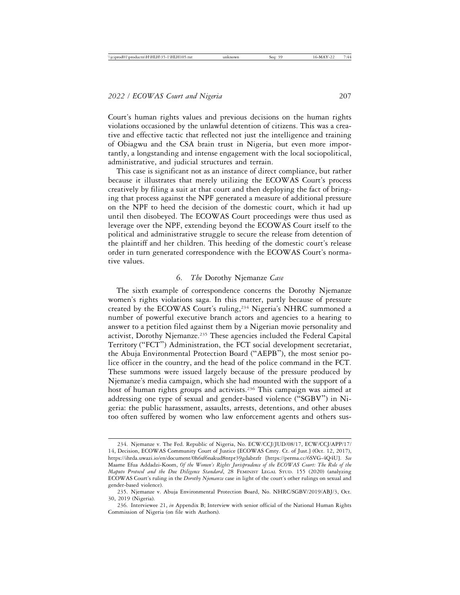Court's human rights values and previous decisions on the human rights violations occasioned by the unlawful detention of citizens. This was a creative and effective tactic that reflected not just the intelligence and training of Obiagwu and the CSA brain trust in Nigeria, but even more importantly, a longstanding and intense engagement with the local sociopolitical, administrative, and judicial structures and terrain.

This case is significant not as an instance of direct compliance, but rather because it illustrates that merely utilizing the ECOWAS Court's process creatively by filing a suit at that court and then deploying the fact of bringing that process against the NPF generated a measure of additional pressure on the NPF to heed the decision of the domestic court, which it had up until then disobeyed. The ECOWAS Court proceedings were thus used as leverage over the NPF, extending beyond the ECOWAS Court itself to the political and administrative struggle to secure the release from detention of the plaintiff and her children. This heeding of the domestic court's release order in turn generated correspondence with the ECOWAS Court's normative values.

#### 6. *The* Dorothy Njemanze *Case*

The sixth example of correspondence concerns the Dorothy Njemanze women's rights violations saga. In this matter, partly because of pressure created by the ECOWAS Court's ruling,<sup>234</sup> Nigeria's NHRC summoned a number of powerful executive branch actors and agencies to a hearing to answer to a petition filed against them by a Nigerian movie personality and activist, Dorothy Njemanze.235 These agencies included the Federal Capital Territory ("FCT") Administration, the FCT social development secretariat, the Abuja Environmental Protection Board ("AEPB"), the most senior police officer in the country, and the head of the police command in the FCT. These summons were issued largely because of the pressure produced by Njemanze's media campaign, which she had mounted with the support of a host of human rights groups and activists.<sup>236</sup> This campaign was aimed at addressing one type of sexual and gender-based violence ("SGBV") in Nigeria: the public harassment, assaults, arrests, detentions, and other abuses too often suffered by women who law enforcement agents and others sus-

<sup>234.</sup> Njemanze v. The Fed. Republic of Nigeria, No. ECW/CCJ/JUD/08/17, ECW/CCJ/APP/17/ 14, Decision, ECOWAS Community Court of Justice [ECOWAS Cmty. Ct. of Just.] (Oct. 12, 2017), https://ihrda.uwazi.io/en/document/0h6sf6nakud8ntpr39gdabrzfr [https://perma.cc/6SVG-4Q4U]. *See* Maame Efua Addadzi-Koom, *Of the Women's Rights Jurisprudence of the ECOWAS Court: The Role of the Maputo Protocol and the Due Diligence Standard*, 28 FEMINIST LEGAL STUD. 155 (2020) (analyzing ECOWAS Court's ruling in the *Dorothy Njemanze* case in light of the court's other rulings on sexual and gender-based violence).

<sup>235.</sup> Njemanze v. Abuja Environmental Protection Board, No. NHRC/SGBV/2019/ABJ/3, Oct. 30, 2019 (Nigeria).

<sup>236.</sup> Interviewee 21, *in* Appendix B; Interview with senior official of the National Human Rights Commission of Nigeria (on file with Authors).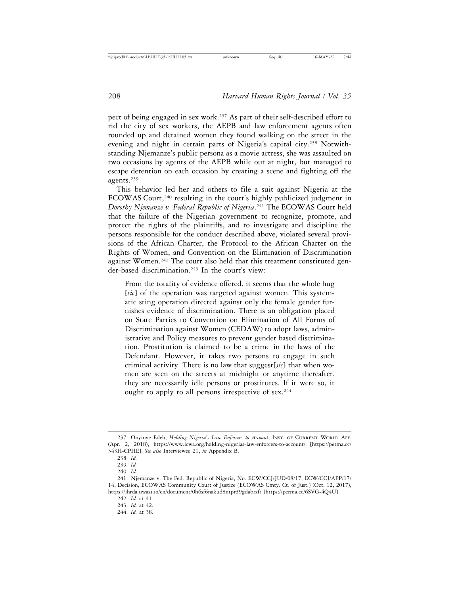pect of being engaged in sex work.237 As part of their self-described effort to rid the city of sex workers, the AEPB and law enforcement agents often rounded up and detained women they found walking on the street in the evening and night in certain parts of Nigeria's capital city.<sup>238</sup> Notwithstanding Njemanze's public persona as a movie actress, she was assaulted on two occasions by agents of the AEPB while out at night, but managed to escape detention on each occasion by creating a scene and fighting off the agents.239

This behavior led her and others to file a suit against Nigeria at the ECOWAS Court,<sup>240</sup> resulting in the court's highly publicized judgment in *Dorothy Njemanze v. Federal Republic of Nigeria*. 241 The ECOWAS Court held that the failure of the Nigerian government to recognize, promote, and protect the rights of the plaintiffs, and to investigate and discipline the persons responsible for the conduct described above, violated several provisions of the African Charter, the Protocol to the African Charter on the Rights of Women, and Convention on the Elimination of Discrimination against Women.<sup>242</sup> The court also held that this treatment constituted gender-based discrimination.243 In the court's view:

From the totality of evidence offered, it seems that the whole hug [*sic*] of the operation was targeted against women. This systematic sting operation directed against only the female gender furnishes evidence of discrimination. There is an obligation placed on State Parties to Convention on Elimination of All Forms of Discrimination against Women (CEDAW) to adopt laws, administrative and Policy measures to prevent gender based discrimination. Prostitution is claimed to be a crime in the laws of the Defendant. However, it takes two persons to engage in such criminal activity. There is no law that suggest[*sic*] that when women are seen on the streets at midnight or anytime thereafter, they are necessarily idle persons or prostitutes. If it were so, it ought to apply to all persons irrespective of sex.<sup>244</sup>

<sup>237.</sup> Onyinye Edeh, *Holding Nigeria's Law Enforcers to Account*, INST. OF CURRENT WORLD AFF. (Apr. 2, 2018), https://www.icwa.org/holding-nigerias-law-enforcers-to-account/ [https://perma.cc/ 343H-CPHE]. *See also* Interviewee 21, *in* Appendix B.

<sup>238.</sup> *Id.*

<sup>239.</sup> *Id.*

<sup>240.</sup> *Id.*

<sup>241.</sup> Njemanze v. The Fed. Republic of Nigeria, No. ECW/CCJ/JUD/08/17, ECW/CCJ/APP/17/ 14, Decision, ECOWAS Community Court of Justice [ECOWAS Cmty. Ct. of Just.] (Oct. 12, 2017), https://ihrda.uwazi.io/en/document/0h6sf6nakud8ntpr39gdabrzfr [https://perma.cc/6SVG-4Q4U].

<sup>242.</sup> *Id.* at 41.

<sup>243.</sup> *Id.* at 42.

<sup>244.</sup> *Id.* at 38.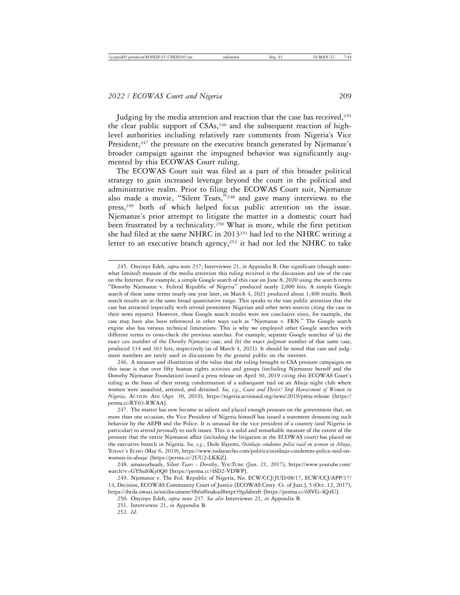Judging by the media attention and reaction that the case has received, $245$ the clear public support of CSAs,<sup>246</sup> and the subsequent reaction of highlevel authorities including relatively rare comments from Nigeria's Vice President,<sup>247</sup> the pressure on the executive branch generated by Njemanze's broader campaign against the impugned behavior was significantly augmented by this ECOWAS Court ruling.

The ECOWAS Court suit was filed as a part of this broader political strategy to gain increased leverage beyond the court in the political and administrative realm. Prior to filing the ECOWAS Court suit, Njemanze also made a movie, "Silent Tears,"248 and gave many interviews to the press,<sup>249</sup> both of which helped focus public attention on the issue. Njemanze's prior attempt to litigate the matter in a domestic court had been frustrated by a technicality.<sup>250</sup> What is more, while the first petition she had filed at the same NHRC in 2013251 had led to the NHRC writing a letter to an executive branch agency,<sup>252</sup> it had not led the NHRC to take

246. A measure and illustration of the value that the ruling brought to CSA pressure campaigns on this issue is that over fifty human rights activists and groups (including Njemanze herself and the Dorothy Njemanze Foundation) issued a press release on April 30, 2019 citing this ECOWAS Court's ruling as the basis of their strong condemnation of a subsequent raid on an Abuja night club where women were assaulted, arrested, and detained. *See, e.g.*, *Cease and Desist! Stop Harassment of Women in Nigeria*, ACTION AID (Apr. 30, 2019), https://nigeria.actionaid.org/news/2019/press-release [https:// perma.cc/RY63-RWAA].

247. The matter has now become so salient and placed enough pressure on the government that, on more than one occasion, the Vice President of Nigeria himself has issued a statement denouncing such behavior by the AEPB and the Police. It is unusual for the vice president of a country (and Nigeria in particular) to attend *personally* to such issues. This is a solid and remarkable measure of the extent of the pressure that the entire Njemanze affair (including the litigation at the ECOWAS court) has placed on the executive branch in Nigeria. *See, e.g.*, Dede Ifayemi, *Osinbajo condemns police raid on women in Abuja*, TODAY'S ECHO (May 6, 2019), https://www.todaysecho.com/politics/osinbajo-condemns-police-raid-onwomen-in-abuja/ [https://perma.cc/2UU2-LKKZ].

248. amateurheads, *Silent Tears - Dorothy*, YOUTUBE (Jun. 21, 2017), https://www.youtube.com/ watch?v=GYSsd6Ky0Q0 [https://perma.cc/4SD2-VDWP].

249. Njemanze v. The Fed. Republic of Nigeria, No. ECW/CCJ/JUD/08/17, ECW/CCJ/APP/17/ 14, Decision, ECOWAS Community Court of Justice [ECOWAS Cmty. Ct. of Just.], 5 (Oct. 12, 2017), https://ihrda.uwazi.io/en/document/0h6sf6nakud8ntpr39gdabrzfr [https://perma.cc/6SVG-4Q4U].

250. Onyinye Edeh, *supra* note 237*. See also* Interviewee 21, *in* Appendix B.

251. Interviewee 21, *in* Appendix B.

252. *Id*.

<sup>245.</sup> Onyinye Edeh, *supra* note 237; Interviewee 21, *in* Appendix B. One significant (though somewhat limited) measure of the media attention this ruling received is the discussion and use of the case on the Internet. For example, a simple Google search of this case on June 8, 2020 using the search terms "Dorothy Njemanze v. Federal Republic of Nigeria" produced nearly 2,000 hits. A simple Google search of these same terms nearly one year later, on March 4, 2021 produced about 1,400 results. Both search results are in the same broad quantitative range. This speaks to the vast public attention that the case has attracted (especially with several prominent Nigerian and other news sources citing the case in their news reports). However, these Google search results were not conclusive since, for example, the case may have also been referenced in other ways such as "Njemanze v. FRN." The Google search engine also has various technical limitations. This is why we employed other Google searches with different terms to cross-check the previous searches. For example, separate Google searches of (a) the exact *case* number of the *Dorothy Njemanze* case, and (b) the exact *judgment* number of that same case, produced 134 and 363 hits, respectively (as of March 4, 2021). It should be noted that case and judgment numbers are rarely used in discussions by the general public on the internet.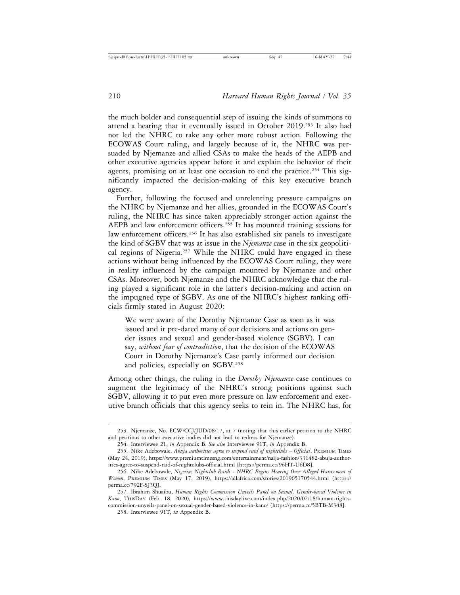the much bolder and consequential step of issuing the kinds of summons to attend a hearing that it eventually issued in October 2019.253 It also had not led the NHRC to take any other more robust action. Following the ECOWAS Court ruling, and largely because of it, the NHRC was persuaded by Njemanze and allied CSAs to make the heads of the AEPB and other executive agencies appear before it and explain the behavior of their agents, promising on at least one occasion to end the practice.<sup>254</sup> This significantly impacted the decision-making of this key executive branch agency.

Further, following the focused and unrelenting pressure campaigns on the NHRC by Njemanze and her allies, grounded in the ECOWAS Court's ruling, the NHRC has since taken appreciably stronger action against the AEPB and law enforcement officers.<sup>255</sup> It has mounted training sessions for law enforcement officers.<sup>256</sup> It has also established six panels to investigate the kind of SGBV that was at issue in the *Njemanze* case in the six geopolitical regions of Nigeria.<sup>257</sup> While the NHRC could have engaged in these actions without being influenced by the ECOWAS Court ruling, they were in reality influenced by the campaign mounted by Njemanze and other CSAs. Moreover, both Njemanze and the NHRC acknowledge that the ruling played a significant role in the latter's decision-making and action on the impugned type of SGBV. As one of the NHRC's highest ranking officials firmly stated in August 2020:

We were aware of the Dorothy Njemanze Case as soon as it was issued and it pre-dated many of our decisions and actions on gender issues and sexual and gender-based violence (SGBV). I can say, *without fear of contradiction*, that the decision of the ECOWAS Court in Dorothy Njemanze's Case partly informed our decision and policies, especially on SGBV.258

Among other things, the ruling in the *Dorothy Njemanze* case continues to augment the legitimacy of the NHRC's strong positions against such SGBV, allowing it to put even more pressure on law enforcement and executive branch officials that this agency seeks to rein in. The NHRC has, for

<sup>253.</sup> Njemanze, No. ECW/CCJ/JUD/08/17, at 7 (noting that this earlier petition to the NHRC and petitions to other executive bodies did not lead to redress for Njemanze).

<sup>254.</sup> Interviewee 21, *in* Appendix B. *See also* Interviewee 91T, *in* Appendix B.

<sup>255.</sup> Nike Adebowale, *Abuja authorities agree to suspend raid of nightclubs* – *Official*, PREMIUM TIMES (May 24, 2019), https://www.premiumtimesng.com/entertainment/naija-fashion/331482-abuja-authorities-agree-to-suspend-raid-of-nightclubs-official.html [https://perma.cc/96HT-U6D8].

<sup>256.</sup> Nike Adebowale, *Nigeria: Nightclub Raids - NHRC Begins Hearing Over Alleged Harassment of Women*, PREMIUM TIMES (May 17, 2019), https://allafrica.com/stories/201905170544.html [https:// perma.cc/792F-SJ3Q].

<sup>257.</sup> Ibrahim Shuaibu, *Human Rights Commission Unveils Panel on Sexual, Gender-based Violence in Kano*, THISDAY (Feb. 18, 2020), https://www.thisdaylive.com/index.php/2020/02/18/human-rightscommission-unveils-panel-on-sexual-gender-based-violence-in-kano/ [https://perma.cc/5BTB-M348].

<sup>258.</sup> Interviewee 91T, *in* Appendix B.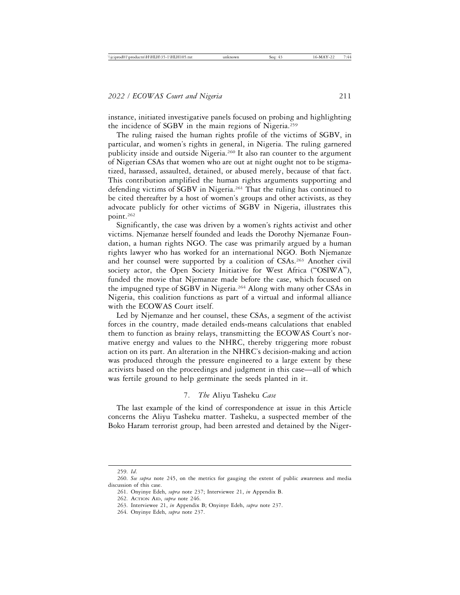instance, initiated investigative panels focused on probing and highlighting the incidence of SGBV in the main regions of Nigeria.259

The ruling raised the human rights profile of the victims of SGBV, in particular, and women's rights in general, in Nigeria. The ruling garnered publicity inside and outside Nigeria.<sup>260</sup> It also ran counter to the argument of Nigerian CSAs that women who are out at night ought not to be stigmatized, harassed, assaulted, detained, or abused merely, because of that fact. This contribution amplified the human rights arguments supporting and defending victims of SGBV in Nigeria.<sup>261</sup> That the ruling has continued to be cited thereafter by a host of women's groups and other activists, as they advocate publicly for other victims of SGBV in Nigeria, illustrates this point.262

Significantly, the case was driven by a women's rights activist and other victims. Njemanze herself founded and leads the Dorothy Njemanze Foundation, a human rights NGO. The case was primarily argued by a human rights lawyer who has worked for an international NGO. Both Njemanze and her counsel were supported by a coalition of CSAs.263 Another civil society actor, the Open Society Initiative for West Africa ("OSIWA"), funded the movie that Njemanze made before the case, which focused on the impugned type of SGBV in Nigeria.<sup>264</sup> Along with many other CSAs in Nigeria, this coalition functions as part of a virtual and informal alliance with the ECOWAS Court itself.

Led by Njemanze and her counsel, these CSAs, a segment of the activist forces in the country, made detailed ends-means calculations that enabled them to function as brainy relays, transmitting the ECOWAS Court's normative energy and values to the NHRC, thereby triggering more robust action on its part. An alteration in the NHRC's decision-making and action was produced through the pressure engineered to a large extent by these activists based on the proceedings and judgment in this case—all of which was fertile ground to help germinate the seeds planted in it.

7. *The* Aliyu Tasheku *Case*

The last example of the kind of correspondence at issue in this Article concerns the Aliyu Tasheku matter. Tasheku, a suspected member of the Boko Haram terrorist group, had been arrested and detained by the Niger-

<sup>259.</sup> *Id*.

<sup>260.</sup> *See supra* note 245, on the metrics for gauging the extent of public awareness and media discussion of this case.

<sup>261.</sup> Onyinye Edeh, *supra* note 237; Interviewee 21, *in* Appendix B.

<sup>262.</sup> ACTION AID, *supra* note 246.

<sup>263.</sup> Interviewee 21, *in* Appendix B; Onyinye Edeh, *supra* note 237.

<sup>264.</sup> Onyinye Edeh, *supra* note 237.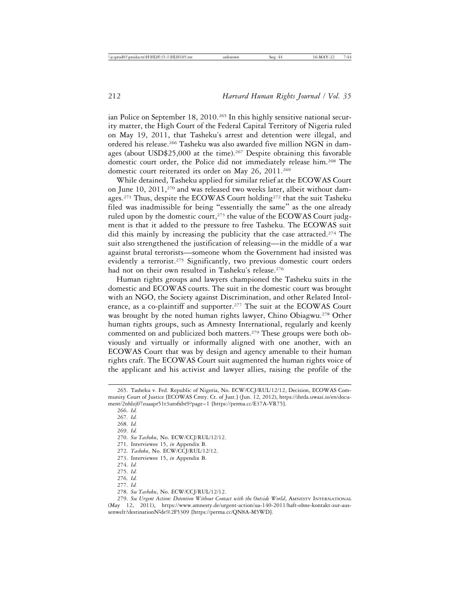ian Police on September 18, 2010.<sup>265</sup> In this highly sensitive national security matter, the High Court of the Federal Capital Territory of Nigeria ruled on May 19, 2011, that Tasheku's arrest and detention were illegal, and ordered his release.266 Tasheku was also awarded five million NGN in damages (about USD\$25,000 at the time).<sup>267</sup> Despite obtaining this favorable domestic court order, the Police did not immediately release him.268 The domestic court reiterated its order on May 26, 2011.<sup>269</sup>

While detained, Tasheku applied for similar relief at the ECOWAS Court on June 10, 2011,<sup>270</sup> and was released two weeks later, albeit without damages.271 Thus, despite the ECOWAS Court holding272 that the suit Tasheku filed was inadmissible for being "essentially the same" as the one already ruled upon by the domestic court,<sup>273</sup> the value of the ECOWAS Court judgment is that it added to the pressure to free Tasheku. The ECOWAS suit did this mainly by increasing the publicity that the case attracted.<sup>274</sup> The suit also strengthened the justification of releasing—in the middle of a war against brutal terrorists—someone whom the Government had insisted was evidently a terrorist.<sup>275</sup> Significantly, two previous domestic court orders had not on their own resulted in Tasheku's release.<sup>276</sup>

Human rights groups and lawyers championed the Tasheku suits in the domestic and ECOWAS courts. The suit in the domestic court was brought with an NGO, the Society against Discrimination, and other Related Intolerance, as a co-plaintiff and supporter.277 The suit at the ECOWAS Court was brought by the noted human rights lawyer, Chino Obiagwu.<sup>278</sup> Other human rights groups, such as Amnesty International, regularly and keenly commented on and publicized both matters.<sup>279</sup> These groups were both obviously and virtually or informally aligned with one another, with an ECOWAS Court that was by design and agency amenable to their human rights craft. The ECOWAS Court suit augmented the human rights voice of the applicant and his activist and lawyer allies, raising the profile of the

- 268. *Id.*
- 269. *Id.*

- 271. Interviewee 15, *in* Appendix B.
- 272. *Tasheku*, No. ECW/CCJ/RUL/12/12.
- 273. Interviewee 15, *in* Appendix B.
- 274. *Id.*
- 275. *Id.* 276. *Id.*
- 277. *Id.*
- 278. *See Tasheku*, No. ECW/CCJ/RUL/12/12.

279. *See Urgent Action: Detention Without Contact with the Outside World*, AMNESTY INTERNATIONAL (May 12, 2011), https://www.amnesty.de/urgent-action/ua-140-2011/haft-ohne-kontakt-zur-aussenwelt?destinationN<sup>e</sup>de%2F5309 {https://perma.cc/QN8A-M5WD}.

<sup>265.</sup> Tasheku v. Fed. Republic of Nigeria, No. ECW/CCJ/RUL/12/12, Decision, ECOWAS Community Court of Justice [ECOWAS Cmty. Ct. of Just.] (Jun. 12, 2012), https://ihrda.uwazi.io/en/document/2nhlzj07euaapr51t3urofxbt9?page=1 [https://perma.cc/E37A-VR75].

<sup>266.</sup> *Id.*

<sup>267.</sup> *Id.*

<sup>270.</sup> *See Tasheku*, No. ECW/CCJ/RUL/12/12.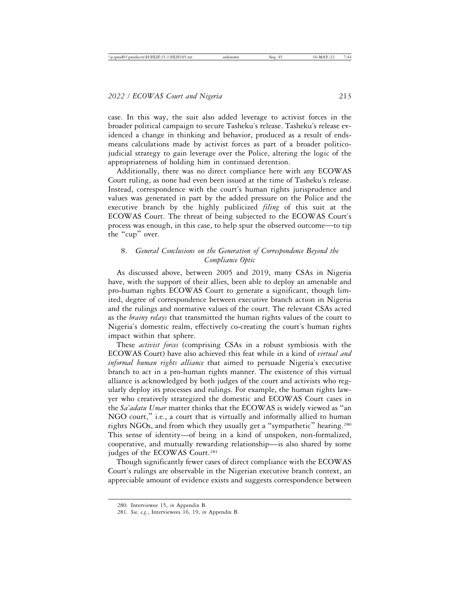case. In this way, the suit also added leverage to activist forces in the broader political campaign to secure Tasheku's release. Tasheku's release evidenced a change in thinking and behavior, produced as a result of endsmeans calculations made by activist forces as part of a broader politicojudicial strategy to gain leverage over the Police, altering the logic of the appropriateness of holding him in continued detention.

Additionally, there was no direct compliance here with any ECOWAS Court ruling, as none had even been issued at the time of Tasheku's release. Instead, correspondence with the court's human rights jurisprudence and values was generated in part by the added pressure on the Police and the executive branch by the highly publicized *filing* of this suit at the ECOWAS Court. The threat of being subjected to the ECOWAS Court's process was enough, in this case, to help spur the observed outcome—to tip the "cup" over.

# 8. *General Conclusions on the Generation of Correspondence Beyond the Compliance Optic*

As discussed above, between 2005 and 2019, many CSAs in Nigeria have, with the support of their allies, been able to deploy an amenable and pro-human rights ECOWAS Court to generate a significant, though limited, degree of correspondence between executive branch action in Nigeria and the rulings and normative values of the court. The relevant CSAs acted as the *brainy relays* that transmitted the human rights values of the court to Nigeria's domestic realm, effectively co-creating the court's human rights impact within that sphere.

These *activist forces* (comprising CSAs in a robust symbiosis with the ECOWAS Court) have also achieved this feat while in a kind of *virtual and informal human rights alliance* that aimed to persuade Nigeria's executive branch to act in a pro-human rights manner. The existence of this virtual alliance is acknowledged by both judges of the court and activists who regularly deploy its processes and rulings. For example, the human rights lawyer who creatively strategized the domestic and ECOWAS Court cases in the *Sa'adatu Umar* matter thinks that the ECOWAS is widely viewed as "an NGO court," i.e., a court that is virtually and informally allied to human rights NGOs, and from which they usually get a "sympathetic" hearing.280 This sense of identity—of being in a kind of unspoken, non-formalized, cooperative, and mutually rewarding relationship—is also shared by some judges of the ECOWAS Court.<sup>281</sup>

Though significantly fewer cases of direct compliance with the ECOWAS Court's rulings are observable in the Nigerian executive branch context, an appreciable amount of evidence exists and suggests correspondence between

<sup>280.</sup> Interviewee 15, *in* Appendix B.

<sup>281.</sup> *See, e.g.*, Interviewees 16, 19, *in* Appendix B.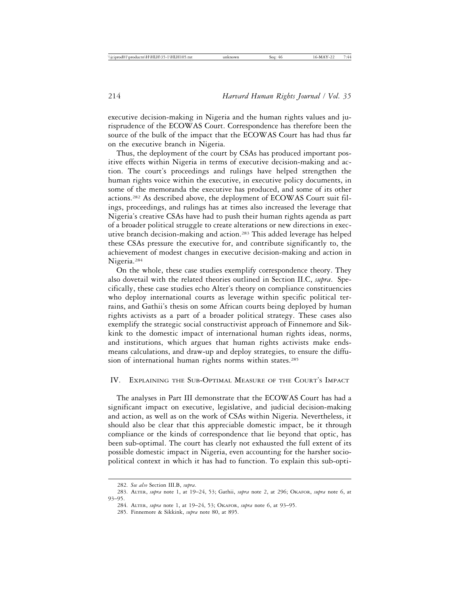executive decision-making in Nigeria and the human rights values and jurisprudence of the ECOWAS Court. Correspondence has therefore been the source of the bulk of the impact that the ECOWAS Court has had thus far on the executive branch in Nigeria.

Thus, the deployment of the court by CSAs has produced important positive effects within Nigeria in terms of executive decision-making and action. The court's proceedings and rulings have helped strengthen the human rights voice within the executive, in executive policy documents, in some of the memoranda the executive has produced, and some of its other actions.282 As described above, the deployment of ECOWAS Court suit filings, proceedings, and rulings has at times also increased the leverage that Nigeria's creative CSAs have had to push their human rights agenda as part of a broader political struggle to create alterations or new directions in executive branch decision-making and action.283 This added leverage has helped these CSAs pressure the executive for, and contribute significantly to, the achievement of modest changes in executive decision-making and action in Nigeria.284

On the whole, these case studies exemplify correspondence theory. They also dovetail with the related theories outlined in Section II.C, *supra*. Specifically, these case studies echo Alter's theory on compliance constituencies who deploy international courts as leverage within specific political terrains, and Gathii's thesis on some African courts being deployed by human rights activists as a part of a broader political strategy. These cases also exemplify the strategic social constructivist approach of Finnemore and Sikkink to the domestic impact of international human rights ideas, norms, and institutions, which argues that human rights activists make endsmeans calculations, and draw-up and deploy strategies, to ensure the diffusion of international human rights norms within states.<sup>285</sup>

#### IV. EXPLAINING THE SUB-OPTIMAL MEASURE OF THE COURT'S IMPACT

The analyses in Part III demonstrate that the ECOWAS Court has had a significant impact on executive, legislative, and judicial decision-making and action, as well as on the work of CSAs within Nigeria. Nevertheless, it should also be clear that this appreciable domestic impact, be it through compliance or the kinds of correspondence that lie beyond that optic, has been sub-optimal. The court has clearly not exhausted the full extent of its possible domestic impact in Nigeria, even accounting for the harsher sociopolitical context in which it has had to function. To explain this sub-opti-

<sup>282.</sup> *See also* Section III.B, *supra*.

<sup>283.</sup> ALTER, *supra* note 1, at 19–24, 53; Gathii, *supra* note 2, at 296; OKAFOR, *supra* note 6, at 93–95.

<sup>284.</sup> ALTER, *supra* note 1, at 19–24, 53; OKAFOR, *supra* note 6, at 93–95.

<sup>285.</sup> Finnemore & Sikkink, *supra* note 80, at 895.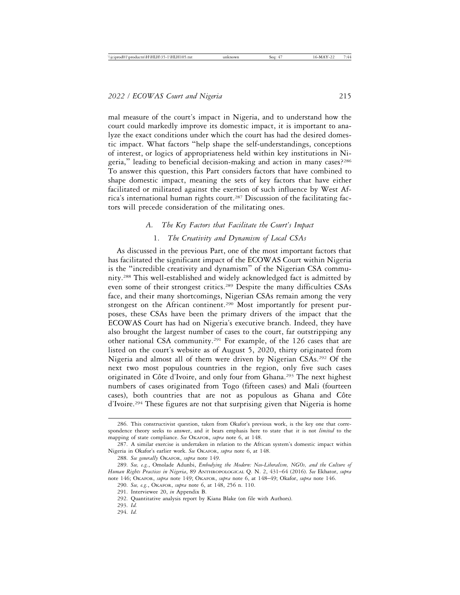mal measure of the court's impact in Nigeria, and to understand how the court could markedly improve its domestic impact, it is important to analyze the exact conditions under which the court has had the desired domestic impact. What factors "help shape the self-understandings, conceptions of interest, or logics of appropriateness held within key institutions in Nigeria," leading to beneficial decision-making and action in many cases?<sup>286</sup> To answer this question, this Part considers factors that have combined to shape domestic impact, meaning the sets of key factors that have either facilitated or militated against the exertion of such influence by West Africa's international human rights court.<sup>287</sup> Discussion of the facilitating factors will precede consideration of the militating ones.

# *A. The Key Factors that Facilitate the Court's Impact* 1. *The Creativity and Dynamism of Local CSAs*

As discussed in the previous Part, one of the most important factors that has facilitated the significant impact of the ECOWAS Court within Nigeria is the "incredible creativity and dynamism" of the Nigerian CSA community.288 This well-established and widely acknowledged fact is admitted by even some of their strongest critics.<sup>289</sup> Despite the many difficulties CSAs face, and their many shortcomings, Nigerian CSAs remain among the very strongest on the African continent.<sup>290</sup> Most importantly for present purposes, these CSAs have been the primary drivers of the impact that the ECOWAS Court has had on Nigeria's executive branch. Indeed, they have also brought the largest number of cases to the court, far outstripping any other national CSA community.291 For example, of the 126 cases that are listed on the court's website as of August 5, 2020, thirty originated from Nigeria and almost all of them were driven by Nigerian CSAs.292 Of the next two most populous countries in the region, only five such cases originated in Côte d'Ivoire, and only four from Ghana.<sup>293</sup> The next highest numbers of cases originated from Togo (fifteen cases) and Mali (fourteen cases), both countries that are not as populous as Ghana and Côte d'Ivoire.294 These figures are not that surprising given that Nigeria is home

<sup>286.</sup> This constructivist question, taken from Okafor's previous work, is the key one that correspondence theory seeks to answer, and it bears emphasis here to state that it is not *limited* to the mapping of state compliance. *See* OKAFOR, *supra* note 6, at 148.

<sup>287.</sup> A similar exercise is undertaken in relation to the African system's domestic impact within Nigeria in Okafor's earlier work. *See* OKAFOR, *supra* note 6, at 148.

<sup>288.</sup> *See generally* OKAFOR, *supra* note 149.

<sup>289.</sup> *See, e.g.*, Omolade Adunbi, *Embodying the Modern: Neo-Liberalism, NGOs, and the Culture of Human Rights Practices in Nigeria*, 89 ANTHROPOLOGICAL Q. N. 2, 431–64 (2016). *See* Ekhator, *supra* note 146; OKAFOR, *supra* note 149; OKAFOR, *supra* note 6, at 148–49; Okafor, *supra* note 146.

<sup>290.</sup> *See, e.g.*, OKAFOR, *supra* note 6, at 148, 256 n. 110.

<sup>291.</sup> Interviewee 20, *in* Appendix B.

<sup>292.</sup> Quantitative analysis report by Kiana Blake (on file with Authors).

<sup>293.</sup> *Id.*

<sup>294.</sup> *Id.*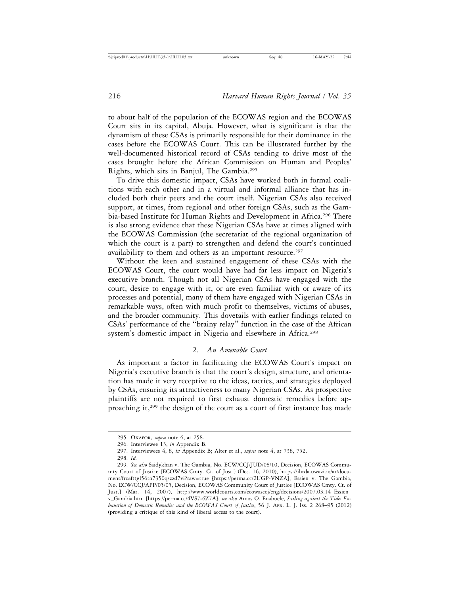to about half of the population of the ECOWAS region and the ECOWAS Court sits in its capital, Abuja. However, what is significant is that the dynamism of these CSAs is primarily responsible for their dominance in the cases before the ECOWAS Court. This can be illustrated further by the well-documented historical record of CSAs tending to drive most of the cases brought before the African Commission on Human and Peoples' Rights, which sits in Banjul, The Gambia.295

To drive this domestic impact, CSAs have worked both in formal coalitions with each other and in a virtual and informal alliance that has included both their peers and the court itself. Nigerian CSAs also received support, at times, from regional and other foreign CSAs, such as the Gambia-based Institute for Human Rights and Development in Africa.<sup>296</sup> There is also strong evidence that these Nigerian CSAs have at times aligned with the ECOWAS Commission (the secretariat of the regional organization of which the court is a part) to strengthen and defend the court's continued availability to them and others as an important resource.<sup>297</sup>

Without the keen and sustained engagement of these CSAs with the ECOWAS Court, the court would have had far less impact on Nigeria's executive branch. Though not all Nigerian CSAs have engaged with the court, desire to engage with it, or are even familiar with or aware of its processes and potential, many of them have engaged with Nigerian CSAs in remarkable ways, often with much profit to themselves, victims of abuses, and the broader community. This dovetails with earlier findings related to CSAs' performance of the "brainy relay" function in the case of the African system's domestic impact in Nigeria and elsewhere in Africa.<sup>298</sup>

# 2. *An Amenable Court*

As important a factor in facilitating the ECOWAS Court's impact on Nigeria's executive branch is that the court's design, structure, and orientation has made it very receptive to the ideas, tactics, and strategies deployed by CSAs, ensuring its attractiveness to many Nigerian CSAs. As prospective plaintiffs are not required to first exhaust domestic remedies before approaching it,299 the design of the court as a court of first instance has made

<sup>295.</sup> OKAFOR, *supra* note 6, at 258.

<sup>296.</sup> Interviewee 13, *in* Appendix B.

<sup>297.</sup> Interviewees 4, 8, *in* Appendix B; Alter et al., *supra* note 4, at 738, 752.

<sup>298.</sup> *Id.*

<sup>299.</sup> *See also* Saidykhan v. The Gambia, No. ECW/CCJ/JUD/08/10, Decision, ECOWAS Community Court of Justice [ECOWAS Cmty. Ct. of Just.] (Dec. 16, 2010), https://ihrda.uwazi.io/ar/document/froafttgl56tn7350qszzd7vi?raw=true [https://perma.cc/2UGP-VNZA]; Essien v. The Gambia, No. ECW/CCJ/APP/05/05, Decision, ECOWAS Community Court of Justice [ECOWAS Cmty. Ct. of Just.] (Mar. 14, 2007), http://www.worldcourts.com/ecowasccj/eng/decisions/2007.03.14\_Essien\_ v\_Gambia.htm [https://perma.cc/4VS7-6Z7A]; *see also* Amos O. Enabuele, *Sailing against the Tide: Exhaustion of Domestic Remedies and the ECOWAS Court of Justice*, 56 J. AFR. L. J. ISS. 2 268–95 (2012) (providing a critique of this kind of liberal access to the court).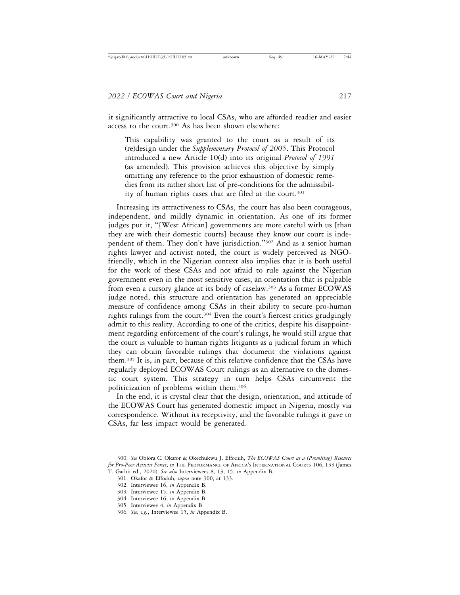it significantly attractive to local CSAs, who are afforded readier and easier access to the court.<sup>300</sup> As has been shown elsewhere:

This capability was granted to the court as a result of its (re)design under the *Supplementary Protocol of 2005*. This Protocol introduced a new Article 10(d) into its original *Protocol of 1991* (as amended). This provision achieves this objective by simply omitting any reference to the prior exhaustion of domestic remedies from its rather short list of pre-conditions for the admissibility of human rights cases that are filed at the court.<sup>301</sup>

Increasing its attractiveness to CSAs, the court has also been courageous, independent, and mildly dynamic in orientation. As one of its former judges put it, "[West African] governments are more careful with us [than they are with their domestic courts] because they know our court is independent of them. They don't have jurisdiction."302 And as a senior human rights lawyer and activist noted, the court is widely perceived as NGOfriendly, which in the Nigerian context also implies that it is both useful for the work of these CSAs and not afraid to rule against the Nigerian government even in the most sensitive cases, an orientation that is palpable from even a cursory glance at its body of caselaw.303 As a former ECOWAS judge noted, this structure and orientation has generated an appreciable measure of confidence among CSAs in their ability to secure pro-human rights rulings from the court.304 Even the court's fiercest critics grudgingly admit to this reality. According to one of the critics, despite his disappointment regarding enforcement of the court's rulings, he would still argue that the court is valuable to human rights litigants as a judicial forum in which they can obtain favorable rulings that document the violations against them.305 It is, in part, because of this relative confidence that the CSAs have regularly deployed ECOWAS Court rulings as an alternative to the domestic court system. This strategy in turn helps CSAs circumvent the politicization of problems within them.306

In the end, it is crystal clear that the design, orientation, and attitude of the ECOWAS Court has generated domestic impact in Nigeria, mostly via correspondence. Without its receptivity, and the favorable rulings it gave to CSAs, far less impact would be generated.

<sup>300.</sup> *See* Obiora C. Okafor & Okechukwu J. Effoduh, *The ECOWAS Court as a (Promising) Resource for Pro-Poor Activist Forces*, *in* THE PERFORMANCE OF AFRICA'S INTERNATIONAL COURTS 106, 133 (James

T. Gathii ed., 2020). *See also* Interviewees 8, 13, 15, *in* Appendix B.

<sup>301.</sup> Okafor & Effoduh, *supra* note 300, at 133.

<sup>302.</sup> Interviewee 16, *in* Appendix B.

<sup>303.</sup> Interviewee 15, *in* Appendix B. 304. Interviewee 16, *in* Appendix B.

<sup>305.</sup> Interviewee 4, *in* Appendix B.

<sup>306.</sup> *See, e.g.*, Interviewee 15, *in* Appendix B.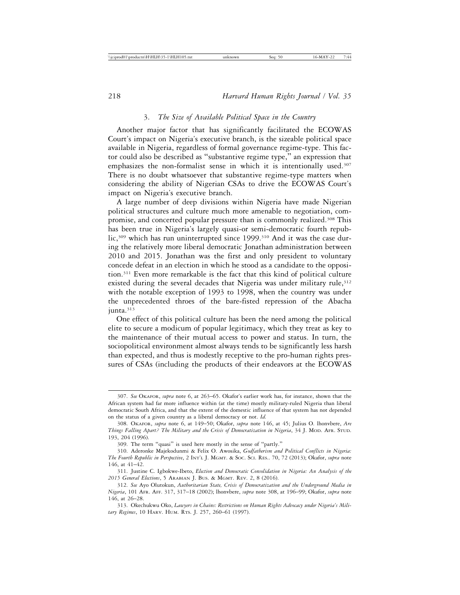#### 3. *The Size of Available Political Space in the Country*

Another major factor that has significantly facilitated the ECOWAS Court's impact on Nigeria's executive branch, is the sizeable political space available in Nigeria, regardless of formal governance regime-type. This factor could also be described as "substantive regime type," an expression that emphasizes the non-formalist sense in which it is intentionally used.<sup>307</sup> There is no doubt whatsoever that substantive regime-type matters when considering the ability of Nigerian CSAs to drive the ECOWAS Court's impact on Nigeria's executive branch.

A large number of deep divisions within Nigeria have made Nigerian political structures and culture much more amenable to negotiation, compromise, and concerted popular pressure than is commonly realized.308 This has been true in Nigeria's largely quasi-or semi-democratic fourth republic,<sup>309</sup> which has run uninterrupted since 1999.<sup>310</sup> And it was the case during the relatively more liberal democratic Jonathan administration between 2010 and 2015. Jonathan was the first and only president to voluntary concede defeat in an election in which he stood as a candidate to the opposition.311 Even more remarkable is the fact that this kind of political culture existed during the several decades that Nigeria was under military rule, 312 with the notable exception of 1993 to 1998, when the country was under the unprecedented throes of the bare-fisted repression of the Abacha junta.<sup>313</sup>

One effect of this political culture has been the need among the political elite to secure a modicum of popular legitimacy, which they treat as key to the maintenance of their mutual access to power and status. In turn, the sociopolitical environment almost always tends to be significantly less harsh than expected, and thus is modestly receptive to the pro-human rights pressures of CSAs (including the products of their endeavors at the ECOWAS

<sup>307.</sup> *See* OKAFOR, *supra* note 6, at 263–65. Okafor's earlier work has, for instance, shown that the African system had far more influence within (at the time) mostly military-ruled Nigeria than liberal democratic South Africa, and that the extent of the domestic influence of that system has not depended on the status of a given country as a liberal democracy or not. *Id.*

<sup>308.</sup> OKAFOR, *supra* note 6, at 149–50; Okafor, *supra* note 146, at 45; Julius O. lhonvbere, *Are Things Falling Apart? The Military and the Crisis of Democratization in Nigeria*, 34 J. MOD. AFR. STUD. 193, 204 (1996).

<sup>309.</sup> The term "quasi" is used here mostly in the sense of "partly."

<sup>310.</sup> Aderonke Majekodunmi & Felix O. Awosika, *Godfatherism and Political Conflicts in Nigeria: The Fourth Republic in Perspective*, 2 INT'L J. MGMT. & SOC. SCI. RES.. 70, 72 (2013); Okafor, *supra* note 146, at 41–42.

<sup>311.</sup> Justine C. Igbokwe-Ibeto, *Election and Democratic Consolidation in Nigeria: An Analysis of the 2015 General Elections*, 5 ARABIAN J. BUS. & MGMT. REV. 2, 8 (2016).

<sup>312.</sup> *See* Ayo Olutokun, *Authoritarian State, Crisis of Democratization and the Underground Media in Nigeria*, 101 AFR. AFF. 317, 317–18 (2002); lhonvbere, *supra* note 308, at 196–99; Okafor, *supra* note 146, at 26–28.

<sup>313.</sup> Okechukwu Oko, *Lawyers in Chains: Restrictions on Human Rights Advocacy under Nigeria's Military Regimes*, 10 HARV. HUM. RTS. J. 257, 260–61 (1997).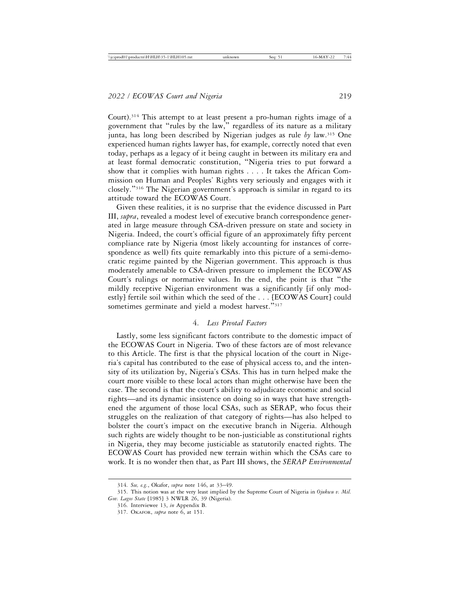Court).314 This attempt to at least present a pro-human rights image of a government that "rules by the law," regardless of its nature as a military junta, has long been described by Nigerian judges as rule *by* law.315 One experienced human rights lawyer has, for example, correctly noted that even today, perhaps as a legacy of it being caught in between its military era and at least formal democratic constitution, "Nigeria tries to put forward a show that it complies with human rights . . . . It takes the African Commission on Human and Peoples' Rights very seriously and engages with it closely."316 The Nigerian government's approach is similar in regard to its attitude toward the ECOWAS Court.

Given these realities, it is no surprise that the evidence discussed in Part III, *supra*, revealed a modest level of executive branch correspondence generated in large measure through CSA-driven pressure on state and society in Nigeria. Indeed, the court's official figure of an approximately fifty percent compliance rate by Nigeria (most likely accounting for instances of correspondence as well) fits quite remarkably into this picture of a semi-democratic regime painted by the Nigerian government. This approach is thus moderately amenable to CSA-driven pressure to implement the ECOWAS Court's rulings or normative values. In the end, the point is that "the mildly receptive Nigerian environment was a significantly [if only modestly] fertile soil within which the seed of the . . . [ECOWAS Court] could sometimes germinate and yield a modest harvest."317

#### 4. *Less Pivotal Factors*

Lastly, some less significant factors contribute to the domestic impact of the ECOWAS Court in Nigeria. Two of these factors are of most relevance to this Article. The first is that the physical location of the court in Nigeria's capital has contributed to the ease of physical access to, and the intensity of its utilization by, Nigeria's CSAs. This has in turn helped make the court more visible to these local actors than might otherwise have been the case. The second is that the court's ability to adjudicate economic and social rights—and its dynamic insistence on doing so in ways that have strengthened the argument of those local CSAs, such as SERAP, who focus their struggles on the realization of that category of rights—has also helped to bolster the court's impact on the executive branch in Nigeria. Although such rights are widely thought to be non-justiciable as constitutional rights in Nigeria, they may become justiciable as statutorily enacted rights. The ECOWAS Court has provided new terrain within which the CSAs care to work. It is no wonder then that, as Part III shows, the *SERAP Environmental*

<sup>314.</sup> *See, e.g.*, Okafor, *supra* note 146, at 33–49.

<sup>315.</sup> This notion was at the very least implied by the Supreme Court of Nigeria in *Ojukwu v. Mil. Gov. Lagos State* [1985] 3 NWLR 26, 39 (Nigeria).

<sup>316.</sup> Interviewee 13, *in* Appendix B.

<sup>317.</sup> OKAFOR, *supra* note 6, at 151.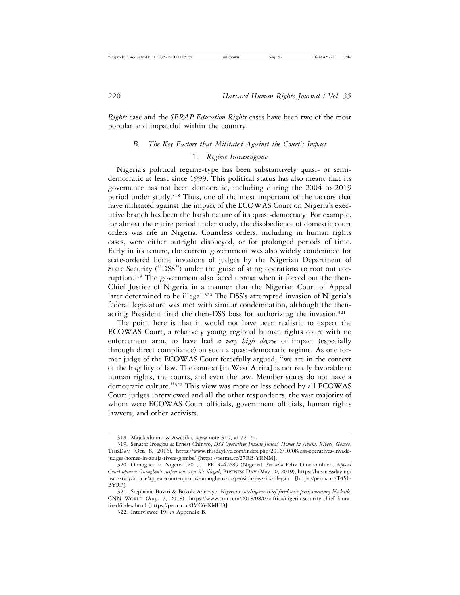*Rights* case and the *SERAP Education Rights* cases have been two of the most popular and impactful within the country.

#### *B. The Key Factors that Militated Against the Court's Impact*

# 1. *Regime Intransigence*

Nigeria's political regime-type has been substantively quasi- or semidemocratic at least since 1999. This political status has also meant that its governance has not been democratic, including during the 2004 to 2019 period under study.<sup>318</sup> Thus, one of the most important of the factors that have militated against the impact of the ECOWAS Court on Nigeria's executive branch has been the harsh nature of its quasi-democracy. For example, for almost the entire period under study, the disobedience of domestic court orders was rife in Nigeria. Countless orders, including in human rights cases, were either outright disobeyed, or for prolonged periods of time. Early in its tenure, the current government was also widely condemned for state-ordered home invasions of judges by the Nigerian Department of State Security ("DSS") under the guise of sting operations to root out corruption.319 The government also faced uproar when it forced out the then-Chief Justice of Nigeria in a manner that the Nigerian Court of Appeal later determined to be illegal.<sup>320</sup> The DSS's attempted invasion of Nigeria's federal legislature was met with similar condemnation, although the thenacting President fired the then-DSS boss for authorizing the invasion.<sup>321</sup>

The point here is that it would not have been realistic to expect the ECOWAS Court, a relatively young regional human rights court with no enforcement arm, to have had *a very high degree* of impact (especially through direct compliance) on such a quasi-democratic regime. As one former judge of the ECOWAS Court forcefully argued, "we are in the context of the fragility of law. The context [in West Africa] is not really favorable to human rights, the courts, and even the law. Member states do not have a democratic culture."322 This view was more or less echoed by all ECOWAS Court judges interviewed and all the other respondents, the vast majority of whom were ECOWAS Court officials, government officials, human rights lawyers, and other activists.

<sup>318.</sup> Majekodunmi & Awosika, *supra* note 310, at 72–74.

<sup>319.</sup> Senator Iroegbu & Ernest Chinwo, *DSS Operatives Invade Judges' Homes in Abuja, Rivers, Gombe*, THISDAY (Oct. 8, 2016), https://www.thisdaylive.com/index.php/2016/10/08/dss-operatives-invadejudges-homes-in-abuja-rivers-gombe/ [https://perma.cc/27RB-YRNM].

<sup>320.</sup> Onnoghen v. Nigeria [2019] LPELR-47689 (Nigeria). *See also* Felix Omohomhion, *Appeal Court upturns Onnoghen's suspension, says it's illegal*, BUSINESS DAY (May 10, 2019), https://businessday.ng/ lead-story/article/appeal-court-upturns-onnoghens-suspension-says-its-illegal/ [https://perma.cc/T45L-BYRP].

<sup>321.</sup> Stephanie Busari & Bukola Adebayo, *Nigeria's intelligence chief fired over parliamentary blockade*, CNN WORLD (Aug. 7, 2018), https://www.cnn.com/2018/08/07/africa/nigeria-security-chief-daurafired/index.html [https://perma.cc/8MC6-KMUD].

<sup>322.</sup> Interviewee 19, *in* Appendix B.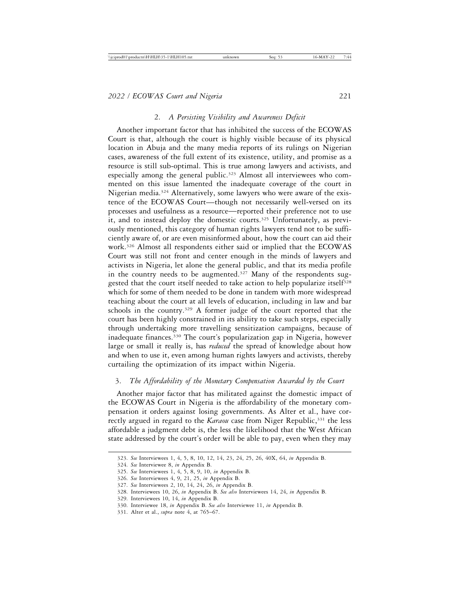#### 2. *A Persisting Visibility and Awareness Deficit*

Another important factor that has inhibited the success of the ECOWAS Court is that, although the court is highly visible because of its physical location in Abuja and the many media reports of its rulings on Nigerian cases, awareness of the full extent of its existence, utility, and promise as a resource is still sub-optimal. This is true among lawyers and activists, and especially among the general public.<sup>323</sup> Almost all interviewees who commented on this issue lamented the inadequate coverage of the court in Nigerian media.324 Alternatively, some lawyers who were aware of the existence of the ECOWAS Court—though not necessarily well-versed on its processes and usefulness as a resource—reported their preference not to use it, and to instead deploy the domestic courts.<sup>325</sup> Unfortunately, as previously mentioned, this category of human rights lawyers tend not to be sufficiently aware of, or are even misinformed about, how the court can aid their work.326 Almost all respondents either said or implied that the ECOWAS Court was still not front and center enough in the minds of lawyers and activists in Nigeria, let alone the general public, and that its media profile in the country needs to be augmented. $327$  Many of the respondents suggested that the court itself needed to take action to help popularize itself<sup>328</sup> which for some of them needed to be done in tandem with more widespread teaching about the court at all levels of education, including in law and bar schools in the country.<sup>329</sup> A former judge of the court reported that the court has been highly constrained in its ability to take such steps, especially through undertaking more travelling sensitization campaigns, because of inadequate finances.330 The court's popularization gap in Nigeria, however large or small it really is, has *reduced* the spread of knowledge about how and when to use it, even among human rights lawyers and activists, thereby curtailing the optimization of its impact within Nigeria.

#### 3. *The Affordability of the Monetary Compensation Awarded by the Court*

Another major factor that has militated against the domestic impact of the ECOWAS Court in Nigeria is the affordability of the monetary compensation it orders against losing governments. As Alter et al., have correctly argued in regard to the *Karaou* case from Niger Republic,<sup>331</sup> the less affordable a judgment debt is, the less the likelihood that the West African state addressed by the court's order will be able to pay, even when they may

<sup>323.</sup> *See* Interviewees 1, 4, 5, 8, 10, 12, 14, 23, 24, 25, 26, 40X, 64, *in* Appendix B.

<sup>324.</sup> *See* Interviewee 8, *in* Appendix B.

<sup>325.</sup> *See* Interviewees 1, 4, 5, 8, 9, 10, *in* Appendix B.

<sup>326.</sup> *See* Interviewees 4, 9, 21, 25, *in* Appendix B.

<sup>327.</sup> *See* Interviewees 2, 10, 14, 24, 26, *in* Appendix B.

<sup>328.</sup> Interviewees 10, 26, *in* Appendix B. *See also* Interviewees 14, 24, *in* Appendix B.

<sup>329.</sup> Interviewees 10, 14, *in* Appendix B.

<sup>330.</sup> Interviewee 18, *in* Appendix B. *See also* Interviewee 11, *in* Appendix B.

<sup>331.</sup> Alter et al., *supra* note 4, at 765–67.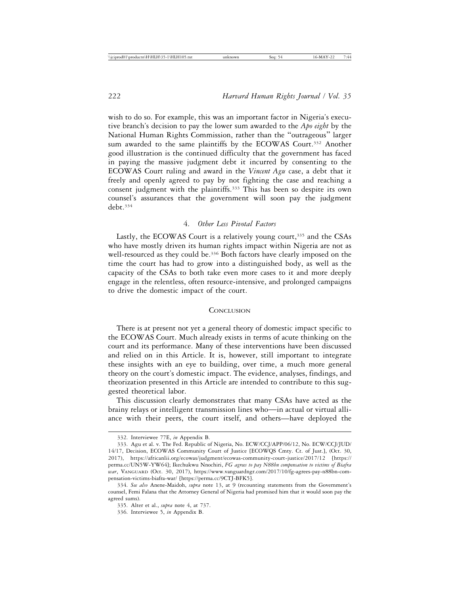wish to do so. For example, this was an important factor in Nigeria's executive branch's decision to pay the lower sum awarded to the *Apo eight* by the National Human Rights Commission, rather than the "outrageous" larger sum awarded to the same plaintiffs by the ECOWAS Court.<sup>332</sup> Another good illustration is the continued difficulty that the government has faced in paying the massive judgment debt it incurred by consenting to the ECOWAS Court ruling and award in the *Vincent Agu* case, a debt that it freely and openly agreed to pay by not fighting the case and reaching a consent judgment with the plaintiffs.333 This has been so despite its own counsel's assurances that the government will soon pay the judgment debt.334

# 4. *Other Less Pivotal Factors*

Lastly, the ECOWAS Court is a relatively young court,<sup>335</sup> and the CSAs who have mostly driven its human rights impact within Nigeria are not as well-resourced as they could be.<sup>336</sup> Both factors have clearly imposed on the time the court has had to grow into a distinguished body, as well as the capacity of the CSAs to both take even more cases to it and more deeply engage in the relentless, often resource-intensive, and prolonged campaigns to drive the domestic impact of the court.

#### **CONCLUSION**

There is at present not yet a general theory of domestic impact specific to the ECOWAS Court. Much already exists in terms of acute thinking on the court and its performance. Many of these interventions have been discussed and relied on in this Article. It is, however, still important to integrate these insights with an eye to building, over time, a much more general theory on the court's domestic impact. The evidence, analyses, findings, and theorization presented in this Article are intended to contribute to this suggested theoretical labor.

This discussion clearly demonstrates that many CSAs have acted as the brainy relays or intelligent transmission lines who—in actual or virtual alliance with their peers, the court itself, and others—have deployed the

<sup>332.</sup> Interviewee 77E, *in* Appendix B.

<sup>333.</sup> Agu et al. v. The Fed. Republic of Nigeria, No. ECW/CCJ/APP/06/12, No. ECW/CCJ/JUD/ 14/17, Decision, ECOWAS Community Court of Justice [ECOWQS Cmty. Ct. of Just.], (Oct. 30, 2017), https://africanlii.org/ecowas/judgment/ecowas-community-court-justice/2017/12 [https:// perma.cc/UN5W-YW64]; Ikechukwu Nnochiri, *FG agrees to pay N88bn compensation to victims of Biafra war*, VANGUARD (Oct. 30, 2017), https://www.vanguardngr.com/2017/10/fg-agrees-pay-n88bn-compensation-victims-biafra-war/ [https://perma.cc/9CTJ-BFK5].

<sup>334.</sup> *See also* Anene-Maidoh, *supra* note 13, at 9 (recounting statements from the Government's counsel, Femi Falana that the Attorney General of Nigeria had promised him that it would soon pay the agreed sums).

<sup>335.</sup> Alter et al., *supra* note 4, at 737.

<sup>336.</sup> Interviewee 5, *in* Appendix B.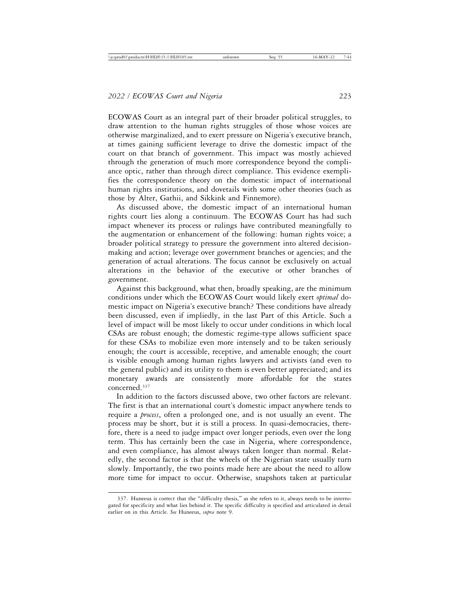ECOWAS Court as an integral part of their broader political struggles, to draw attention to the human rights struggles of those whose voices are otherwise marginalized, and to exert pressure on Nigeria's executive branch, at times gaining sufficient leverage to drive the domestic impact of the court on that branch of government. This impact was mostly achieved through the generation of much more correspondence beyond the compliance optic, rather than through direct compliance. This evidence exemplifies the correspondence theory on the domestic impact of international human rights institutions, and dovetails with some other theories (such as those by Alter, Gathii, and Sikkink and Finnemore).

As discussed above, the domestic impact of an international human rights court lies along a continuum. The ECOWAS Court has had such impact whenever its process or rulings have contributed meaningfully to the augmentation or enhancement of the following: human rights voice; a broader political strategy to pressure the government into altered decisionmaking and action; leverage over government branches or agencies; and the generation of actual alterations. The focus cannot be exclusively on actual alterations in the behavior of the executive or other branches of government.

Against this background, what then, broadly speaking, are the minimum conditions under which the ECOWAS Court would likely exert *optimal* domestic impact on Nigeria's executive branch? These conditions have already been discussed, even if impliedly, in the last Part of this Article. Such a level of impact will be most likely to occur under conditions in which local CSAs are robust enough; the domestic regime-type allows sufficient space for these CSAs to mobilize even more intensely and to be taken seriously enough; the court is accessible, receptive, and amenable enough; the court is visible enough among human rights lawyers and activists (and even to the general public) and its utility to them is even better appreciated; and its monetary awards are consistently more affordable for the states concerned.337

In addition to the factors discussed above, two other factors are relevant. The first is that an international court's domestic impact anywhere tends to require a *process*, often a prolonged one, and is not usually an event. The process may be short, but it is still a process. In quasi-democracies, therefore, there is a need to judge impact over longer periods, even over the long term. This has certainly been the case in Nigeria, where correspondence, and even compliance, has almost always taken longer than normal. Relatedly, the second factor is that the wheels of the Nigerian state usually turn slowly. Importantly, the two points made here are about the need to allow more time for impact to occur. Otherwise, snapshots taken at particular

<sup>337.</sup> Huneeus is correct that the "difficulty thesis," as she refers to it, always needs to be interrogated for specificity and what lies behind it. The specific difficulty is specified and articulated in detail earlier on in this Article. *See* Huneeus, *supra* note 9.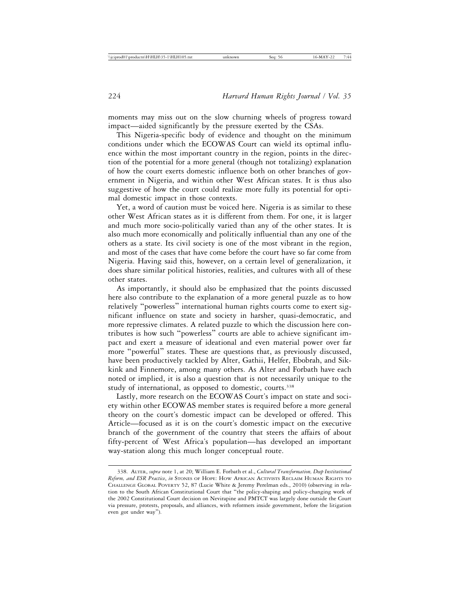moments may miss out on the slow churning wheels of progress toward impact—aided significantly by the pressure exerted by the CSAs.

This Nigeria-specific body of evidence and thought on the minimum conditions under which the ECOWAS Court can wield its optimal influence within the most important country in the region, points in the direction of the potential for a more general (though not totalizing) explanation of how the court exerts domestic influence both on other branches of government in Nigeria, and within other West African states. It is thus also suggestive of how the court could realize more fully its potential for optimal domestic impact in those contexts.

Yet, a word of caution must be voiced here. Nigeria is as similar to these other West African states as it is different from them. For one, it is larger and much more socio-politically varied than any of the other states. It is also much more economically and politically influential than any one of the others as a state. Its civil society is one of the most vibrant in the region, and most of the cases that have come before the court have so far come from Nigeria. Having said this, however, on a certain level of generalization, it does share similar political histories, realities, and cultures with all of these other states.

As importantly, it should also be emphasized that the points discussed here also contribute to the explanation of a more general puzzle as to how relatively "powerless" international human rights courts come to exert significant influence on state and society in harsher, quasi-democratic, and more repressive climates. A related puzzle to which the discussion here contributes is how such "powerless" courts are able to achieve significant impact and exert a measure of ideational and even material power over far more "powerful" states. These are questions that, as previously discussed, have been productively tackled by Alter, Gathii, Helfer, Ebobrah, and Sikkink and Finnemore, among many others. As Alter and Forbath have each noted or implied, it is also a question that is not necessarily unique to the study of international, as opposed to domestic, courts.<sup>338</sup>

Lastly, more research on the ECOWAS Court's impact on state and society within other ECOWAS member states is required before a more general theory on the court's domestic impact can be developed or offered. This Article—focused as it is on the court's domestic impact on the executive branch of the government of the country that steers the affairs of about fifty-percent of West Africa's population—has developed an important way-station along this much longer conceptual route.

<sup>338.</sup> ALTER, *supra* note 1, at 20; William E. Forbath et al., *Cultural Transformation, Deep Institutional Reform, and ESR Practice*, *in* STONES OF HOPE: HOW AFRICAN ACTIVISTS RECLAIM HUMAN RIGHTS TO CHALLENGE GLOBAL POVERTY 52, 87 (Lucie White & Jeremy Perelman eds., 2010) (observing in relation to the South African Constitutional Court that "the policy-shaping and policy-changing work of the 2002 Constitutional Court decision on Nevirapine and PMTCT was largely done outside the Court via pressure, protests, proposals, and alliances, with reformers inside government, before the litigation even got under way").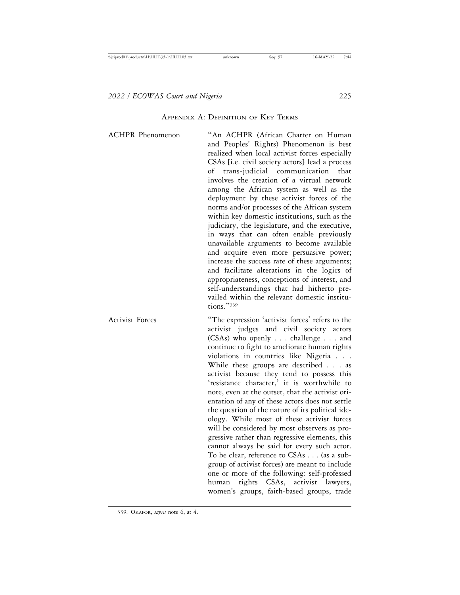#### APPENDIX A: DEFINITION OF KEY TERMS

ACHPR Phenomenon "An ACHPR (African Charter on Human and Peoples' Rights) Phenomenon is best realized when local activist forces especially CSAs [i.e. civil society actors] lead a process of trans-judicial communication that involves the creation of a virtual network among the African system as well as the deployment by these activist forces of the norms and/or processes of the African system within key domestic institutions, such as the judiciary, the legislature, and the executive, in ways that can often enable previously unavailable arguments to become available and acquire even more persuasive power; increase the success rate of these arguments; and facilitate alterations in the logics of appropriateness, conceptions of interest, and self-understandings that had hitherto prevailed within the relevant domestic institutions."<sup>339</sup> Activist Forces "The expression 'activist forces' refers to the activist judges and civil society actors (CSAs) who openly . . . challenge . . . and continue to fight to ameliorate human rights violations in countries like Nigeria . . . While these groups are described . . . as activist because they tend to possess this 'resistance character,' it is worthwhile to note, even at the outset, that the activist orientation of any of these actors does not settle the question of the nature of its political ide-

> ology. While most of these activist forces will be considered by most observers as progressive rather than regressive elements, this cannot always be said for every such actor. To be clear, reference to CSAs . . . (as a subgroup of activist forces) are meant to include one or more of the following: self-professed human rights CSAs, activist lawyers, women's groups, faith-based groups, trade

339. OKAFOR, *supra* note 6, at 4.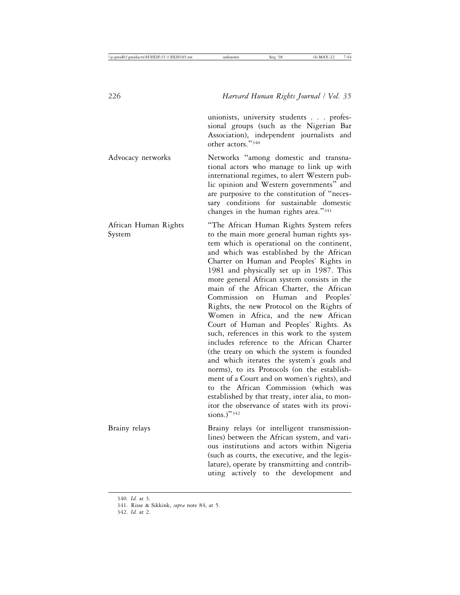unionists, university students . . . professional groups (such as the Nigerian Bar Association), independent journalists and other actors."<sup>340</sup>

Advocacy networks Networks "among domestic and transnational actors who manage to link up with international regimes, to alert Western public opinion and Western governments" and are purposive to the constitution of "necessary conditions for sustainable domestic changes in the human rights area."<sup>341</sup>

African Human Rights "The African Human Rights System refers System to the main more general human rights system which is operational on the continent, and which was established by the African Charter on Human and Peoples' Rights in 1981 and physically set up in 1987. This more general African system consists in the main of the African Charter, the African Commission on Human and Peoples' Rights, the new Protocol on the Rights of Women in Africa, and the new African Court of Human and Peoples' Rights. As such, references in this work to the system includes reference to the African Charter (the treaty on which the system is founded and which iterates the system's goals and norms), to its Protocols (on the establishment of a Court and on women's rights), and to the African Commission (which was established by that treaty, inter alia, to monitor the observance of states with its provisions.)" $342$ Brainy relays Brainy relays (or intelligent transmissionlines) between the African system, and vari-

ous institutions and actors within Nigeria (such as courts, the executive, and the legislature), operate by transmitting and contributing actively to the development and

342. *Id.* at 2.

<sup>340.</sup> *Id.* at 3.

<sup>341.</sup> Risse & Sikkink, *supra* note 84, at 5.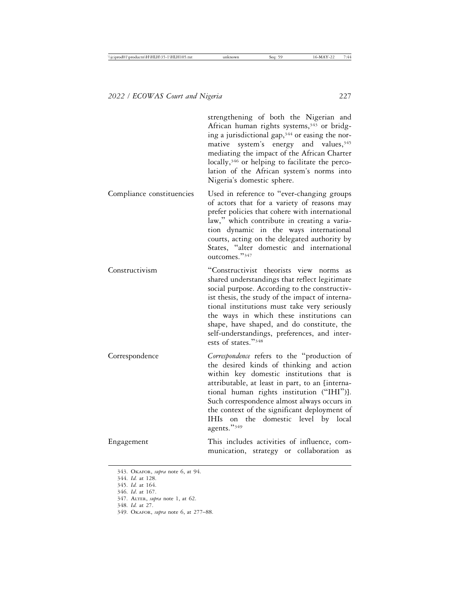|                           | strengthening of both the Nigerian and<br>African human rights systems, <sup>343</sup> or bridg-<br>ing a jurisdictional gap, <sup>344</sup> or easing the nor-<br>mative system's energy and values, 345<br>mediating the impact of the African Charter<br>locally, <sup>346</sup> or helping to facilitate the perco-<br>lation of the African system's norms into<br>Nigeria's domestic sphere.               |
|---------------------------|------------------------------------------------------------------------------------------------------------------------------------------------------------------------------------------------------------------------------------------------------------------------------------------------------------------------------------------------------------------------------------------------------------------|
| Compliance constituencies | Used in reference to "ever-changing groups<br>of actors that for a variety of reasons may<br>prefer policies that cohere with international<br>law," which contribute in creating a varia-<br>tion dynamic in the ways international<br>courts, acting on the delegated authority by<br>States, "alter domestic and international<br>outcomes."347                                                               |
| Constructivism            | "Constructivist theorists view norms<br>as<br>shared understandings that reflect legitimate<br>social purpose. According to the constructiv-<br>ist thesis, the study of the impact of interna-<br>tional institutions must take very seriously<br>the ways in which these institutions can<br>shape, have shaped, and do constitute, the<br>self-understandings, preferences, and inter-<br>ests of states."348 |
| Correspondence            | Correspondence refers to the "production of<br>the desired kinds of thinking and action<br>within key domestic institutions that is<br>attributable, at least in part, to an [interna-<br>tional human rights institution ("IHI")].<br>Such correspondence almost always occurs in<br>the context of the significant deployment of<br>IHIs on the domestic level by local<br>agents."349                         |
| Engagement                | This includes activities of influence, com-<br>munication, strategy or collaboration as                                                                                                                                                                                                                                                                                                                          |

- 344. *Id.* at 128.
- 345. *Id.* at 164.
- 346. *Id*. at 167.

- 348. *Id.* at 27.
- 349. OKAFOR, *supra* note 6, at 277–88.

<sup>343.</sup> OKAFOR, *supra* note 6, at 94.

<sup>347.</sup> ALTER, *supra* note 1, at 62.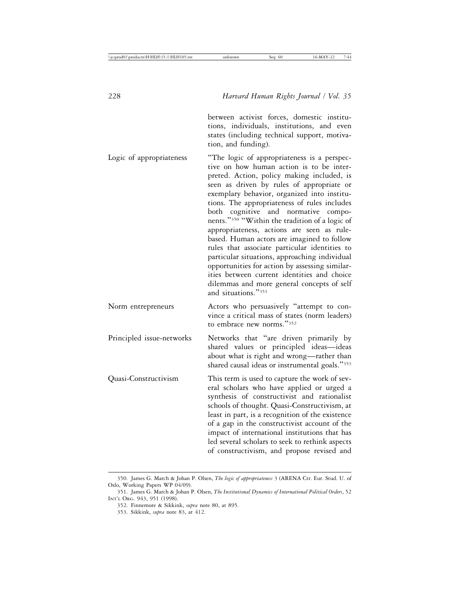between activist forces, domestic institutions, individuals, institutions, and even states (including technical support, motivation, and funding).

Logic of appropriateness "The logic of appropriateness is a perspective on how human action is to be interpreted. Action, policy making included, is seen as driven by rules of appropriate or exemplary behavior, organized into institutions. The appropriateness of rules includes both cognitive and normative components."<sup>350</sup> "Within the tradition of a logic of appropriateness, actions are seen as rulebased. Human actors are imagined to follow rules that associate particular identities to particular situations, approaching individual opportunities for action by assessing similarities between current identities and choice dilemmas and more general concepts of self and situations."<sup>351</sup> Norm entrepreneurs Actors who persuasively "attempt to convince a critical mass of states (norm leaders) to embrace new norms."<sup>352</sup> Principled issue-networks Networks that "are driven primarily by shared values or principled ideas—ideas about what is right and wrong—rather than shared causal ideas or instrumental goals."<sup>353</sup> Quasi-Constructivism This term is used to capture the work of several scholars who have applied or urged a synthesis of constructivist and rationalist schools of thought. Quasi-Constructivism, at least in part, is a recognition of the existence of a gap in the constructivist account of the impact of international institutions that has led several scholars to seek to rethink aspects of constructivism, and propose revised and

<sup>350.</sup> James G. March & Johan P. Olsen, *The logic of appropriateness* 3 (ARENA Ctr. Eur. Stud. U. of Oslo, Working Papers WP 04/09).

<sup>351.</sup> James G. March & Johan P. Olsen, *The Institutional Dynamics of International Political Orders*, 52 INT'L ORG. 943, 951 (1998).

<sup>352.</sup> Finnemore & Sikkink, *supra* note 80, at 895.

<sup>353.</sup> Sikkink, *supra* note 83, at 412.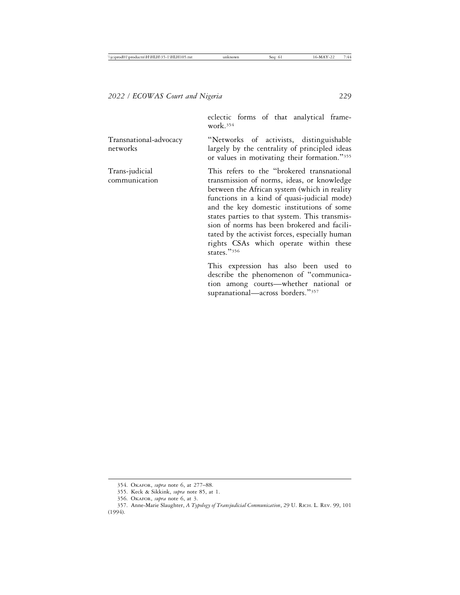eclectic forms of that analytical framework.354

Transnational-advocacy "Networks of activists, distinguishable networks largely by the centrality of principled ideas or values in motivating their formation."<sup>355</sup>

Trans-judicial This refers to the "brokered transnational communication transmission of norms, ideas, or knowledge between the African system (which in reality functions in a kind of quasi-judicial mode) and the key domestic institutions of some states parties to that system. This transmission of norms has been brokered and facilitated by the activist forces, especially human rights CSAs which operate within these states."<sup>356</sup>

> This expression has also been used to describe the phenomenon of "communication among courts—whether national or supranational—across borders."357

<sup>354.</sup> OKAFOR, *supra* note 6, at 277–88.

<sup>355.</sup> Keck & Sikkink, *supra* note 85, at 1.

<sup>356.</sup> OKAFOR, *supra* note 6, at 3.

<sup>357.</sup> Anne-Marie Slaughter, *A Typology of Transjudicial Communication*, 29 U. RICH. L. REV. 99, 101 (1994).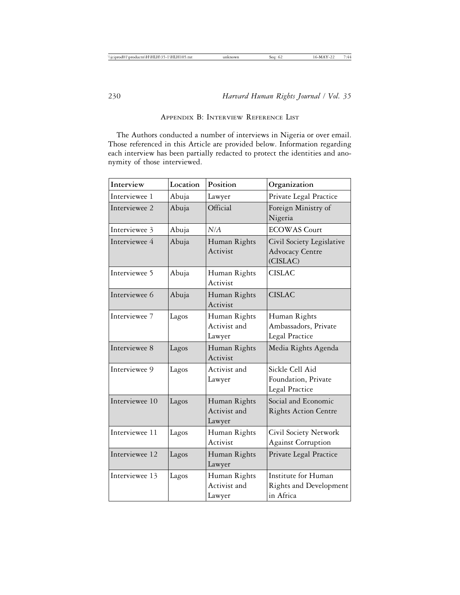# APPENDIX B: INTERVIEW REFERENCE LIST

The Authors conducted a number of interviews in Nigeria or over email. Those referenced in this Article are provided below. Information regarding each interview has been partially redacted to protect the identities and anonymity of those interviewed.

| Interview      | Location | Position                               | Organization                                                    |
|----------------|----------|----------------------------------------|-----------------------------------------------------------------|
| Interviewee 1  | Abuja    | Lawyer                                 | Private Legal Practice                                          |
| Interviewee 2  | Abuja    | Official                               | Foreign Ministry of<br>Nigeria                                  |
| Interviewee 3  | Abuja    | N/A                                    | <b>ECOWAS Court</b>                                             |
| Interviewee 4  | Abuja    | Human Rights<br>Activist               | Civil Society Legislative<br><b>Advocacy Centre</b><br>(CISLAC) |
| Interviewee 5  | Abuja    | Human Rights<br>Activist               | <b>CISLAC</b>                                                   |
| Interviewee 6  | Abuja    | Human Rights<br>Activist               | <b>CISLAC</b>                                                   |
| Interviewee 7  | Lagos    | Human Rights<br>Activist and<br>Lawyer | Human Rights<br>Ambassadors, Private<br><b>Legal Practice</b>   |
| Interviewee 8  | Lagos    | Human Rights<br>Activist               | Media Rights Agenda                                             |
| Interviewee 9  | Lagos    | Activist and<br>Lawyer                 | Sickle Cell Aid<br>Foundation, Private<br>Legal Practice        |
| Interviewee 10 | Lagos    | Human Rights<br>Activist and<br>Lawyer | Social and Economic<br><b>Rights Action Centre</b>              |
| Interviewee 11 | Lagos    | Human Rights<br>Activist               | Civil Society Network<br><b>Against Corruption</b>              |
| Interviewee 12 | Lagos    | Human Rights<br>Lawyer                 | Private Legal Practice                                          |
| Interviewee 13 | Lagos    | Human Rights<br>Activist and<br>Lawyer | Institute for Human<br>Rights and Development<br>in Africa      |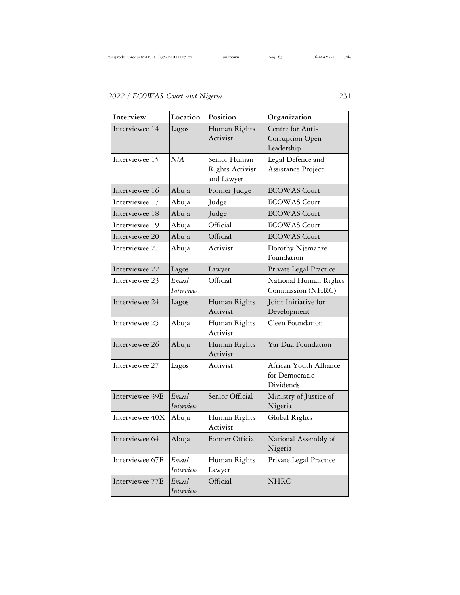| Interview       | Location           | Position                                             | Organization                                                 |
|-----------------|--------------------|------------------------------------------------------|--------------------------------------------------------------|
| Interviewee 14  | Lagos              | Human Rights<br>Activist                             | Centre for Anti-<br>Corruption Open<br>Leadership            |
| Interviewee 15  | N/A                | Senior Human<br><b>Rights Activist</b><br>and Lawyer | Legal Defence and<br>Assistance Project                      |
| Interviewee 16  | Abuja              | Former Judge                                         | <b>ECOWAS Court</b>                                          |
| Interviewee 17  | Abuja              | Judge                                                | <b>ECOWAS</b> Court                                          |
| Interviewee 18  | Abuja              | Judge                                                | <b>ECOWAS</b> Court                                          |
| Interviewee 19  | Abuja              | Official                                             | <b>ECOWAS</b> Court                                          |
| Interviewee 20  | Abuja              | Official                                             | <b>ECOWAS</b> Court                                          |
| Interviewee 21  | Abuja              | Activist                                             | Dorothy Njemanze<br>Foundation                               |
| Interviewee 22  | Lagos              | Lawyer                                               | Private Legal Practice                                       |
| Interviewee 23  | Email<br>Interview | Official                                             | National Human Rights<br>Commission (NHRC)                   |
| Interviewee 24  | Lagos              | Human Rights<br>Activist                             | Joint Initiative for<br>Development                          |
| Interviewee 25  | Abuja              | Human Rights<br>Activist                             | Cleen Foundation                                             |
| Interviewee 26  | Abuja              | Human Rights<br>Activist                             | Yar'Dua Foundation                                           |
| Interviewee 27  | Lagos              | Activist                                             | African Youth Alliance<br>for Democratic<br><b>Dividends</b> |
| Interviewee 39E | Email<br>Interview | Senior Official                                      | Ministry of Justice of<br>Nigeria                            |
| Interviewee 40X | Abuja              | Human Rights<br>Activist                             | Global Rights                                                |
| Interviewee 64  | Abuja              | Former Official                                      | National Assembly of<br>Nigeria                              |
| Interviewee 67E | Email<br>Interview | Human Rights<br>Lawyer                               | Private Legal Practice                                       |
| Interviewee 77E | Email<br>Interview | Official                                             | <b>NHRC</b>                                                  |